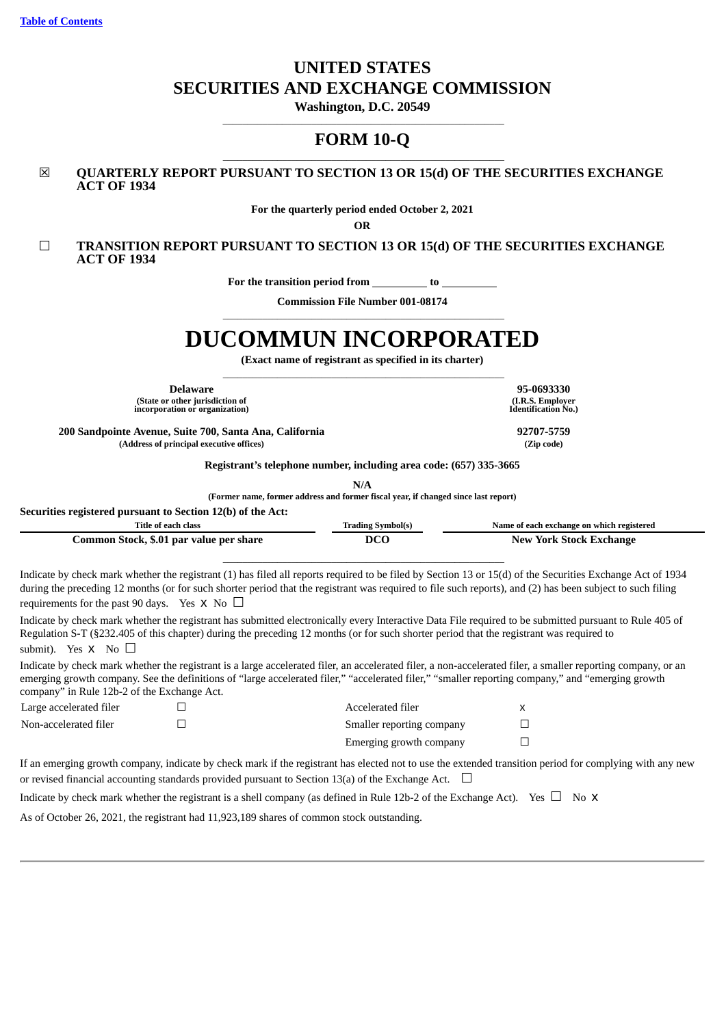## **UNITED STATES SECURITIES AND EXCHANGE COMMISSION**

**Washington, D.C. 20549** \_\_\_\_\_\_\_\_\_\_\_\_\_\_\_\_\_\_\_\_\_\_\_\_\_\_\_\_\_\_\_\_\_\_\_\_\_\_\_\_\_\_\_\_\_\_\_\_\_\_\_\_\_\_\_\_\_

## **FORM 10-Q** \_\_\_\_\_\_\_\_\_\_\_\_\_\_\_\_\_\_\_\_\_\_\_\_\_\_\_\_\_\_\_\_\_\_\_\_\_\_\_\_\_\_\_\_\_\_\_\_\_\_\_\_\_\_\_\_\_

## ☒ **QUARTERLY REPORT PURSUANT TO SECTION 13 OR 15(d) OF THE SECURITIES EXCHANGE ACT OF 1934**

**For the quarterly period ended October 2, 2021**

**OR**

## ☐ **TRANSITION REPORT PURSUANT TO SECTION 13 OR 15(d) OF THE SECURITIES EXCHANGE ACT OF 1934**

**For the transition period from to**

**Commission File Number 001-08174**  $\_$  , and the set of the set of the set of the set of the set of the set of the set of the set of the set of the set of the set of the set of the set of the set of the set of the set of the set of the set of the set of th

# **DUCOMMUN INCORPORATED**

**(Exact name of registrant as specified in its charter)** \_\_\_\_\_\_\_\_\_\_\_\_\_\_\_\_\_\_\_\_\_\_\_\_\_\_\_\_\_\_\_\_\_\_\_\_\_\_\_\_\_\_\_\_\_\_\_\_\_\_\_\_\_\_\_\_\_

**Delaware 95-0693330 (State or other jurisdiction of incorporation or organization)**

**(I.R.S. Employer Identification No.)**

**200 Sandpointe Avenue, Suite 700, Santa Ana, California 92707-5759 (Address of principal executive offices) (Zip code)**

**Registrant's telephone number, including area code: (657) 335-3665**

**N/A**

**(Former name, former address and former fiscal year, if changed since last report)**

**Securities registered pursuant to Section 12(b) of the Act:**

| Title of each class                     | Trading Svmbol(s) | Name of each exchange on which registered |
|-----------------------------------------|-------------------|-------------------------------------------|
| Common Stock, \$.01 par value per share | DCO               | New York Stock Exchange                   |

 $\_$  , and the set of the set of the set of the set of the set of the set of the set of the set of the set of the set of the set of the set of the set of the set of the set of the set of the set of the set of the set of th

Indicate by check mark whether the registrant (1) has filed all reports required to be filed by Section 13 or 15(d) of the Securities Exchange Act of 1934 during the preceding 12 months (or for such shorter period that the registrant was required to file such reports), and (2) has been subject to such filing requirements for the past 90 days. Yes  $X$  No  $\Box$ 

Indicate by check mark whether the registrant has submitted electronically every Interactive Data File required to be submitted pursuant to Rule 405 of Regulation S-T (§232.405 of this chapter) during the preceding 12 months (or for such shorter period that the registrant was required to submit). Yes  $X$  No  $\square$ 

Indicate by check mark whether the registrant is a large accelerated filer, an accelerated filer, a non-accelerated filer, a smaller reporting company, or an emerging growth company. See the definitions of "large accelerated filer," "accelerated filer," "smaller reporting company," and "emerging growth company" in Rule 12b-2 of the Exchange Act.

| Large accelerated filer | Accelerated filer         |  |
|-------------------------|---------------------------|--|
| Non-accelerated filer   | Smaller reporting company |  |
|                         | Emerging growth company   |  |

If an emerging growth company, indicate by check mark if the registrant has elected not to use the extended transition period for complying with any new or revised financial accounting standards provided pursuant to Section 13(a) of the Exchange Act.  $\Box$ 

Indicate by check mark whether the registrant is a shell company (as defined in Rule 12b-2 of the Exchange Act). Yes  $\square$  No  $\times$ 

<span id="page-0-0"></span>As of October 26, 2021, the registrant had 11,923,189 shares of common stock outstanding.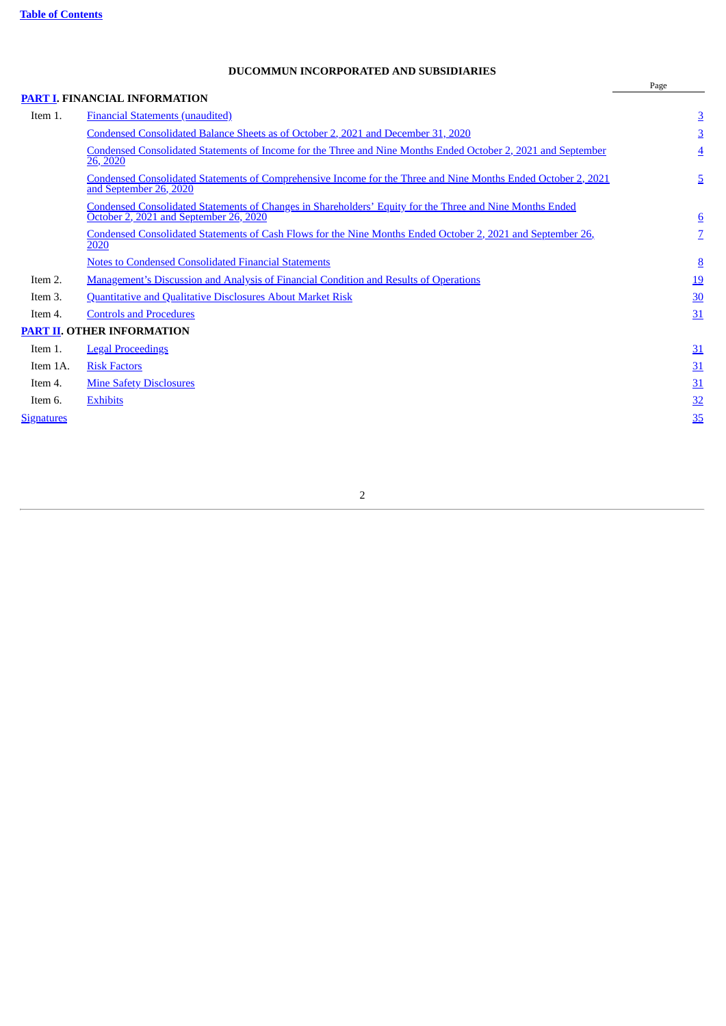## **DUCOMMUN INCORPORATED AND SUBSIDIARIES**

Page

## **[PART](#page-1-0) I. FINANCIAL INFORMATION**

<span id="page-1-0"></span>

|                   | <b>THAT E I HWEIGHED HAT ORGANIZION</b>                                                                                                            |                 |
|-------------------|----------------------------------------------------------------------------------------------------------------------------------------------------|-----------------|
| Item 1.           | <b>Financial Statements (unaudited)</b>                                                                                                            | <u>3</u>        |
|                   | Condensed Consolidated Balance Sheets as of October 2, 2021 and December 31, 2020                                                                  | <u>3</u>        |
|                   | Condensed Consolidated Statements of Income for the Three and Nine Months Ended October 2, 2021 and September<br>26, 2020                          | <u>4</u>        |
|                   | Condensed Consolidated Statements of Comprehensive Income for the Three and Nine Months Ended October 2, 2021<br>and September 26, 2020            | <u>5</u>        |
|                   | Condensed Consolidated Statements of Changes in Shareholders' Equity for the Three and Nine Months Ended<br>October 2, 2021 and September 26, 2020 | $6\overline{6}$ |
|                   | Condensed Consolidated Statements of Cash Flows for the Nine Months Ended October 2, 2021 and September 26,<br>2020                                | $\overline{Z}$  |
|                   | <b>Notes to Condensed Consolidated Financial Statements</b>                                                                                        | 8               |
| Item 2.           | Management's Discussion and Analysis of Financial Condition and Results of Operations                                                              | <u>19</u>       |
| Item 3.           | <b>Quantitative and Qualitative Disclosures About Market Risk</b>                                                                                  | 30              |
| Item 4.           | <b>Controls and Procedures</b>                                                                                                                     | 31              |
|                   | <b>PART II. OTHER INFORMATION</b>                                                                                                                  |                 |
| Item 1.           | <b>Legal Proceedings</b>                                                                                                                           | 31              |
| Item 1A.          | <b>Risk Factors</b>                                                                                                                                | 31              |
| Item 4.           | <b>Mine Safety Disclosures</b>                                                                                                                     | 31              |
| Item 6.           | <b>Exhibits</b>                                                                                                                                    | 32              |
| <b>Signatures</b> |                                                                                                                                                    | <u>35</u>       |
|                   |                                                                                                                                                    |                 |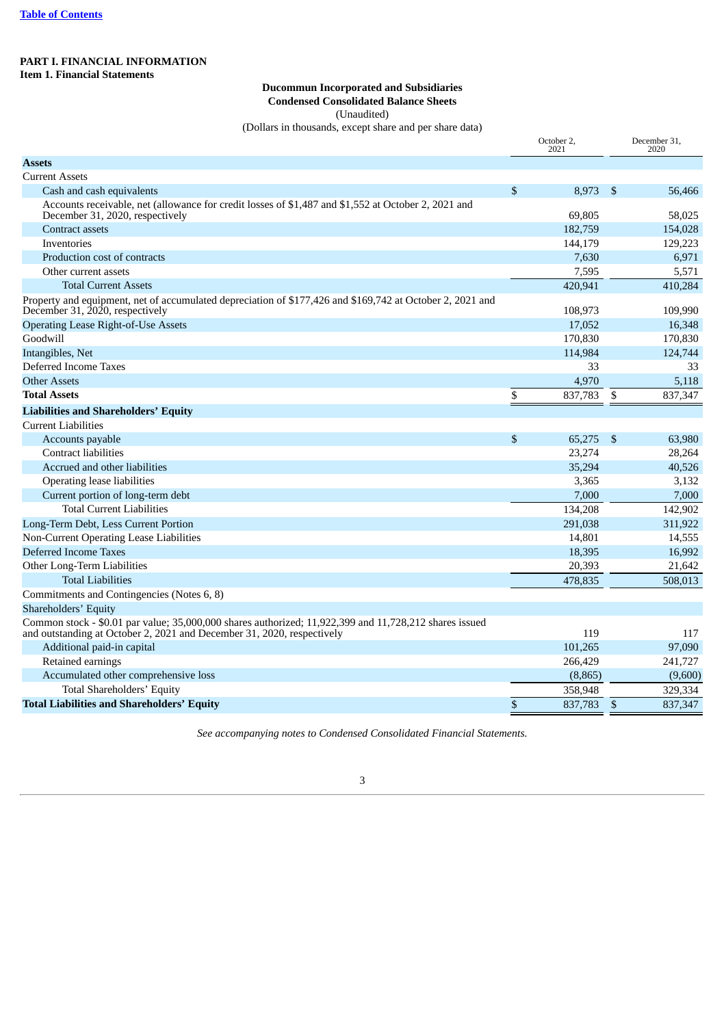## <span id="page-2-1"></span><span id="page-2-0"></span>**PART I. FINANCIAL INFORMATION Item 1. Financial Statements**

## **Ducommun Incorporated and Subsidiaries**

**Condensed Consolidated Balance Sheets**

(Unaudited)

(Dollars in thousands, except share and per share data)

|                                                                                                                                                                                  | October 2,<br>2021 |                | December 31,<br>2020 |
|----------------------------------------------------------------------------------------------------------------------------------------------------------------------------------|--------------------|----------------|----------------------|
| <b>Assets</b>                                                                                                                                                                    |                    |                |                      |
| <b>Current Assets</b>                                                                                                                                                            |                    |                |                      |
| Cash and cash equivalents                                                                                                                                                        | \$<br>8.973        | $\mathbf{\$}$  | 56,466               |
| Accounts receivable, net (allowance for credit losses of \$1,487 and \$1,552 at October 2, 2021 and<br>December 31, 2020, respectively                                           | 69,805             |                | 58,025               |
| <b>Contract assets</b>                                                                                                                                                           | 182,759            |                | 154,028              |
| Inventories                                                                                                                                                                      | 144,179            |                | 129,223              |
| Production cost of contracts                                                                                                                                                     | 7,630              |                | 6,971                |
| Other current assets                                                                                                                                                             | 7,595              |                | 5,571                |
| <b>Total Current Assets</b>                                                                                                                                                      | 420,941            |                | 410,284              |
| Property and equipment, net of accumulated depreciation of \$177,426 and \$169,742 at October 2, 2021 and<br>December 31, 2020, respectively                                     | 108,973            |                | 109,990              |
| <b>Operating Lease Right-of-Use Assets</b>                                                                                                                                       | 17,052             |                | 16,348               |
| Goodwill                                                                                                                                                                         | 170.830            |                | 170.830              |
| Intangibles, Net                                                                                                                                                                 | 114,984            |                | 124,744              |
| Deferred Income Taxes                                                                                                                                                            | 33                 |                | 33                   |
| <b>Other Assets</b>                                                                                                                                                              | 4,970              |                | 5,118                |
| <b>Total Assets</b>                                                                                                                                                              | \$<br>837,783      | \$             | 837,347              |
| <b>Liabilities and Shareholders' Equity</b>                                                                                                                                      |                    |                |                      |
| <b>Current Liabilities</b>                                                                                                                                                       |                    |                |                      |
| Accounts payable                                                                                                                                                                 | \$<br>65,275       | \$             | 63,980               |
| <b>Contract liabilities</b>                                                                                                                                                      | 23,274             |                | 28,264               |
| Accrued and other liabilities                                                                                                                                                    | 35,294             |                | 40,526               |
| Operating lease liabilities                                                                                                                                                      | 3,365              |                | 3,132                |
| Current portion of long-term debt                                                                                                                                                | 7,000              |                | 7,000                |
| <b>Total Current Liabilities</b>                                                                                                                                                 | 134,208            |                | 142,902              |
| Long-Term Debt, Less Current Portion                                                                                                                                             | 291,038            |                | 311,922              |
| Non-Current Operating Lease Liabilities                                                                                                                                          | 14,801             |                | 14,555               |
| Deferred Income Taxes                                                                                                                                                            | 18,395             |                | 16,992               |
| Other Long-Term Liabilities                                                                                                                                                      | 20,393             |                | 21,642               |
| <b>Total Liabilities</b>                                                                                                                                                         | 478,835            |                | 508,013              |
| Commitments and Contingencies (Notes 6, 8)                                                                                                                                       |                    |                |                      |
| Shareholders' Equity                                                                                                                                                             |                    |                |                      |
| Common stock - \$0.01 par value; 35,000,000 shares authorized; 11,922,399 and 11,728,212 shares issued<br>and outstanding at October 2, 2021 and December 31, 2020, respectively | 119                |                | 117                  |
| Additional paid-in capital                                                                                                                                                       | 101,265            |                | 97.090               |
| Retained earnings                                                                                                                                                                | 266,429            |                | 241,727              |
| Accumulated other comprehensive loss                                                                                                                                             | (8,865)            |                | (9,600)              |
| Total Shareholders' Equity                                                                                                                                                       | 358,948            |                | 329,334              |
| <b>Total Liabilities and Shareholders' Equity</b>                                                                                                                                | \$<br>837,783      | $\mathfrak{S}$ | 837,347              |

<span id="page-2-2"></span>*See accompanying notes to Condensed Consolidated Financial Statements.*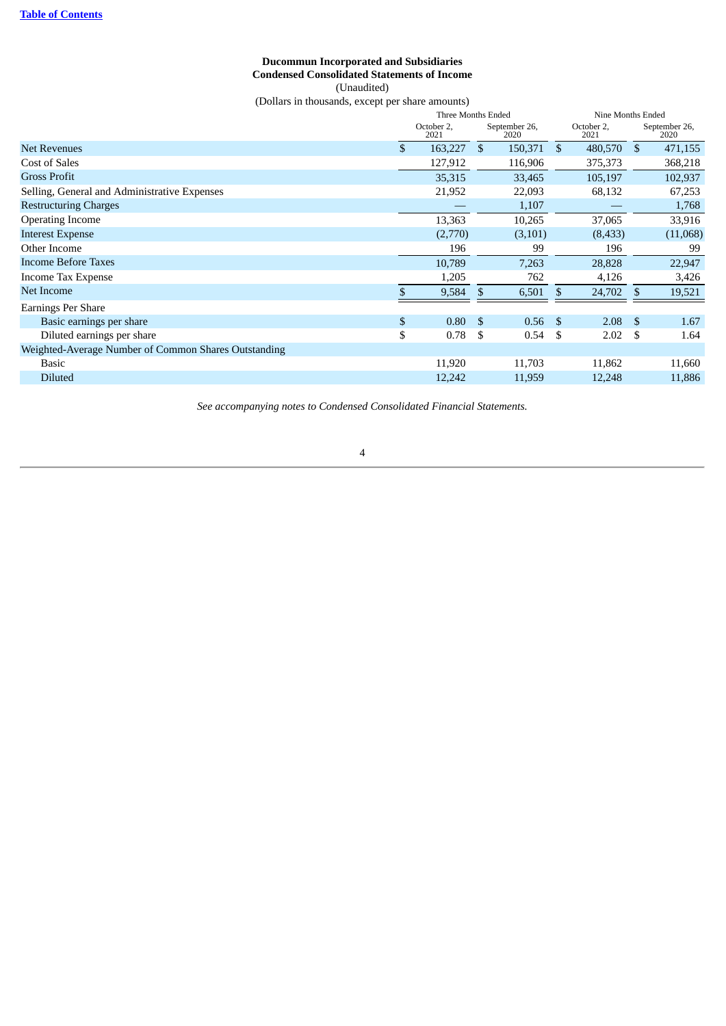## **Ducommun Incorporated and Subsidiaries Condensed Consolidated Statements of Income** (Unaudited)

(Dollars in thousands, except per share amounts)

|                                                      | Three Months Ended |                    |               |                       |      |                    | Nine Months Ended |                       |
|------------------------------------------------------|--------------------|--------------------|---------------|-----------------------|------|--------------------|-------------------|-----------------------|
|                                                      |                    | October 2,<br>2021 |               | September 26,<br>2020 |      | October 2,<br>2021 |                   | September 26,<br>2020 |
| <b>Net Revenues</b>                                  | \$                 | 163,227            | -S            | 150,371               | - \$ | 480,570            | -\$               | 471,155               |
| Cost of Sales                                        |                    | 127,912            |               | 116,906               |      | 375,373            |                   | 368,218               |
| <b>Gross Profit</b>                                  |                    | 35,315             |               | 33,465                |      | 105,197            |                   | 102,937               |
| Selling, General and Administrative Expenses         |                    | 21,952             |               | 22,093                |      | 68,132             |                   | 67,253                |
| <b>Restructuring Charges</b>                         |                    |                    |               | 1,107                 |      |                    |                   | 1,768                 |
| <b>Operating Income</b>                              |                    | 13,363             |               | 10,265                |      | 37,065             |                   | 33,916                |
| <b>Interest Expense</b>                              |                    | (2,770)            |               | (3, 101)              |      | (8,433)            |                   | (11,068)              |
| Other Income                                         |                    | 196                |               | 99                    |      | 196                |                   | 99                    |
| <b>Income Before Taxes</b>                           |                    | 10,789             |               | 7,263                 |      | 28,828             |                   | 22,947                |
| <b>Income Tax Expense</b>                            |                    | 1,205              |               | 762                   |      | 4,126              |                   | 3,426                 |
| Net Income                                           |                    | 9,584              | <sup>\$</sup> | 6,501                 | \$.  | 24,702             | \$                | 19,521                |
| <b>Earnings Per Share</b>                            |                    |                    |               |                       |      |                    |                   |                       |
| Basic earnings per share                             | \$                 | 0.80               | -\$           | $0.56$ \$             |      | 2.08               | -\$               | 1.67                  |
| Diluted earnings per share                           | \$                 | 0.78               | -S            | 0.54                  | - \$ | 2.02               | S                 | 1.64                  |
| Weighted-Average Number of Common Shares Outstanding |                    |                    |               |                       |      |                    |                   |                       |
| <b>Basic</b>                                         |                    | 11,920             |               | 11,703                |      | 11,862             |                   | 11,660                |
| <b>Diluted</b>                                       |                    | 12,242             |               | 11,959                |      | 12,248             |                   | 11,886                |

<span id="page-3-0"></span>*See accompanying notes to Condensed Consolidated Financial Statements.*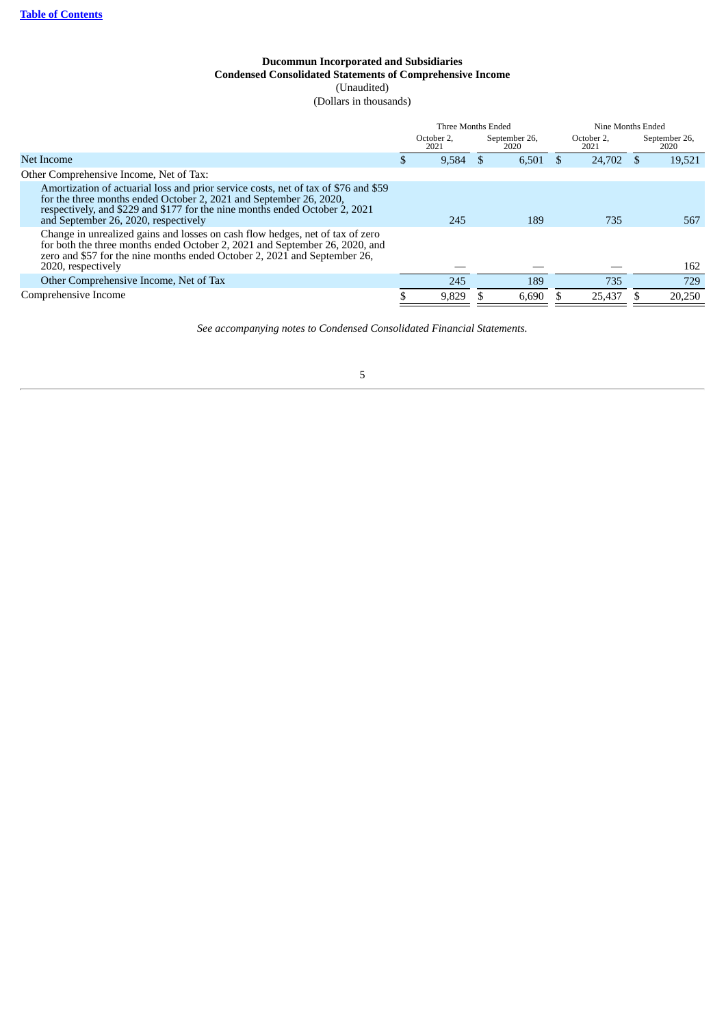## **Ducommun Incorporated and Subsidiaries Condensed Consolidated Statements of Comprehensive Income** (Unaudited)

(Dollars in thousands)

|                                                                                                                                                                                                                                                                                  | Three Months Ended |                                             |  | Nine Months Ended  |  |        |                       |        |
|----------------------------------------------------------------------------------------------------------------------------------------------------------------------------------------------------------------------------------------------------------------------------------|--------------------|---------------------------------------------|--|--------------------|--|--------|-----------------------|--------|
|                                                                                                                                                                                                                                                                                  |                    | October 2,<br>September 26,<br>2021<br>2020 |  | October 2,<br>2021 |  |        | September 26,<br>2020 |        |
| Net Income                                                                                                                                                                                                                                                                       |                    | 9,584                                       |  | 6,501              |  | 24,702 |                       | 19,521 |
| Other Comprehensive Income, Net of Tax:                                                                                                                                                                                                                                          |                    |                                             |  |                    |  |        |                       |        |
| Amortization of actuarial loss and prior service costs, net of tax of \$76 and \$59<br>for the three months ended October 2, 2021 and September 26, 2020,<br>respectively, and \$229 and \$177 for the nine months ended October 2, 2021<br>and September 26, 2020, respectively |                    | 245                                         |  | 189                |  | 735    |                       | 567    |
| Change in unrealized gains and losses on cash flow hedges, net of tax of zero<br>for both the three months ended October 2, 2021 and September 26, 2020, and<br>zero and \$57 for the nine months ended October 2, 2021 and September 26,<br>2020, respectively                  |                    |                                             |  |                    |  |        |                       | 162    |
| Other Comprehensive Income, Net of Tax                                                                                                                                                                                                                                           |                    | 245                                         |  | 189                |  | 735    |                       | 729    |
| Comprehensive Income                                                                                                                                                                                                                                                             |                    | 9.829                                       |  | 6.690              |  | 25.437 |                       | 20.250 |

<span id="page-4-0"></span>*See accompanying notes to Condensed Consolidated Financial Statements.*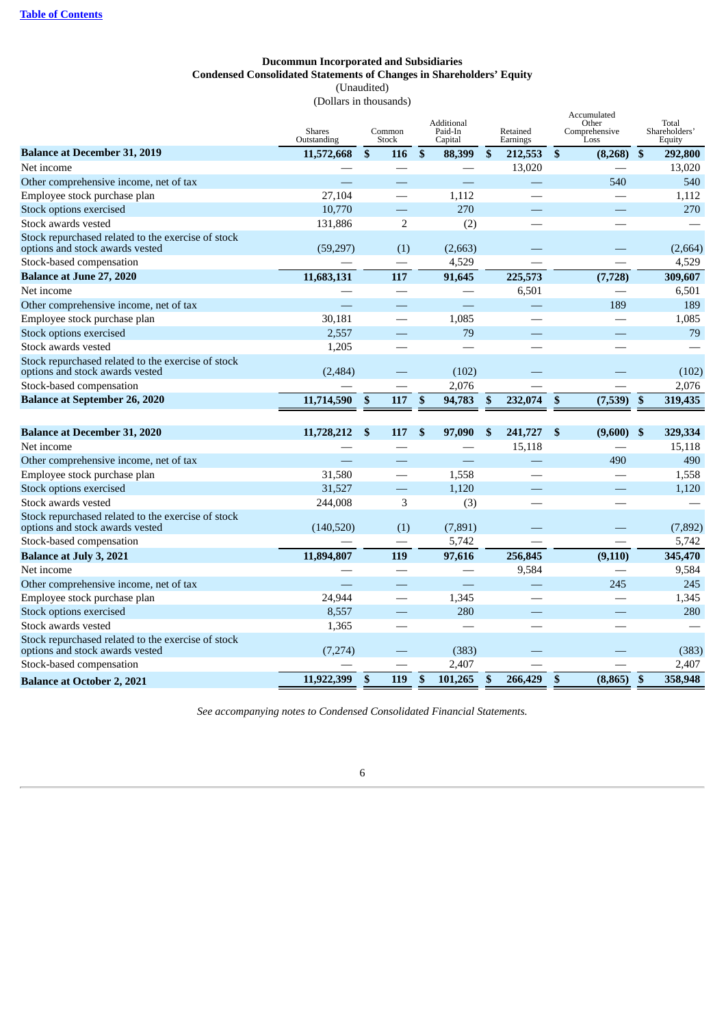## **Ducommun Incorporated and Subsidiaries Condensed Consolidated Statements of Changes in Shareholders' Equity** (Unaudited) (Dollars in thousands)

|                                                                                       | <b>Shares</b><br>Outstanding | Common<br>Stock                  |                           | Additional<br>Paid-In<br>Capital |                           | Retained<br>Earnings | Accumulated<br>Other<br>Comprehensive<br>Loss |                           | Total<br>Shareholders'<br>Equity |
|---------------------------------------------------------------------------------------|------------------------------|----------------------------------|---------------------------|----------------------------------|---------------------------|----------------------|-----------------------------------------------|---------------------------|----------------------------------|
| <b>Balance at December 31, 2019</b>                                                   | 11,572,668                   | \$<br>116                        | \$                        | 88,399                           | \$                        | 212,553              | $\boldsymbol{\mathsf{s}}$<br>(8, 268)         | $\boldsymbol{\mathsf{s}}$ | 292,800                          |
| Net income                                                                            |                              |                                  |                           |                                  |                           | 13,020               |                                               |                           | 13,020                           |
| Other comprehensive income, net of tax                                                |                              |                                  |                           |                                  |                           |                      | 540                                           |                           | 540                              |
| Employee stock purchase plan                                                          | 27,104                       |                                  |                           | 1,112                            |                           |                      |                                               |                           | 1,112                            |
| Stock options exercised                                                               | 10.770                       | $\equiv$                         |                           | 270                              |                           |                      |                                               |                           | 270                              |
| Stock awards vested                                                                   | 131,886                      | $\overline{2}$                   |                           | (2)                              |                           |                      |                                               |                           |                                  |
| Stock repurchased related to the exercise of stock<br>options and stock awards vested | (59, 297)                    | (1)                              |                           | (2,663)                          |                           |                      |                                               |                           | (2,664)                          |
| Stock-based compensation                                                              |                              |                                  |                           | 4,529                            |                           |                      |                                               |                           | 4,529                            |
| <b>Balance at June 27, 2020</b>                                                       | 11,683,131                   | 117                              |                           | 91,645                           |                           | 225,573              | (7, 728)                                      |                           | 309,607                          |
| Net income                                                                            |                              |                                  |                           |                                  |                           | 6,501                |                                               |                           | 6,501                            |
| Other comprehensive income, net of tax                                                |                              |                                  |                           |                                  |                           |                      | 189                                           |                           | 189                              |
| Employee stock purchase plan                                                          | 30,181                       |                                  |                           | 1,085                            |                           |                      | $\overline{\phantom{0}}$                      |                           | 1,085                            |
| Stock options exercised                                                               | 2,557                        |                                  |                           | 79                               |                           |                      |                                               |                           | 79                               |
| Stock awards vested                                                                   | 1,205                        |                                  |                           |                                  |                           |                      |                                               |                           |                                  |
| Stock repurchased related to the exercise of stock<br>options and stock awards vested | (2,484)                      |                                  |                           | (102)                            |                           |                      |                                               |                           | (102)                            |
| Stock-based compensation                                                              |                              |                                  |                           | 2,076                            |                           |                      |                                               |                           | 2,076                            |
| <b>Balance at September 26, 2020</b>                                                  | 11,714,590                   | \$<br>117                        | \$                        | 94,783                           | \$                        | 232,074              | \$<br>(7,539)                                 | \$                        | 319,435                          |
|                                                                                       |                              |                                  |                           |                                  |                           |                      |                                               |                           |                                  |
| <b>Balance at December 31, 2020</b>                                                   | 11,728,212                   | \$<br>117                        | \$                        | 97,090                           | \$                        | 241,727              | -\$<br>(9,600)                                | -\$                       | 329,334                          |
| Net income                                                                            |                              |                                  |                           |                                  |                           | 15,118               |                                               |                           | 15,118                           |
| Other comprehensive income, net of tax                                                |                              |                                  |                           |                                  |                           |                      | 490                                           |                           | 490                              |
| Employee stock purchase plan                                                          | 31,580                       |                                  |                           | 1,558                            |                           |                      |                                               |                           | 1,558                            |
| Stock options exercised                                                               | 31,527                       |                                  |                           | 1,120                            |                           |                      |                                               |                           | 1,120                            |
| Stock awards vested                                                                   | 244,008                      | 3                                |                           | (3)                              |                           |                      |                                               |                           |                                  |
| Stock repurchased related to the exercise of stock<br>options and stock awards vested | (140, 520)                   | (1)                              |                           | (7,891)                          |                           |                      |                                               |                           | (7,892)                          |
| Stock-based compensation                                                              |                              |                                  |                           | 5,742                            |                           |                      |                                               |                           | 5,742                            |
| <b>Balance at July 3, 2021</b>                                                        | 11,894,807                   | 119                              |                           | 97,616                           |                           | 256,845              | (9, 110)                                      |                           | 345,470                          |
| Net income                                                                            |                              |                                  |                           |                                  |                           | 9,584                |                                               |                           | 9,584                            |
| Other comprehensive income, net of tax                                                |                              |                                  |                           |                                  |                           |                      | 245                                           |                           | 245                              |
| Employee stock purchase plan                                                          | 24,944                       |                                  |                           | 1,345                            |                           |                      |                                               |                           | 1,345                            |
| Stock options exercised                                                               | 8,557                        |                                  |                           | 280                              |                           |                      |                                               |                           | 280                              |
| Stock awards vested                                                                   | 1,365                        |                                  |                           |                                  |                           |                      |                                               |                           |                                  |
| Stock repurchased related to the exercise of stock<br>options and stock awards vested | (7,274)                      |                                  |                           | (383)                            |                           |                      |                                               |                           | (383)                            |
| Stock-based compensation                                                              |                              |                                  |                           | 2,407                            |                           |                      |                                               |                           | 2,407                            |
| <b>Balance at October 2, 2021</b>                                                     | 11,922,399                   | $\boldsymbol{\mathsf{s}}$<br>119 | $\boldsymbol{\mathsf{s}}$ | 101,265                          | $\boldsymbol{\mathsf{s}}$ | 266,429              | \$<br>(8, 865)                                | \$                        | 358,948                          |

<span id="page-5-0"></span>*See accompanying notes to Condensed Consolidated Financial Statements.*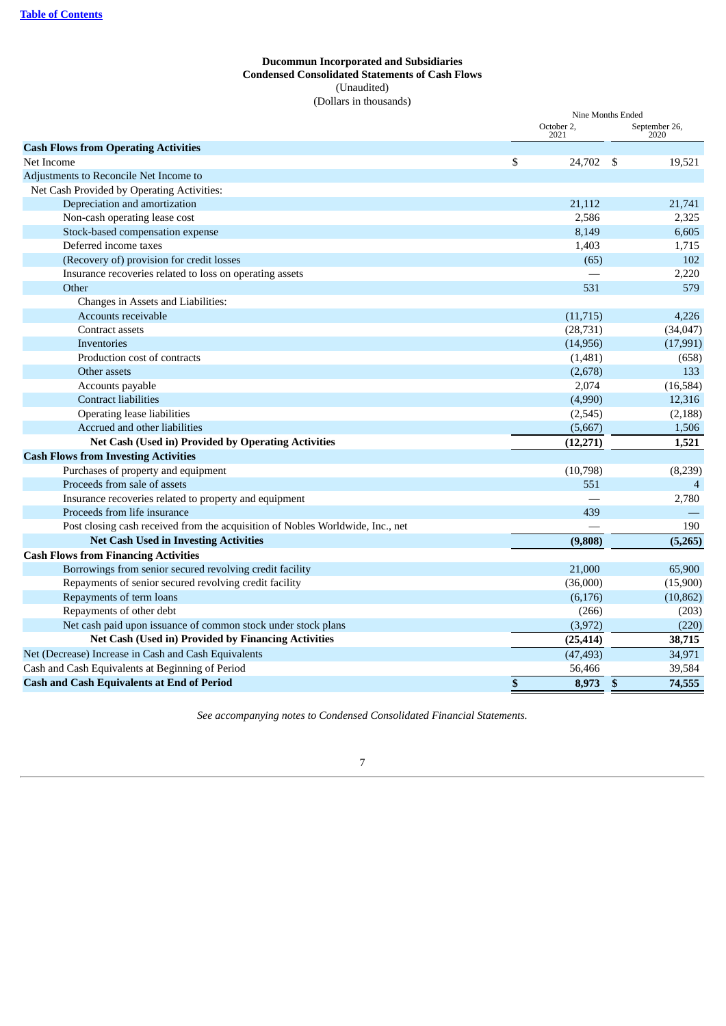## **Ducommun Incorporated and Subsidiaries Condensed Consolidated Statements of Cash Flows** (Unaudited) (Dollars in thousands)

|                                                                                | October 2, | Nine Months Ended |              | September 26,  |
|--------------------------------------------------------------------------------|------------|-------------------|--------------|----------------|
|                                                                                | 2021       |                   |              | 2020           |
| <b>Cash Flows from Operating Activities</b>                                    |            |                   |              |                |
| Net Income                                                                     | \$         | 24,702 \$         |              | 19,521         |
| Adjustments to Reconcile Net Income to                                         |            |                   |              |                |
| Net Cash Provided by Operating Activities:                                     |            |                   |              |                |
| Depreciation and amortization                                                  |            | 21,112            |              | 21,741         |
| Non-cash operating lease cost                                                  |            | 2,586             |              | 2,325          |
| Stock-based compensation expense                                               |            | 8,149             |              | 6,605          |
| Deferred income taxes                                                          |            | 1,403             |              | 1,715          |
| (Recovery of) provision for credit losses                                      |            | (65)              |              | 102            |
| Insurance recoveries related to loss on operating assets                       |            |                   |              | 2,220          |
| Other                                                                          |            | 531               |              | 579            |
| Changes in Assets and Liabilities:                                             |            |                   |              |                |
| Accounts receivable                                                            |            | (11, 715)         |              | 4,226          |
| Contract assets                                                                |            | (28, 731)         |              | (34, 047)      |
| Inventories                                                                    |            | (14, 956)         |              | (17,991)       |
| Production cost of contracts                                                   |            | (1,481)           |              | (658)          |
| Other assets                                                                   |            | (2,678)           |              | 133            |
| Accounts payable                                                               |            | 2,074             |              | (16,584)       |
| <b>Contract liabilities</b>                                                    |            | (4,990)           |              | 12,316         |
| <b>Operating lease liabilities</b>                                             |            | (2,545)           |              | (2, 188)       |
| Accrued and other liabilities                                                  |            | (5,667)           |              | 1,506          |
| Net Cash (Used in) Provided by Operating Activities                            |            | (12, 271)         |              | 1,521          |
| <b>Cash Flows from Investing Activities</b>                                    |            |                   |              |                |
| Purchases of property and equipment                                            |            | (10,798)          |              | (8,239)        |
| Proceeds from sale of assets                                                   |            | 551               |              | $\overline{4}$ |
| Insurance recoveries related to property and equipment                         |            |                   |              | 2,780          |
| Proceeds from life insurance                                                   |            | 439               |              |                |
| Post closing cash received from the acquisition of Nobles Worldwide, Inc., net |            |                   |              | 190            |
| <b>Net Cash Used in Investing Activities</b>                                   |            | (9,808)           |              | (5,265)        |
| <b>Cash Flows from Financing Activities</b>                                    |            |                   |              |                |
| Borrowings from senior secured revolving credit facility                       |            | 21,000            |              | 65,900         |
| Repayments of senior secured revolving credit facility                         |            | (36,000)          |              | (15,900)       |
| Repayments of term loans                                                       |            | (6, 176)          |              | (10, 862)      |
| Repayments of other debt                                                       |            | (266)             |              | (203)          |
| Net cash paid upon issuance of common stock under stock plans                  |            | (3,972)           |              | (220)          |
| Net Cash (Used in) Provided by Financing Activities                            |            | (25, 414)         |              | 38,715         |
| Net (Decrease) Increase in Cash and Cash Equivalents                           |            | (47, 493)         |              | 34,971         |
| Cash and Cash Equivalents at Beginning of Period                               |            | 56,466            |              | 39,584         |
| <b>Cash and Cash Equivalents at End of Period</b>                              | \$         | 8,973             | $\mathbf{s}$ | 74,555         |

<span id="page-6-0"></span>*See accompanying notes to Condensed Consolidated Financial Statements.*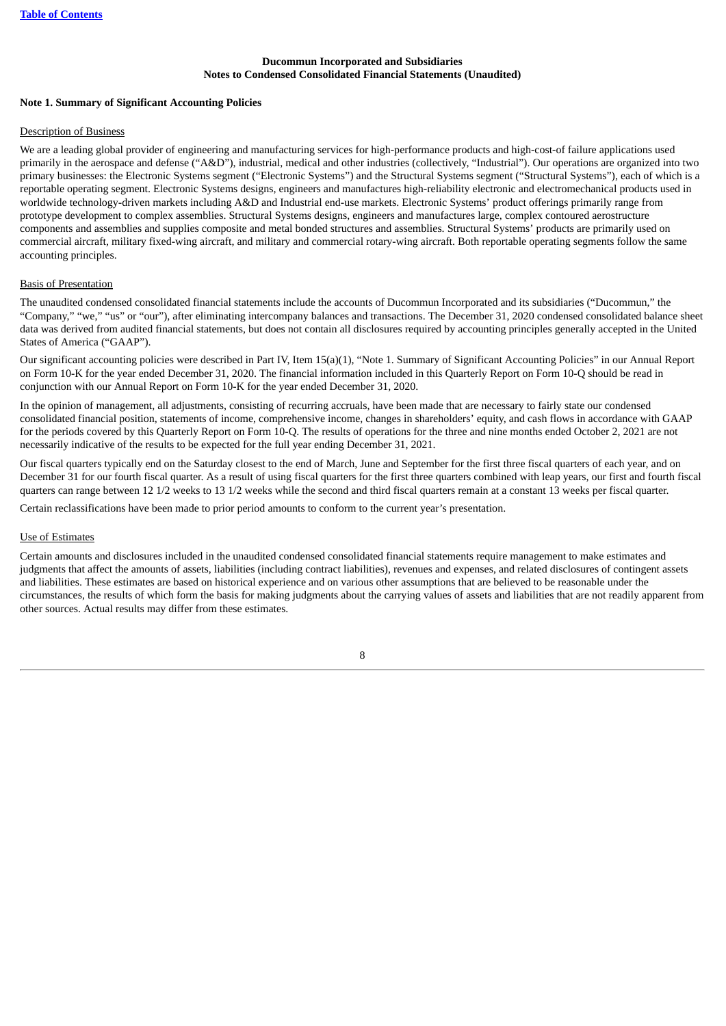## **Ducommun Incorporated and Subsidiaries Notes to Condensed Consolidated Financial Statements (Unaudited)**

#### **Note 1. Summary of Significant Accounting Policies**

#### Description of Business

We are a leading global provider of engineering and manufacturing services for high-performance products and high-cost-of failure applications used primarily in the aerospace and defense ("A&D"), industrial, medical and other industries (collectively, "Industrial"). Our operations are organized into two primary businesses: the Electronic Systems segment ("Electronic Systems") and the Structural Systems segment ("Structural Systems"), each of which is a reportable operating segment. Electronic Systems designs, engineers and manufactures high-reliability electronic and electromechanical products used in worldwide technology-driven markets including A&D and Industrial end-use markets. Electronic Systems' product offerings primarily range from prototype development to complex assemblies. Structural Systems designs, engineers and manufactures large, complex contoured aerostructure components and assemblies and supplies composite and metal bonded structures and assemblies. Structural Systems' products are primarily used on commercial aircraft, military fixed-wing aircraft, and military and commercial rotary-wing aircraft. Both reportable operating segments follow the same accounting principles.

#### Basis of Presentation

The unaudited condensed consolidated financial statements include the accounts of Ducommun Incorporated and its subsidiaries ("Ducommun," the "Company," "we," "us" or "our"), after eliminating intercompany balances and transactions. The December 31, 2020 condensed consolidated balance sheet data was derived from audited financial statements, but does not contain all disclosures required by accounting principles generally accepted in the United States of America ("GAAP").

Our significant accounting policies were described in Part IV, Item 15(a)(1), "Note 1. Summary of Significant Accounting Policies" in our Annual Report on Form 10-K for the year ended December 31, 2020. The financial information included in this Quarterly Report on Form 10-Q should be read in conjunction with our Annual Report on Form 10-K for the year ended December 31, 2020.

In the opinion of management, all adjustments, consisting of recurring accruals, have been made that are necessary to fairly state our condensed consolidated financial position, statements of income, comprehensive income, changes in shareholders' equity, and cash flows in accordance with GAAP for the periods covered by this Quarterly Report on Form 10-Q. The results of operations for the three and nine months ended October 2, 2021 are not necessarily indicative of the results to be expected for the full year ending December 31, 2021.

Our fiscal quarters typically end on the Saturday closest to the end of March, June and September for the first three fiscal quarters of each year, and on December 31 for our fourth fiscal quarter. As a result of using fiscal quarters for the first three quarters combined with leap years, our first and fourth fiscal quarters can range between 12 1/2 weeks to 13 1/2 weeks while the second and third fiscal quarters remain at a constant 13 weeks per fiscal quarter.

Certain reclassifications have been made to prior period amounts to conform to the current year's presentation.

#### Use of Estimates

Certain amounts and disclosures included in the unaudited condensed consolidated financial statements require management to make estimates and judgments that affect the amounts of assets, liabilities (including contract liabilities), revenues and expenses, and related disclosures of contingent assets and liabilities. These estimates are based on historical experience and on various other assumptions that are believed to be reasonable under the circumstances, the results of which form the basis for making judgments about the carrying values of assets and liabilities that are not readily apparent from other sources. Actual results may differ from these estimates.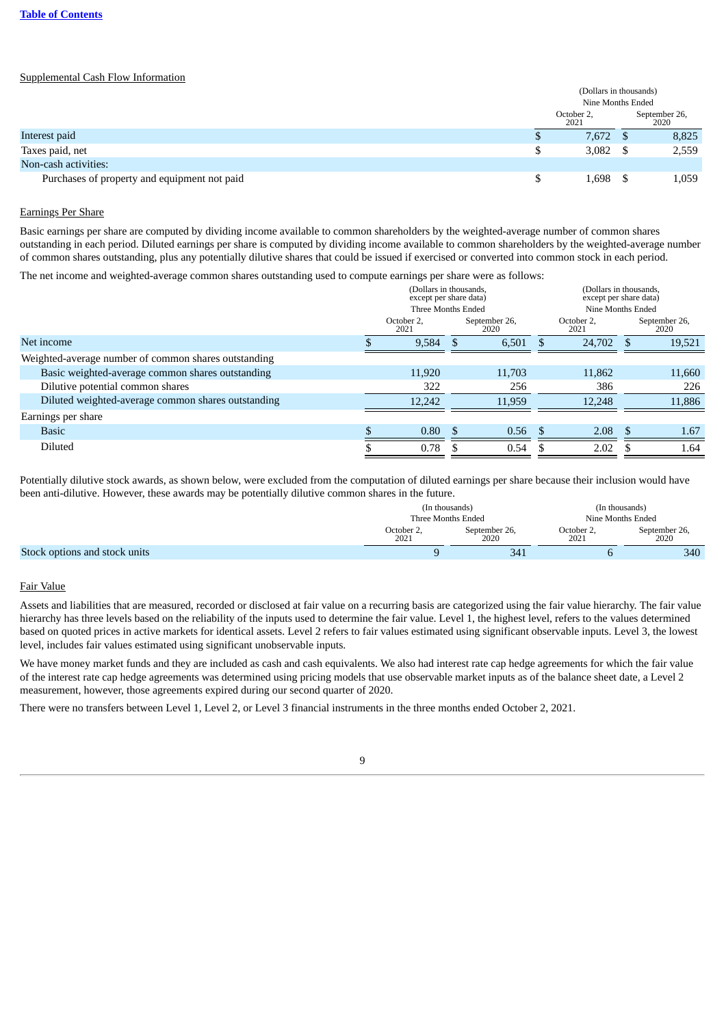## Supplemental Cash Flow Information

|                                              | (Dollars in thousands) |  |                       |  |
|----------------------------------------------|------------------------|--|-----------------------|--|
|                                              | Nine Months Ended      |  |                       |  |
|                                              | October 2,<br>2021     |  | September 26,<br>2020 |  |
| Interest paid                                | 7,672                  |  | 8,825                 |  |
| Taxes paid, net                              | 3,082                  |  | 2,559                 |  |
| Non-cash activities:                         |                        |  |                       |  |
| Purchases of property and equipment not paid | L.698                  |  | 1,059                 |  |

#### Earnings Per Share

Basic earnings per share are computed by dividing income available to common shareholders by the weighted-average number of common shares outstanding in each period. Diluted earnings per share is computed by dividing income available to common shareholders by the weighted-average number of common shares outstanding, plus any potentially dilutive shares that could be issued if exercised or converted into common stock in each period.

The net income and weighted-average common shares outstanding used to compute earnings per share were as follows:

|                                                      |                                                    | (Dollars in thousands,<br>except per share data)<br>Three Months Ended |                       | (Dollars in thousands,<br>except per share data)<br>Nine Months Ended |  |                    |     |                       |
|------------------------------------------------------|----------------------------------------------------|------------------------------------------------------------------------|-----------------------|-----------------------------------------------------------------------|--|--------------------|-----|-----------------------|
|                                                      |                                                    | October 2.<br>2021                                                     | September 26,<br>2020 |                                                                       |  | October 2,<br>2021 |     | September 26,<br>2020 |
|                                                      | Net income                                         | 9,584                                                                  |                       | 6,501                                                                 |  | 24,702             | Жb. | 19,521                |
| Weighted-average number of common shares outstanding |                                                    |                                                                        |                       |                                                                       |  |                    |     |                       |
|                                                      | Basic weighted-average common shares outstanding   | 11,920                                                                 |                       | 11,703                                                                |  | 11,862             |     | 11,660                |
|                                                      | Dilutive potential common shares                   | 322                                                                    |                       | 256                                                                   |  | 386                |     | 226                   |
|                                                      | Diluted weighted-average common shares outstanding | 12.242                                                                 |                       | 11,959                                                                |  | 12,248             |     | 11,886                |
|                                                      | Earnings per share                                 |                                                                        |                       |                                                                       |  |                    |     |                       |
|                                                      | <b>Basic</b>                                       | 0.80                                                                   |                       | 0.56                                                                  |  | 2.08               |     | 1.67                  |
|                                                      | <b>Diluted</b>                                     | 0.78                                                                   |                       | 0.54                                                                  |  | 2.02               |     | 1.64                  |
|                                                      |                                                    |                                                                        |                       |                                                                       |  |                    |     |                       |

Potentially dilutive stock awards, as shown below, were excluded from the computation of diluted earnings per share because their inclusion would have been anti-dilutive. However, these awards may be potentially dilutive common shares in the future.

|                               |                    | (In thousands)        | (In thousands)     |                       |
|-------------------------------|--------------------|-----------------------|--------------------|-----------------------|
|                               |                    | Three Months Ended    | Nine Months Ended  |                       |
|                               | October 2.<br>2021 | September 26,<br>2020 | October 2,<br>2021 | September 26,<br>2020 |
| Stock options and stock units |                    | 341                   |                    | 340                   |

#### Fair Value

Assets and liabilities that are measured, recorded or disclosed at fair value on a recurring basis are categorized using the fair value hierarchy. The fair value hierarchy has three levels based on the reliability of the inputs used to determine the fair value. Level 1, the highest level, refers to the values determined based on quoted prices in active markets for identical assets. Level 2 refers to fair values estimated using significant observable inputs. Level 3, the lowest level, includes fair values estimated using significant unobservable inputs.

We have money market funds and they are included as cash and cash equivalents. We also had interest rate cap hedge agreements for which the fair value of the interest rate cap hedge agreements was determined using pricing models that use observable market inputs as of the balance sheet date, a Level 2 measurement, however, those agreements expired during our second quarter of 2020.

There were no transfers between Level 1, Level 2, or Level 3 financial instruments in the three months ended October 2, 2021.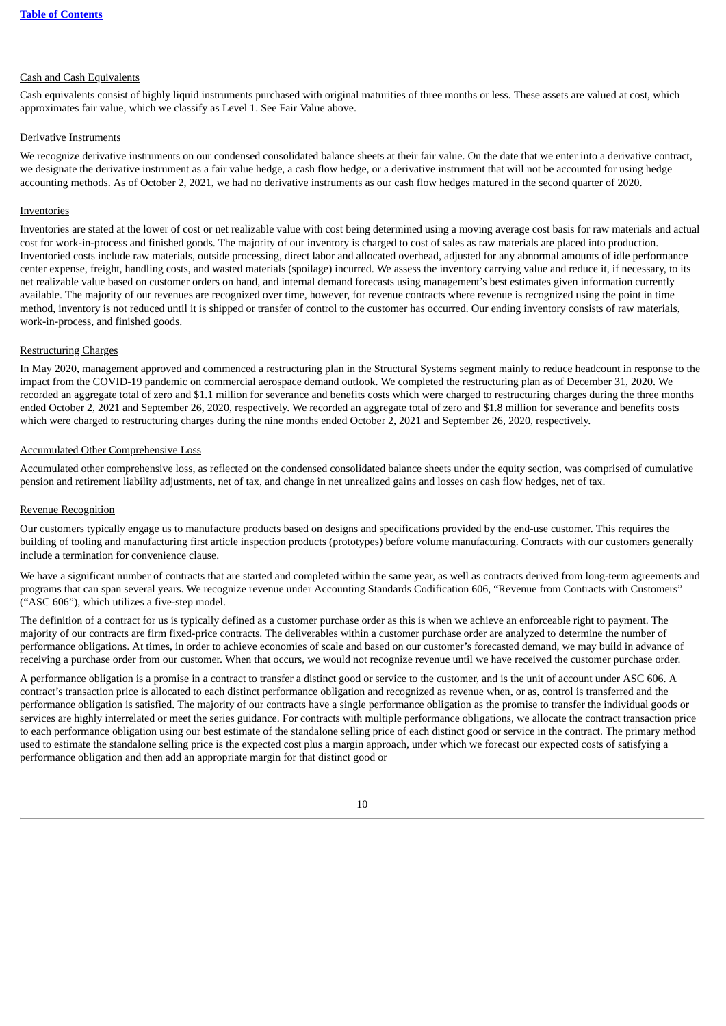### Cash and Cash Equivalents

Cash equivalents consist of highly liquid instruments purchased with original maturities of three months or less. These assets are valued at cost, which approximates fair value, which we classify as Level 1. See Fair Value above.

### Derivative Instruments

We recognize derivative instruments on our condensed consolidated balance sheets at their fair value. On the date that we enter into a derivative contract, we designate the derivative instrument as a fair value hedge, a cash flow hedge, or a derivative instrument that will not be accounted for using hedge accounting methods. As of October 2, 2021, we had no derivative instruments as our cash flow hedges matured in the second quarter of 2020.

## Inventories

Inventories are stated at the lower of cost or net realizable value with cost being determined using a moving average cost basis for raw materials and actual cost for work-in-process and finished goods. The majority of our inventory is charged to cost of sales as raw materials are placed into production. Inventoried costs include raw materials, outside processing, direct labor and allocated overhead, adjusted for any abnormal amounts of idle performance center expense, freight, handling costs, and wasted materials (spoilage) incurred. We assess the inventory carrying value and reduce it, if necessary, to its net realizable value based on customer orders on hand, and internal demand forecasts using management's best estimates given information currently available. The majority of our revenues are recognized over time, however, for revenue contracts where revenue is recognized using the point in time method, inventory is not reduced until it is shipped or transfer of control to the customer has occurred. Our ending inventory consists of raw materials, work-in-process, and finished goods.

## Restructuring Charges

In May 2020, management approved and commenced a restructuring plan in the Structural Systems segment mainly to reduce headcount in response to the impact from the COVID-19 pandemic on commercial aerospace demand outlook. We completed the restructuring plan as of December 31, 2020. We recorded an aggregate total of zero and \$1.1 million for severance and benefits costs which were charged to restructuring charges during the three months ended October 2, 2021 and September 26, 2020, respectively. We recorded an aggregate total of zero and \$1.8 million for severance and benefits costs which were charged to restructuring charges during the nine months ended October 2, 2021 and September 26, 2020, respectively.

### Accumulated Other Comprehensive Loss

Accumulated other comprehensive loss, as reflected on the condensed consolidated balance sheets under the equity section, was comprised of cumulative pension and retirement liability adjustments, net of tax, and change in net unrealized gains and losses on cash flow hedges, net of tax.

### Revenue Recognition

Our customers typically engage us to manufacture products based on designs and specifications provided by the end-use customer. This requires the building of tooling and manufacturing first article inspection products (prototypes) before volume manufacturing. Contracts with our customers generally include a termination for convenience clause.

We have a significant number of contracts that are started and completed within the same year, as well as contracts derived from long-term agreements and programs that can span several years. We recognize revenue under Accounting Standards Codification 606, "Revenue from Contracts with Customers" ("ASC 606"), which utilizes a five-step model.

The definition of a contract for us is typically defined as a customer purchase order as this is when we achieve an enforceable right to payment. The majority of our contracts are firm fixed-price contracts. The deliverables within a customer purchase order are analyzed to determine the number of performance obligations. At times, in order to achieve economies of scale and based on our customer's forecasted demand, we may build in advance of receiving a purchase order from our customer. When that occurs, we would not recognize revenue until we have received the customer purchase order.

A performance obligation is a promise in a contract to transfer a distinct good or service to the customer, and is the unit of account under ASC 606. A contract's transaction price is allocated to each distinct performance obligation and recognized as revenue when, or as, control is transferred and the performance obligation is satisfied. The majority of our contracts have a single performance obligation as the promise to transfer the individual goods or services are highly interrelated or meet the series guidance. For contracts with multiple performance obligations, we allocate the contract transaction price to each performance obligation using our best estimate of the standalone selling price of each distinct good or service in the contract. The primary method used to estimate the standalone selling price is the expected cost plus a margin approach, under which we forecast our expected costs of satisfying a performance obligation and then add an appropriate margin for that distinct good or

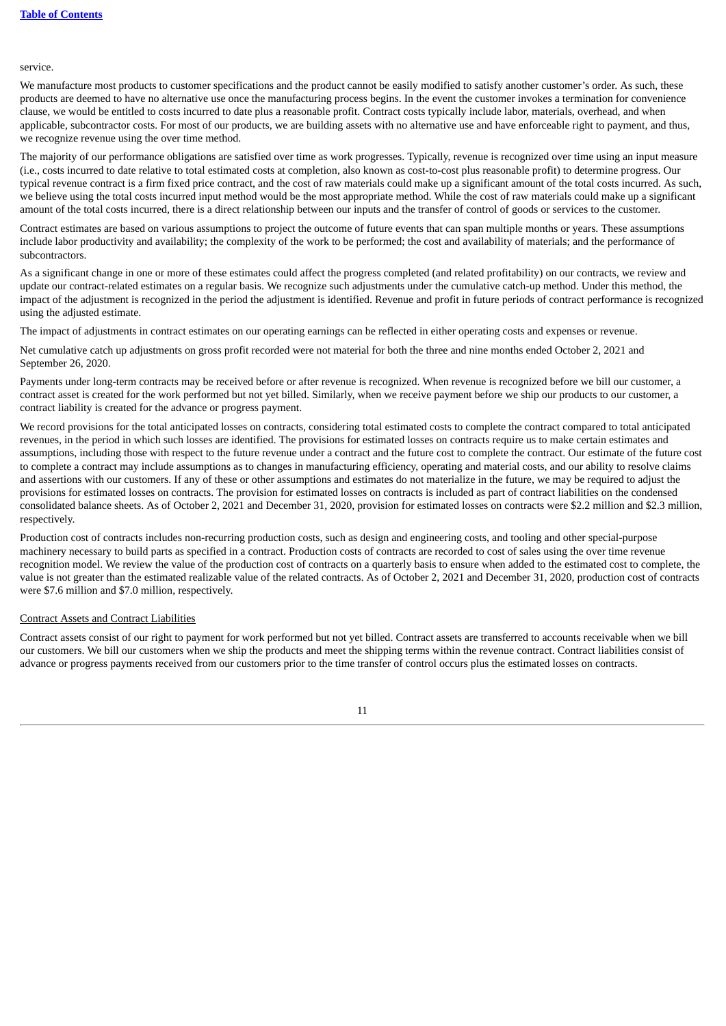#### service.

We manufacture most products to customer specifications and the product cannot be easily modified to satisfy another customer's order. As such, these products are deemed to have no alternative use once the manufacturing process begins. In the event the customer invokes a termination for convenience clause, we would be entitled to costs incurred to date plus a reasonable profit. Contract costs typically include labor, materials, overhead, and when applicable, subcontractor costs. For most of our products, we are building assets with no alternative use and have enforceable right to payment, and thus, we recognize revenue using the over time method.

The majority of our performance obligations are satisfied over time as work progresses. Typically, revenue is recognized over time using an input measure (i.e., costs incurred to date relative to total estimated costs at completion, also known as cost-to-cost plus reasonable profit) to determine progress. Our typical revenue contract is a firm fixed price contract, and the cost of raw materials could make up a significant amount of the total costs incurred. As such, we believe using the total costs incurred input method would be the most appropriate method. While the cost of raw materials could make up a significant amount of the total costs incurred, there is a direct relationship between our inputs and the transfer of control of goods or services to the customer.

Contract estimates are based on various assumptions to project the outcome of future events that can span multiple months or years. These assumptions include labor productivity and availability; the complexity of the work to be performed; the cost and availability of materials; and the performance of subcontractors.

As a significant change in one or more of these estimates could affect the progress completed (and related profitability) on our contracts, we review and update our contract-related estimates on a regular basis. We recognize such adjustments under the cumulative catch-up method. Under this method, the impact of the adjustment is recognized in the period the adjustment is identified. Revenue and profit in future periods of contract performance is recognized using the adjusted estimate.

The impact of adjustments in contract estimates on our operating earnings can be reflected in either operating costs and expenses or revenue.

Net cumulative catch up adjustments on gross profit recorded were not material for both the three and nine months ended October 2, 2021 and September 26, 2020.

Payments under long-term contracts may be received before or after revenue is recognized. When revenue is recognized before we bill our customer, a contract asset is created for the work performed but not yet billed. Similarly, when we receive payment before we ship our products to our customer, a contract liability is created for the advance or progress payment.

We record provisions for the total anticipated losses on contracts, considering total estimated costs to complete the contract compared to total anticipated revenues, in the period in which such losses are identified. The provisions for estimated losses on contracts require us to make certain estimates and assumptions, including those with respect to the future revenue under a contract and the future cost to complete the contract. Our estimate of the future cost to complete a contract may include assumptions as to changes in manufacturing efficiency, operating and material costs, and our ability to resolve claims and assertions with our customers. If any of these or other assumptions and estimates do not materialize in the future, we may be required to adjust the provisions for estimated losses on contracts. The provision for estimated losses on contracts is included as part of contract liabilities on the condensed consolidated balance sheets. As of October 2, 2021 and December 31, 2020, provision for estimated losses on contracts were \$2.2 million and \$2.3 million, respectively.

Production cost of contracts includes non-recurring production costs, such as design and engineering costs, and tooling and other special-purpose machinery necessary to build parts as specified in a contract. Production costs of contracts are recorded to cost of sales using the over time revenue recognition model. We review the value of the production cost of contracts on a quarterly basis to ensure when added to the estimated cost to complete, the value is not greater than the estimated realizable value of the related contracts. As of October 2, 2021 and December 31, 2020, production cost of contracts were \$7.6 million and \$7.0 million, respectively.

## Contract Assets and Contract Liabilities

Contract assets consist of our right to payment for work performed but not yet billed. Contract assets are transferred to accounts receivable when we bill our customers. We bill our customers when we ship the products and meet the shipping terms within the revenue contract. Contract liabilities consist of advance or progress payments received from our customers prior to the time transfer of control occurs plus the estimated losses on contracts.

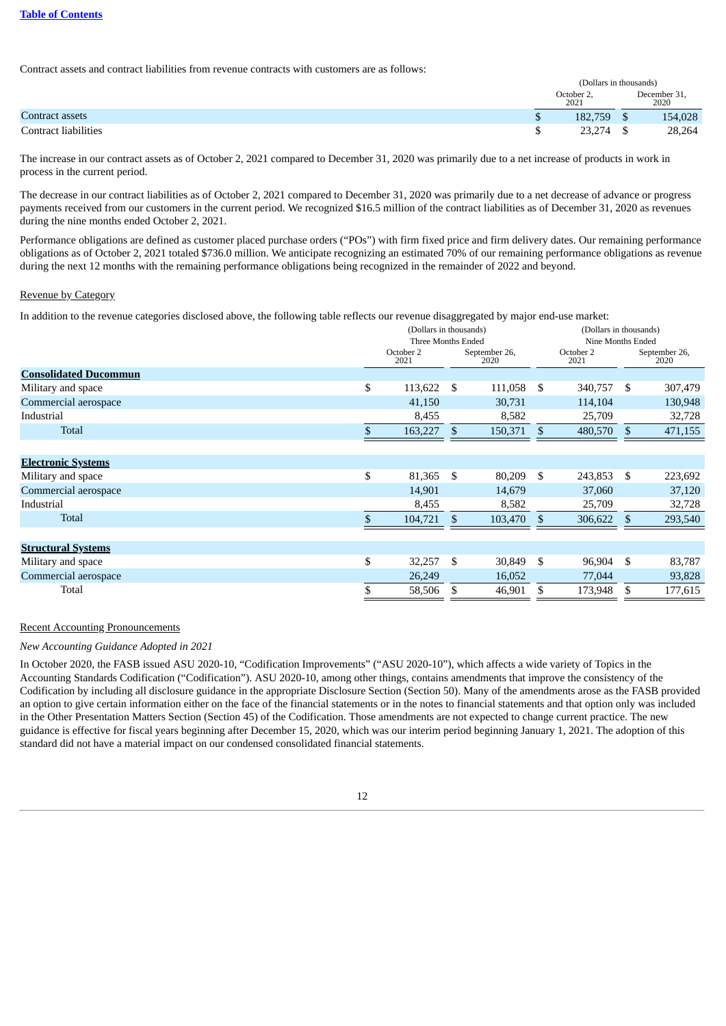Contract assets and contract liabilities from revenue contracts with customers are as follows:

|                        | (Dollars in thousands) |  |                      |  |
|------------------------|------------------------|--|----------------------|--|
|                        | October 2,<br>2021     |  | December 31,<br>2020 |  |
| <b>Contract assets</b> | 182,759                |  | 154,028              |  |
| Contract liabilities   | 23,274                 |  | 28,264               |  |

The increase in our contract assets as of October 2, 2021 compared to December 31, 2020 was primarily due to a net increase of products in work in process in the current period.

The decrease in our contract liabilities as of October 2, 2021 compared to December 31, 2020 was primarily due to a net decrease of advance or progress payments received from our customers in the current period. We recognized \$16.5 million of the contract liabilities as of December 31, 2020 as revenues during the nine months ended October 2, 2021.

Performance obligations are defined as customer placed purchase orders ("POs") with firm fixed price and firm delivery dates. Our remaining performance obligations as of October 2, 2021 totaled \$736.0 million. We anticipate recognizing an estimated 70% of our remaining performance obligations as revenue during the next 12 months with the remaining performance obligations being recognized in the remainder of 2022 and beyond.

#### Revenue by Category

In addition to the revenue categories disclosed above, the following table reflects our revenue disaggregated by major end-use market:

|                                            |     |                   |                                              | (Dollars in thousands)<br>Nine Months Ended |    |         |  |  |
|--------------------------------------------|-----|-------------------|----------------------------------------------|---------------------------------------------|----|---------|--|--|
| September 26,<br>October 2<br>2021<br>2020 |     | October 2<br>2021 |                                              | September 26,<br>2020                       |    |         |  |  |
|                                            |     |                   |                                              |                                             |    |         |  |  |
| \$<br>113,622                              | \$  | 111,058           | \$                                           | 340,757                                     | \$ | 307,479 |  |  |
| 41,150                                     |     | 30,731            |                                              | 114,104                                     |    | 130,948 |  |  |
| 8,455                                      |     | 8,582             |                                              | 25,709                                      |    | 32,728  |  |  |
| 163,227                                    | \$  | 150,371           | \$                                           | 480,570                                     | \$ | 471,155 |  |  |
|                                            |     |                   |                                              |                                             |    |         |  |  |
|                                            |     |                   |                                              |                                             |    |         |  |  |
| \$<br>81,365                               | \$  | 80,209            | \$                                           | 243,853                                     | \$ | 223,692 |  |  |
| 14,901                                     |     | 14,679            |                                              | 37,060                                      |    | 37,120  |  |  |
| 8,455                                      |     | 8,582             |                                              | 25,709                                      |    | 32,728  |  |  |
| 104,721                                    | \$. | 103,470           | \$.                                          | 306,622                                     | \$ | 293,540 |  |  |
|                                            |     |                   |                                              |                                             |    |         |  |  |
|                                            |     |                   |                                              |                                             |    |         |  |  |
| \$<br>32,257                               | \$  | 30,849            | \$                                           | 96,904                                      | \$ | 83,787  |  |  |
| 26,249                                     |     | 16,052            |                                              | 77,044                                      |    | 93,828  |  |  |
| 58,506                                     | \$  | 46,901            | \$                                           | 173,948                                     | S  | 177,615 |  |  |
|                                            |     |                   | (Dollars in thousands)<br>Three Months Ended |                                             |    |         |  |  |

#### Recent Accounting Pronouncements

#### *New Accounting Guidance Adopted in 2021*

In October 2020, the FASB issued ASU 2020-10, "Codification Improvements" ("ASU 2020-10"), which affects a wide variety of Topics in the Accounting Standards Codification ("Codification"). ASU 2020-10, among other things, contains amendments that improve the consistency of the Codification by including all disclosure guidance in the appropriate Disclosure Section (Section 50). Many of the amendments arose as the FASB provided an option to give certain information either on the face of the financial statements or in the notes to financial statements and that option only was included in the Other Presentation Matters Section (Section 45) of the Codification. Those amendments are not expected to change current practice. The new guidance is effective for fiscal years beginning after December 15, 2020, which was our interim period beginning January 1, 2021. The adoption of this standard did not have a material impact on our condensed consolidated financial statements.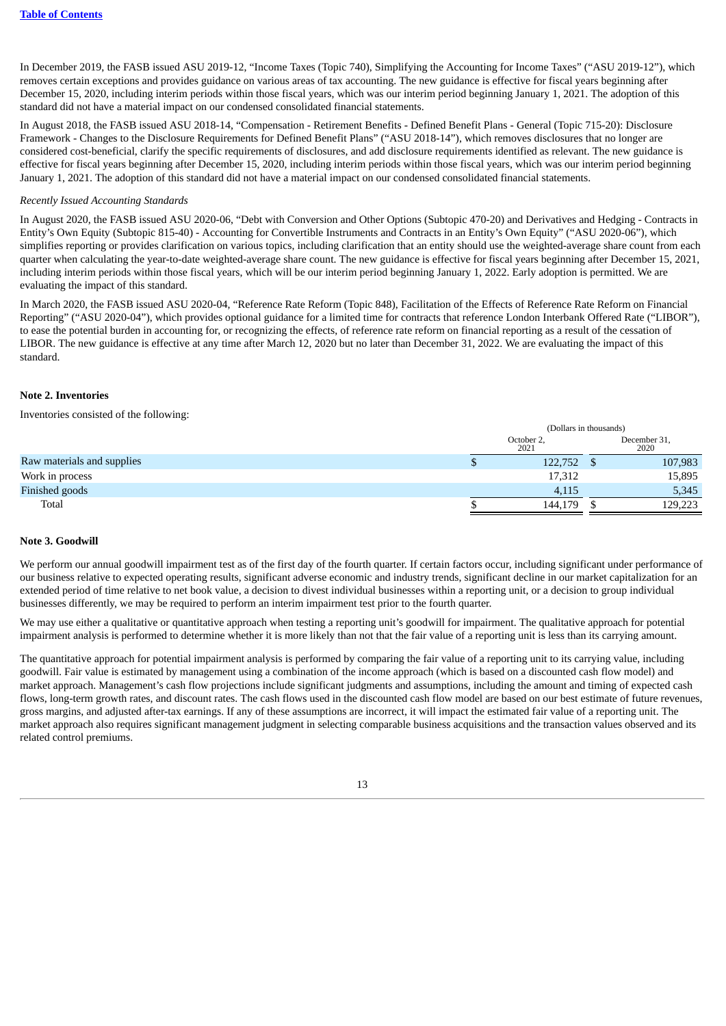In December 2019, the FASB issued ASU 2019-12, "Income Taxes (Topic 740), Simplifying the Accounting for Income Taxes" ("ASU 2019-12"), which removes certain exceptions and provides guidance on various areas of tax accounting. The new guidance is effective for fiscal years beginning after December 15, 2020, including interim periods within those fiscal years, which was our interim period beginning January 1, 2021. The adoption of this standard did not have a material impact on our condensed consolidated financial statements.

In August 2018, the FASB issued ASU 2018-14, "Compensation - Retirement Benefits - Defined Benefit Plans - General (Topic 715-20): Disclosure Framework - Changes to the Disclosure Requirements for Defined Benefit Plans" ("ASU 2018-14"), which removes disclosures that no longer are considered cost-beneficial, clarify the specific requirements of disclosures, and add disclosure requirements identified as relevant. The new guidance is effective for fiscal years beginning after December 15, 2020, including interim periods within those fiscal years, which was our interim period beginning January 1, 2021. The adoption of this standard did not have a material impact on our condensed consolidated financial statements.

#### *Recently Issued Accounting Standards*

In August 2020, the FASB issued ASU 2020-06, "Debt with Conversion and Other Options (Subtopic 470-20) and Derivatives and Hedging - Contracts in Entity's Own Equity (Subtopic 815-40) - Accounting for Convertible Instruments and Contracts in an Entity's Own Equity" ("ASU 2020-06"), which simplifies reporting or provides clarification on various topics, including clarification that an entity should use the weighted-average share count from each quarter when calculating the year-to-date weighted-average share count. The new guidance is effective for fiscal years beginning after December 15, 2021, including interim periods within those fiscal years, which will be our interim period beginning January 1, 2022. Early adoption is permitted. We are evaluating the impact of this standard.

In March 2020, the FASB issued ASU 2020-04, "Reference Rate Reform (Topic 848), Facilitation of the Effects of Reference Rate Reform on Financial Reporting" ("ASU 2020-04"), which provides optional guidance for a limited time for contracts that reference London Interbank Offered Rate ("LIBOR"), to ease the potential burden in accounting for, or recognizing the effects, of reference rate reform on financial reporting as a result of the cessation of LIBOR. The new guidance is effective at any time after March 12, 2020 but no later than December 31, 2022. We are evaluating the impact of this standard.

#### **Note 2. Inventories**

Inventories consisted of the following:

| October 2,<br>2021 |         |  | December 31,<br>2020   |
|--------------------|---------|--|------------------------|
|                    | 122,752 |  | 107,983                |
|                    | 17,312  |  | 15,895                 |
|                    | 4,115   |  | 5,345                  |
|                    | 144,179 |  | 129,223                |
|                    |         |  | (Dollars in thousands) |

(Dollars in thousands)

#### **Note 3. Goodwill**

We perform our annual goodwill impairment test as of the first day of the fourth quarter. If certain factors occur, including significant under performance of our business relative to expected operating results, significant adverse economic and industry trends, significant decline in our market capitalization for an extended period of time relative to net book value, a decision to divest individual businesses within a reporting unit, or a decision to group individual businesses differently, we may be required to perform an interim impairment test prior to the fourth quarter.

We may use either a qualitative or quantitative approach when testing a reporting unit's goodwill for impairment. The qualitative approach for potential impairment analysis is performed to determine whether it is more likely than not that the fair value of a reporting unit is less than its carrying amount.

The quantitative approach for potential impairment analysis is performed by comparing the fair value of a reporting unit to its carrying value, including goodwill. Fair value is estimated by management using a combination of the income approach (which is based on a discounted cash flow model) and market approach. Management's cash flow projections include significant judgments and assumptions, including the amount and timing of expected cash flows, long-term growth rates, and discount rates. The cash flows used in the discounted cash flow model are based on our best estimate of future revenues, gross margins, and adjusted after-tax earnings. If any of these assumptions are incorrect, it will impact the estimated fair value of a reporting unit. The market approach also requires significant management judgment in selecting comparable business acquisitions and the transaction values observed and its related control premiums.

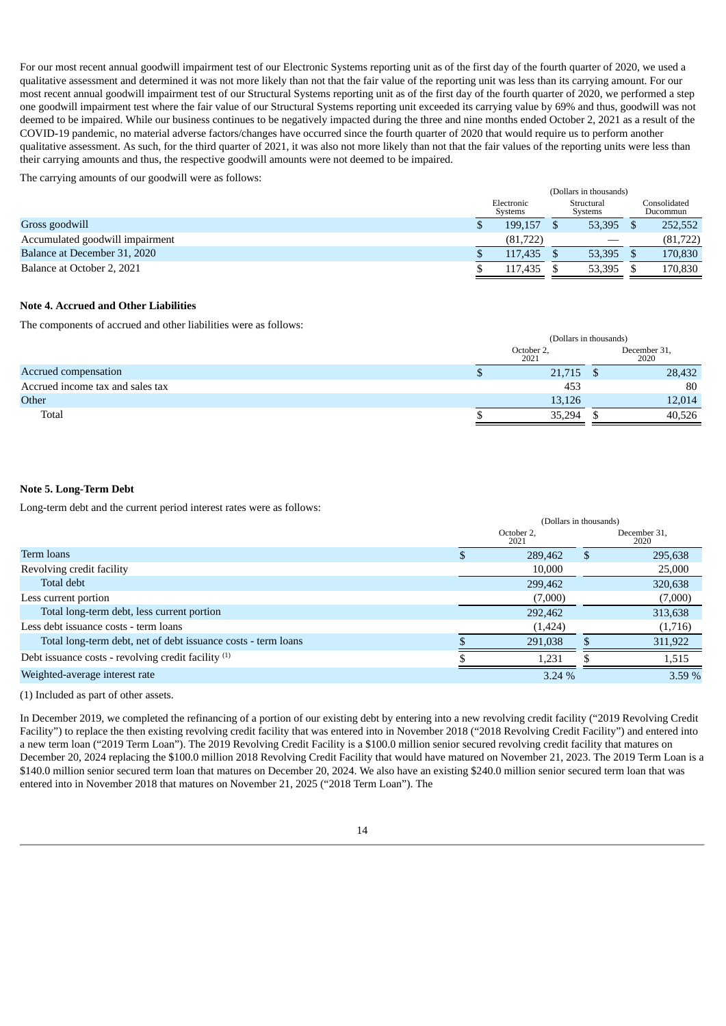For our most recent annual goodwill impairment test of our Electronic Systems reporting unit as of the first day of the fourth quarter of 2020, we used a qualitative assessment and determined it was not more likely than not that the fair value of the reporting unit was less than its carrying amount. For our most recent annual goodwill impairment test of our Structural Systems reporting unit as of the first day of the fourth quarter of 2020, we performed a step one goodwill impairment test where the fair value of our Structural Systems reporting unit exceeded its carrying value by 69% and thus, goodwill was not deemed to be impaired. While our business continues to be negatively impacted during the three and nine months ended October 2, 2021 as a result of the COVID-19 pandemic, no material adverse factors/changes have occurred since the fourth quarter of 2020 that would require us to perform another qualitative assessment. As such, for the third quarter of 2021, it was also not more likely than not that the fair values of the reporting units were less than their carrying amounts and thus, the respective goodwill amounts were not deemed to be impaired.

The carrying amounts of our goodwill were as follows:

|                                 | (Dollars in thousands) |                       |  |                       |  |                          |
|---------------------------------|------------------------|-----------------------|--|-----------------------|--|--------------------------|
|                                 |                        | Electronic<br>Systems |  | Structural<br>Systems |  | Consolidated<br>Ducommun |
| Gross goodwill                  |                        | 199,157               |  | 53,395                |  | 252,552                  |
| Accumulated goodwill impairment |                        | (81,722)              |  |                       |  | (81, 722)                |
| Balance at December 31, 2020    |                        | 117,435               |  | 53,395                |  | 170,830                  |
| Balance at October 2, 2021      |                        | 117,435               |  | 53,395                |  | 170,830                  |
|                                 |                        |                       |  |                       |  |                          |

## **Note 4. Accrued and Other Liabilities**

The components of accrued and other liabilities were as follows:

|                                  |                    | TDOIIdI'S III UIUUSdIIUS J |                      |  |  |
|----------------------------------|--------------------|----------------------------|----------------------|--|--|
|                                  | October 2,<br>2021 |                            | December 31,<br>2020 |  |  |
| Accrued compensation             | 21,715             |                            | 28,432               |  |  |
| Accrued income tax and sales tax | 453                |                            | 80                   |  |  |
| Other                            | 13,126             |                            | 12,014               |  |  |
| Total                            | 35.294             |                            | 40,526               |  |  |
|                                  |                    |                            |                      |  |  |

(Dollars in thousands)

## **Note 5. Long-Term Debt**

Long-term debt and the current period interest rates were as follows:

|                                                                | (Dollars in thousands) |     |                      |
|----------------------------------------------------------------|------------------------|-----|----------------------|
|                                                                | October 2.<br>2021     |     | December 31,<br>2020 |
| Term loans                                                     | 289,462                | \$. | 295,638              |
| Revolving credit facility                                      | 10,000                 |     | 25,000               |
| Total debt                                                     | 299,462                |     | 320,638              |
| Less current portion                                           | (7,000)                |     | (7,000)              |
| Total long-term debt, less current portion                     | 292,462                |     | 313,638              |
| Less debt issuance costs - term loans                          | (1,424)                |     | (1,716)              |
| Total long-term debt, net of debt issuance costs - term loans  | 291,038                |     | 311,922              |
| Debt issuance costs - revolving credit facility <sup>(1)</sup> | 1,231                  |     | 1,515                |
| Weighted-average interest rate                                 | 3.24%                  |     | 3.59%                |

(1) Included as part of other assets.

In December 2019, we completed the refinancing of a portion of our existing debt by entering into a new revolving credit facility ("2019 Revolving Credit Facility") to replace the then existing revolving credit facility that was entered into in November 2018 ("2018 Revolving Credit Facility") and entered into a new term loan ("2019 Term Loan"). The 2019 Revolving Credit Facility is a \$100.0 million senior secured revolving credit facility that matures on December 20, 2024 replacing the \$100.0 million 2018 Revolving Credit Facility that would have matured on November 21, 2023. The 2019 Term Loan is a \$140.0 million senior secured term loan that matures on December 20, 2024. We also have an existing \$240.0 million senior secured term loan that was entered into in November 2018 that matures on November 21, 2025 ("2018 Term Loan"). The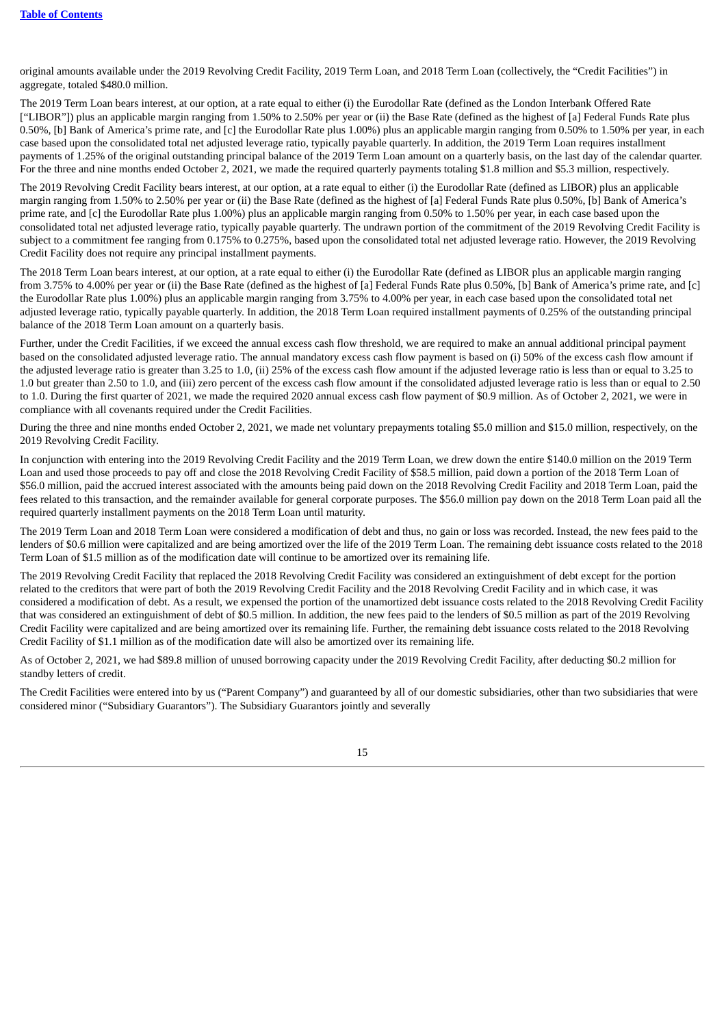original amounts available under the 2019 Revolving Credit Facility, 2019 Term Loan, and 2018 Term Loan (collectively, the "Credit Facilities") in aggregate, totaled \$480.0 million.

The 2019 Term Loan bears interest, at our option, at a rate equal to either (i) the Eurodollar Rate (defined as the London Interbank Offered Rate ["LIBOR"]) plus an applicable margin ranging from 1.50% to 2.50% per year or (ii) the Base Rate (defined as the highest of [a] Federal Funds Rate plus 0.50%, [b] Bank of America's prime rate, and [c] the Eurodollar Rate plus 1.00%) plus an applicable margin ranging from 0.50% to 1.50% per year, in each case based upon the consolidated total net adjusted leverage ratio, typically payable quarterly. In addition, the 2019 Term Loan requires installment payments of 1.25% of the original outstanding principal balance of the 2019 Term Loan amount on a quarterly basis, on the last day of the calendar quarter. For the three and nine months ended October 2, 2021, we made the required quarterly payments totaling \$1.8 million and \$5.3 million, respectively.

The 2019 Revolving Credit Facility bears interest, at our option, at a rate equal to either (i) the Eurodollar Rate (defined as LIBOR) plus an applicable margin ranging from 1.50% to 2.50% per year or (ii) the Base Rate (defined as the highest of [a] Federal Funds Rate plus 0.50%, [b] Bank of America's prime rate, and [c] the Eurodollar Rate plus 1.00%) plus an applicable margin ranging from 0.50% to 1.50% per year, in each case based upon the consolidated total net adjusted leverage ratio, typically payable quarterly. The undrawn portion of the commitment of the 2019 Revolving Credit Facility is subject to a commitment fee ranging from 0.175% to 0.275%, based upon the consolidated total net adjusted leverage ratio. However, the 2019 Revolving Credit Facility does not require any principal installment payments.

The 2018 Term Loan bears interest, at our option, at a rate equal to either (i) the Eurodollar Rate (defined as LIBOR plus an applicable margin ranging from 3.75% to 4.00% per year or (ii) the Base Rate (defined as the highest of [a] Federal Funds Rate plus 0.50%, [b] Bank of America's prime rate, and [c] the Eurodollar Rate plus 1.00%) plus an applicable margin ranging from 3.75% to 4.00% per year, in each case based upon the consolidated total net adjusted leverage ratio, typically payable quarterly. In addition, the 2018 Term Loan required installment payments of 0.25% of the outstanding principal balance of the 2018 Term Loan amount on a quarterly basis.

Further, under the Credit Facilities, if we exceed the annual excess cash flow threshold, we are required to make an annual additional principal payment based on the consolidated adjusted leverage ratio. The annual mandatory excess cash flow payment is based on (i) 50% of the excess cash flow amount if the adjusted leverage ratio is greater than 3.25 to 1.0, (ii) 25% of the excess cash flow amount if the adjusted leverage ratio is less than or equal to 3.25 to 1.0 but greater than 2.50 to 1.0, and (iii) zero percent of the excess cash flow amount if the consolidated adjusted leverage ratio is less than or equal to 2.50 to 1.0. During the first quarter of 2021, we made the required 2020 annual excess cash flow payment of \$0.9 million. As of October 2, 2021, we were in compliance with all covenants required under the Credit Facilities.

During the three and nine months ended October 2, 2021, we made net voluntary prepayments totaling \$5.0 million and \$15.0 million, respectively, on the 2019 Revolving Credit Facility.

In conjunction with entering into the 2019 Revolving Credit Facility and the 2019 Term Loan, we drew down the entire \$140.0 million on the 2019 Term Loan and used those proceeds to pay off and close the 2018 Revolving Credit Facility of \$58.5 million, paid down a portion of the 2018 Term Loan of \$56.0 million, paid the accrued interest associated with the amounts being paid down on the 2018 Revolving Credit Facility and 2018 Term Loan, paid the fees related to this transaction, and the remainder available for general corporate purposes. The \$56.0 million pay down on the 2018 Term Loan paid all the required quarterly installment payments on the 2018 Term Loan until maturity.

The 2019 Term Loan and 2018 Term Loan were considered a modification of debt and thus, no gain or loss was recorded. Instead, the new fees paid to the lenders of \$0.6 million were capitalized and are being amortized over the life of the 2019 Term Loan. The remaining debt issuance costs related to the 2018 Term Loan of \$1.5 million as of the modification date will continue to be amortized over its remaining life.

The 2019 Revolving Credit Facility that replaced the 2018 Revolving Credit Facility was considered an extinguishment of debt except for the portion related to the creditors that were part of both the 2019 Revolving Credit Facility and the 2018 Revolving Credit Facility and in which case, it was considered a modification of debt. As a result, we expensed the portion of the unamortized debt issuance costs related to the 2018 Revolving Credit Facility that was considered an extinguishment of debt of \$0.5 million. In addition, the new fees paid to the lenders of \$0.5 million as part of the 2019 Revolving Credit Facility were capitalized and are being amortized over its remaining life. Further, the remaining debt issuance costs related to the 2018 Revolving Credit Facility of \$1.1 million as of the modification date will also be amortized over its remaining life.

As of October 2, 2021, we had \$89.8 million of unused borrowing capacity under the 2019 Revolving Credit Facility, after deducting \$0.2 million for standby letters of credit.

The Credit Facilities were entered into by us ("Parent Company") and guaranteed by all of our domestic subsidiaries, other than two subsidiaries that were considered minor ("Subsidiary Guarantors"). The Subsidiary Guarantors jointly and severally

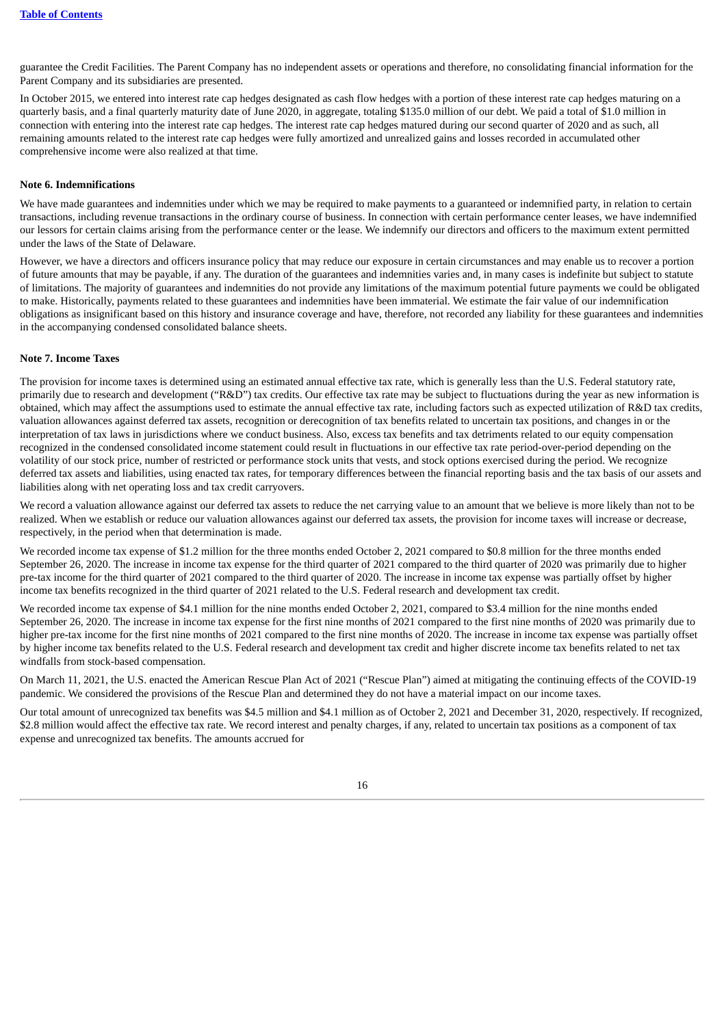guarantee the Credit Facilities. The Parent Company has no independent assets or operations and therefore, no consolidating financial information for the Parent Company and its subsidiaries are presented.

In October 2015, we entered into interest rate cap hedges designated as cash flow hedges with a portion of these interest rate cap hedges maturing on a quarterly basis, and a final quarterly maturity date of June 2020, in aggregate, totaling \$135.0 million of our debt. We paid a total of \$1.0 million in connection with entering into the interest rate cap hedges. The interest rate cap hedges matured during our second quarter of 2020 and as such, all remaining amounts related to the interest rate cap hedges were fully amortized and unrealized gains and losses recorded in accumulated other comprehensive income were also realized at that time.

#### **Note 6. Indemnifications**

We have made guarantees and indemnities under which we may be required to make payments to a guaranteed or indemnified party, in relation to certain transactions, including revenue transactions in the ordinary course of business. In connection with certain performance center leases, we have indemnified our lessors for certain claims arising from the performance center or the lease. We indemnify our directors and officers to the maximum extent permitted under the laws of the State of Delaware.

However, we have a directors and officers insurance policy that may reduce our exposure in certain circumstances and may enable us to recover a portion of future amounts that may be payable, if any. The duration of the guarantees and indemnities varies and, in many cases is indefinite but subject to statute of limitations. The majority of guarantees and indemnities do not provide any limitations of the maximum potential future payments we could be obligated to make. Historically, payments related to these guarantees and indemnities have been immaterial. We estimate the fair value of our indemnification obligations as insignificant based on this history and insurance coverage and have, therefore, not recorded any liability for these guarantees and indemnities in the accompanying condensed consolidated balance sheets.

#### **Note 7. Income Taxes**

The provision for income taxes is determined using an estimated annual effective tax rate, which is generally less than the U.S. Federal statutory rate, primarily due to research and development ("R&D") tax credits. Our effective tax rate may be subject to fluctuations during the year as new information is obtained, which may affect the assumptions used to estimate the annual effective tax rate, including factors such as expected utilization of R&D tax credits, valuation allowances against deferred tax assets, recognition or derecognition of tax benefits related to uncertain tax positions, and changes in or the interpretation of tax laws in jurisdictions where we conduct business. Also, excess tax benefits and tax detriments related to our equity compensation recognized in the condensed consolidated income statement could result in fluctuations in our effective tax rate period-over-period depending on the volatility of our stock price, number of restricted or performance stock units that vests, and stock options exercised during the period. We recognize deferred tax assets and liabilities, using enacted tax rates, for temporary differences between the financial reporting basis and the tax basis of our assets and liabilities along with net operating loss and tax credit carryovers.

We record a valuation allowance against our deferred tax assets to reduce the net carrying value to an amount that we believe is more likely than not to be realized. When we establish or reduce our valuation allowances against our deferred tax assets, the provision for income taxes will increase or decrease, respectively, in the period when that determination is made.

We recorded income tax expense of \$1.2 million for the three months ended October 2, 2021 compared to \$0.8 million for the three months ended September 26, 2020. The increase in income tax expense for the third quarter of 2021 compared to the third quarter of 2020 was primarily due to higher pre-tax income for the third quarter of 2021 compared to the third quarter of 2020. The increase in income tax expense was partially offset by higher income tax benefits recognized in the third quarter of 2021 related to the U.S. Federal research and development tax credit.

We recorded income tax expense of \$4.1 million for the nine months ended October 2, 2021, compared to \$3.4 million for the nine months ended September 26, 2020. The increase in income tax expense for the first nine months of 2021 compared to the first nine months of 2020 was primarily due to higher pre-tax income for the first nine months of 2021 compared to the first nine months of 2020. The increase in income tax expense was partially offset by higher income tax benefits related to the U.S. Federal research and development tax credit and higher discrete income tax benefits related to net tax windfalls from stock-based compensation.

On March 11, 2021, the U.S. enacted the American Rescue Plan Act of 2021 ("Rescue Plan") aimed at mitigating the continuing effects of the COVID-19 pandemic. We considered the provisions of the Rescue Plan and determined they do not have a material impact on our income taxes.

Our total amount of unrecognized tax benefits was \$4.5 million and \$4.1 million as of October 2, 2021 and December 31, 2020, respectively. If recognized, \$2.8 million would affect the effective tax rate. We record interest and penalty charges, if any, related to uncertain tax positions as a component of tax expense and unrecognized tax benefits. The amounts accrued for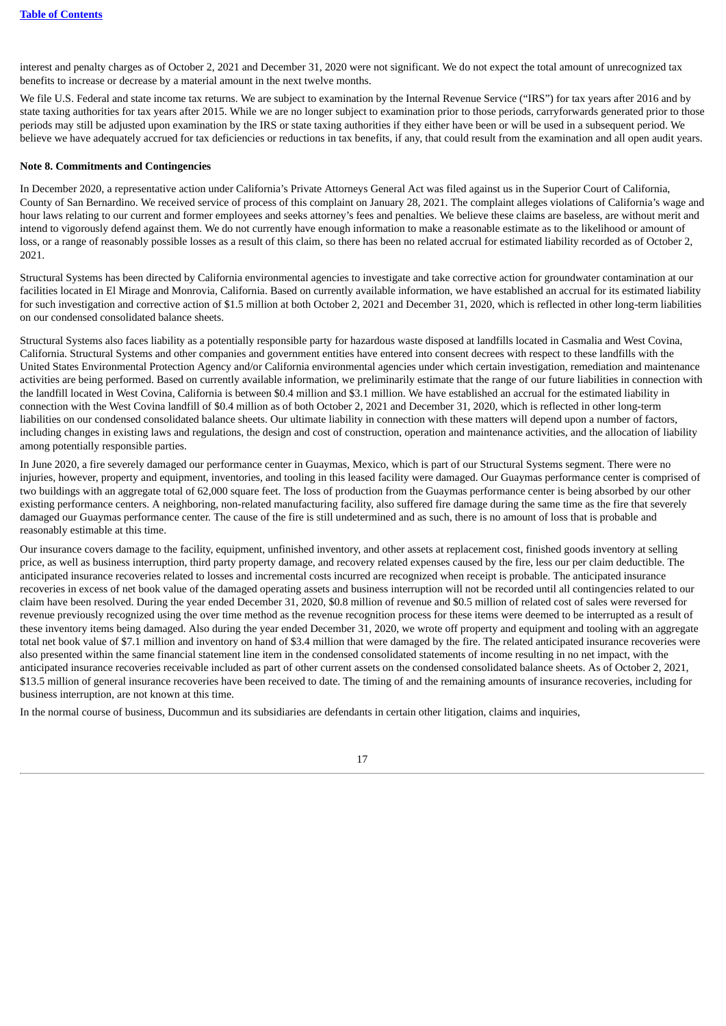interest and penalty charges as of October 2, 2021 and December 31, 2020 were not significant. We do not expect the total amount of unrecognized tax benefits to increase or decrease by a material amount in the next twelve months.

We file U.S. Federal and state income tax returns. We are subject to examination by the Internal Revenue Service ("IRS") for tax years after 2016 and by state taxing authorities for tax years after 2015. While we are no longer subject to examination prior to those periods, carryforwards generated prior to those periods may still be adjusted upon examination by the IRS or state taxing authorities if they either have been or will be used in a subsequent period. We believe we have adequately accrued for tax deficiencies or reductions in tax benefits, if any, that could result from the examination and all open audit years.

#### **Note 8. Commitments and Contingencies**

In December 2020, a representative action under California's Private Attorneys General Act was filed against us in the Superior Court of California, County of San Bernardino. We received service of process of this complaint on January 28, 2021. The complaint alleges violations of California's wage and hour laws relating to our current and former employees and seeks attorney's fees and penalties. We believe these claims are baseless, are without merit and intend to vigorously defend against them. We do not currently have enough information to make a reasonable estimate as to the likelihood or amount of loss, or a range of reasonably possible losses as a result of this claim, so there has been no related accrual for estimated liability recorded as of October 2, 2021.

Structural Systems has been directed by California environmental agencies to investigate and take corrective action for groundwater contamination at our facilities located in El Mirage and Monrovia, California. Based on currently available information, we have established an accrual for its estimated liability for such investigation and corrective action of \$1.5 million at both October 2, 2021 and December 31, 2020, which is reflected in other long-term liabilities on our condensed consolidated balance sheets.

Structural Systems also faces liability as a potentially responsible party for hazardous waste disposed at landfills located in Casmalia and West Covina, California. Structural Systems and other companies and government entities have entered into consent decrees with respect to these landfills with the United States Environmental Protection Agency and/or California environmental agencies under which certain investigation, remediation and maintenance activities are being performed. Based on currently available information, we preliminarily estimate that the range of our future liabilities in connection with the landfill located in West Covina, California is between \$0.4 million and \$3.1 million. We have established an accrual for the estimated liability in connection with the West Covina landfill of \$0.4 million as of both October 2, 2021 and December 31, 2020, which is reflected in other long-term liabilities on our condensed consolidated balance sheets. Our ultimate liability in connection with these matters will depend upon a number of factors, including changes in existing laws and regulations, the design and cost of construction, operation and maintenance activities, and the allocation of liability among potentially responsible parties.

In June 2020, a fire severely damaged our performance center in Guaymas, Mexico, which is part of our Structural Systems segment. There were no injuries, however, property and equipment, inventories, and tooling in this leased facility were damaged. Our Guaymas performance center is comprised of two buildings with an aggregate total of 62,000 square feet. The loss of production from the Guaymas performance center is being absorbed by our other existing performance centers. A neighboring, non-related manufacturing facility, also suffered fire damage during the same time as the fire that severely damaged our Guaymas performance center. The cause of the fire is still undetermined and as such, there is no amount of loss that is probable and reasonably estimable at this time.

Our insurance covers damage to the facility, equipment, unfinished inventory, and other assets at replacement cost, finished goods inventory at selling price, as well as business interruption, third party property damage, and recovery related expenses caused by the fire, less our per claim deductible. The anticipated insurance recoveries related to losses and incremental costs incurred are recognized when receipt is probable. The anticipated insurance recoveries in excess of net book value of the damaged operating assets and business interruption will not be recorded until all contingencies related to our claim have been resolved. During the year ended December 31, 2020, \$0.8 million of revenue and \$0.5 million of related cost of sales were reversed for revenue previously recognized using the over time method as the revenue recognition process for these items were deemed to be interrupted as a result of these inventory items being damaged. Also during the year ended December 31, 2020, we wrote off property and equipment and tooling with an aggregate total net book value of \$7.1 million and inventory on hand of \$3.4 million that were damaged by the fire. The related anticipated insurance recoveries were also presented within the same financial statement line item in the condensed consolidated statements of income resulting in no net impact, with the anticipated insurance recoveries receivable included as part of other current assets on the condensed consolidated balance sheets. As of October 2, 2021, \$13.5 million of general insurance recoveries have been received to date. The timing of and the remaining amounts of insurance recoveries, including for business interruption, are not known at this time.

In the normal course of business, Ducommun and its subsidiaries are defendants in certain other litigation, claims and inquiries,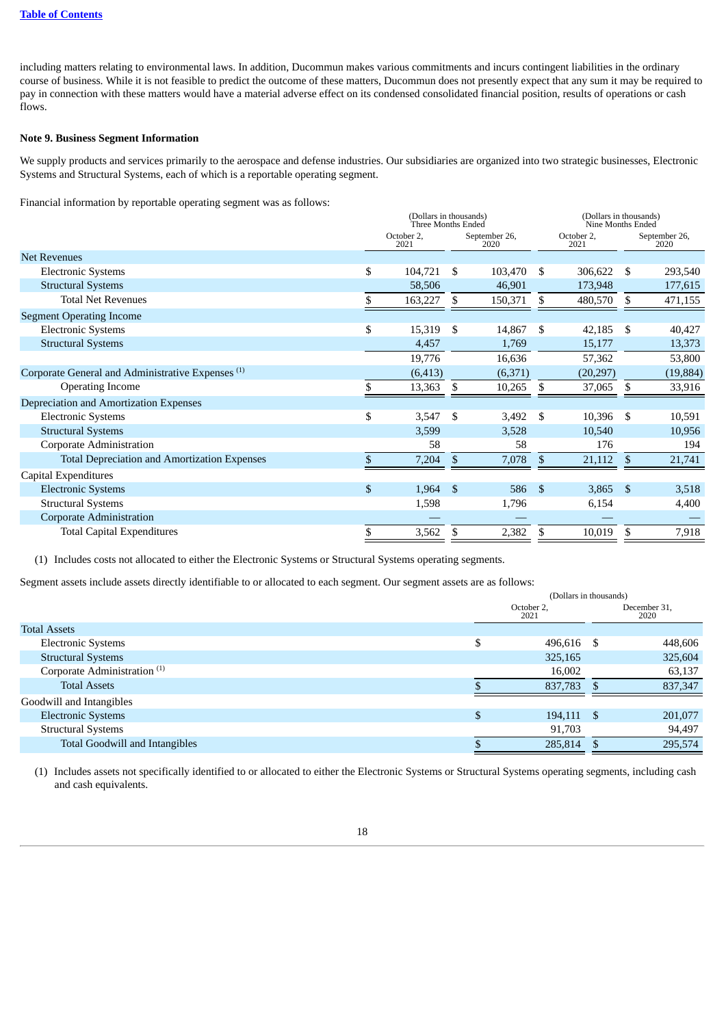including matters relating to environmental laws. In addition, Ducommun makes various commitments and incurs contingent liabilities in the ordinary course of business. While it is not feasible to predict the outcome of these matters, Ducommun does not presently expect that any sum it may be required to pay in connection with these matters would have a material adverse effect on its condensed consolidated financial position, results of operations or cash flows.

#### **Note 9. Business Segment Information**

We supply products and services primarily to the aerospace and defense industries. Our subsidiaries are organized into two strategic businesses, Electronic Systems and Structural Systems, each of which is a reportable operating segment.

Financial information by reportable operating segment was as follows:

|                                                              | (Dollars in thousands)<br>Three Months Ended |     |                       |                    | (Dollars in thousands)<br>Nine Months Ended |     |                       |  |
|--------------------------------------------------------------|----------------------------------------------|-----|-----------------------|--------------------|---------------------------------------------|-----|-----------------------|--|
|                                                              | October 2.<br>2021                           |     | September 26,<br>2020 |                    | October 2,<br>2021                          |     | September 26,<br>2020 |  |
| <b>Net Revenues</b>                                          |                                              |     |                       |                    |                                             |     |                       |  |
| <b>Electronic Systems</b>                                    | \$<br>104,721                                | \$. | 103,470               | \$                 | 306,622                                     | \$. | 293,540               |  |
| <b>Structural Systems</b>                                    | 58,506                                       |     | 46,901                |                    | 173,948                                     |     | 177,615               |  |
| <b>Total Net Revenues</b>                                    | 163,227                                      | \$  | 150,371               | \$                 | 480,570                                     | \$  | 471,155               |  |
| <b>Segment Operating Income</b>                              |                                              |     |                       |                    |                                             |     |                       |  |
| <b>Electronic Systems</b>                                    | \$<br>15,319                                 | \$  | 14,867                | -S                 | 42,185                                      | \$  | 40,427                |  |
| <b>Structural Systems</b>                                    | 4,457                                        |     | 1,769                 |                    | 15,177                                      |     | 13,373                |  |
|                                                              | 19,776                                       |     | 16,636                |                    | 57,362                                      |     | 53,800                |  |
| Corporate General and Administrative Expenses <sup>(1)</sup> | (6, 413)                                     |     | (6,371)               |                    | (20, 297)                                   |     | (19, 884)             |  |
| <b>Operating Income</b>                                      | 13,363                                       | \$  | 10,265                | \$                 | 37,065                                      | S.  | 33,916                |  |
| <b>Depreciation and Amortization Expenses</b>                |                                              |     |                       |                    |                                             |     |                       |  |
| <b>Electronic Systems</b>                                    | \$<br>3,547                                  | \$  | 3,492                 | S                  | 10,396                                      | S   | 10,591                |  |
| <b>Structural Systems</b>                                    | 3,599                                        |     | 3,528                 |                    | 10,540                                      |     | 10,956                |  |
| Corporate Administration                                     | 58                                           |     | 58                    |                    | 176                                         |     | 194                   |  |
| <b>Total Depreciation and Amortization Expenses</b>          | \$<br>7,204                                  | \$  | 7,078                 | \$                 | 21,112                                      | \$  | 21,741                |  |
| Capital Expenditures                                         |                                              |     |                       |                    |                                             |     |                       |  |
| <b>Electronic Systems</b>                                    | \$<br>1,964                                  | -\$ | 586                   | $\mathbf{\hat{S}}$ | 3,865                                       | -\$ | 3,518                 |  |
| <b>Structural Systems</b>                                    | 1,598                                        |     | 1,796                 |                    | 6,154                                       |     | 4,400                 |  |
| <b>Corporate Administration</b>                              |                                              |     |                       |                    |                                             |     |                       |  |
| <b>Total Capital Expenditures</b>                            | 3,562                                        | S   | 2,382                 | S                  | 10,019                                      | \$  | 7,918                 |  |

(1) Includes costs not allocated to either the Electronic Systems or Structural Systems operating segments.

Segment assets include assets directly identifiable to or allocated to each segment. Our segment assets are as follows:

|                                         | (Dollars in thousands) |                      |
|-----------------------------------------|------------------------|----------------------|
|                                         | October 2,<br>2021     | December 31,<br>2020 |
| <b>Total Assets</b>                     |                        |                      |
| <b>Electronic Systems</b>               | 496,616 \$             | 448,606              |
| <b>Structural Systems</b>               | 325,165                | 325,604              |
| Corporate Administration <sup>(1)</sup> | 16,002                 | 63,137               |
| <b>Total Assets</b>                     | 837,783                | 837,347              |
| Goodwill and Intangibles                |                        |                      |
| <b>Electronic Systems</b>               | \$<br>194,111 \$       | 201,077              |
| <b>Structural Systems</b>               | 91,703                 | 94,497               |
| <b>Total Goodwill and Intangibles</b>   | 285,814                | 295,574              |

<span id="page-17-0"></span>(1) Includes assets not specifically identified to or allocated to either the Electronic Systems or Structural Systems operating segments, including cash and cash equivalents.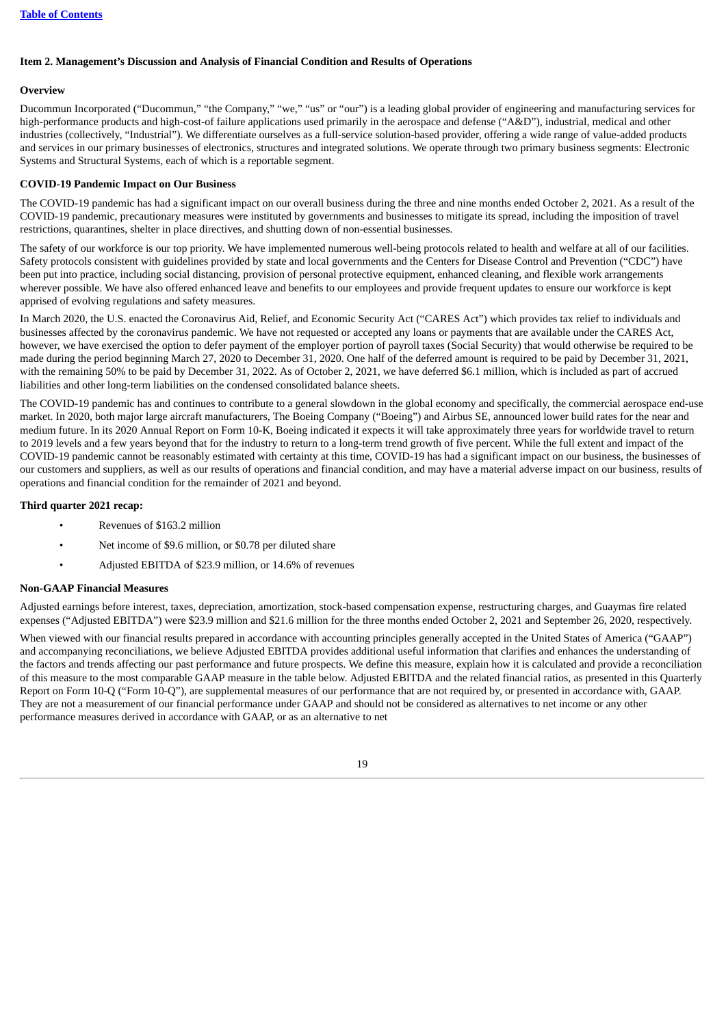### **Item 2. Management's Discussion and Analysis of Financial Condition and Results of Operations**

#### **Overview**

Ducommun Incorporated ("Ducommun," "the Company," "we," "us" or "our") is a leading global provider of engineering and manufacturing services for high-performance products and high-cost-of failure applications used primarily in the aerospace and defense ("A&D"), industrial, medical and other industries (collectively, "Industrial"). We differentiate ourselves as a full-service solution-based provider, offering a wide range of value-added products and services in our primary businesses of electronics, structures and integrated solutions. We operate through two primary business segments: Electronic Systems and Structural Systems, each of which is a reportable segment.

#### **COVID-19 Pandemic Impact on Our Business**

The COVID-19 pandemic has had a significant impact on our overall business during the three and nine months ended October 2, 2021. As a result of the COVID-19 pandemic, precautionary measures were instituted by governments and businesses to mitigate its spread, including the imposition of travel restrictions, quarantines, shelter in place directives, and shutting down of non-essential businesses.

The safety of our workforce is our top priority. We have implemented numerous well-being protocols related to health and welfare at all of our facilities. Safety protocols consistent with guidelines provided by state and local governments and the Centers for Disease Control and Prevention ("CDC") have been put into practice, including social distancing, provision of personal protective equipment, enhanced cleaning, and flexible work arrangements wherever possible. We have also offered enhanced leave and benefits to our employees and provide frequent updates to ensure our workforce is kept apprised of evolving regulations and safety measures.

In March 2020, the U.S. enacted the Coronavirus Aid, Relief, and Economic Security Act ("CARES Act") which provides tax relief to individuals and businesses affected by the coronavirus pandemic. We have not requested or accepted any loans or payments that are available under the CARES Act, however, we have exercised the option to defer payment of the employer portion of payroll taxes (Social Security) that would otherwise be required to be made during the period beginning March 27, 2020 to December 31, 2020. One half of the deferred amount is required to be paid by December 31, 2021, with the remaining 50% to be paid by December 31, 2022. As of October 2, 2021, we have deferred \$6.1 million, which is included as part of accrued liabilities and other long-term liabilities on the condensed consolidated balance sheets.

The COVID-19 pandemic has and continues to contribute to a general slowdown in the global economy and specifically, the commercial aerospace end-use market. In 2020, both major large aircraft manufacturers, The Boeing Company ("Boeing") and Airbus SE, announced lower build rates for the near and medium future. In its 2020 Annual Report on Form 10-K, Boeing indicated it expects it will take approximately three years for worldwide travel to return to 2019 levels and a few years beyond that for the industry to return to a long-term trend growth of five percent. While the full extent and impact of the COVID-19 pandemic cannot be reasonably estimated with certainty at this time, COVID-19 has had a significant impact on our business, the businesses of our customers and suppliers, as well as our results of operations and financial condition, and may have a material adverse impact on our business, results of operations and financial condition for the remainder of 2021 and beyond.

#### **Third quarter 2021 recap:**

- Revenues of \$163.2 million
- Net income of \$9.6 million, or \$0.78 per diluted share
- Adjusted EBITDA of \$23.9 million, or 14.6% of revenues

#### **Non-GAAP Financial Measures**

Adjusted earnings before interest, taxes, depreciation, amortization, stock-based compensation expense, restructuring charges, and Guaymas fire related expenses ("Adjusted EBITDA") were \$23.9 million and \$21.6 million for the three months ended October 2, 2021 and September 26, 2020, respectively.

When viewed with our financial results prepared in accordance with accounting principles generally accepted in the United States of America ("GAAP") and accompanying reconciliations, we believe Adjusted EBITDA provides additional useful information that clarifies and enhances the understanding of the factors and trends affecting our past performance and future prospects. We define this measure, explain how it is calculated and provide a reconciliation of this measure to the most comparable GAAP measure in the table below. Adjusted EBITDA and the related financial ratios, as presented in this Quarterly Report on Form 10-Q ("Form 10-Q"), are supplemental measures of our performance that are not required by, or presented in accordance with, GAAP. They are not a measurement of our financial performance under GAAP and should not be considered as alternatives to net income or any other performance measures derived in accordance with GAAP, or as an alternative to net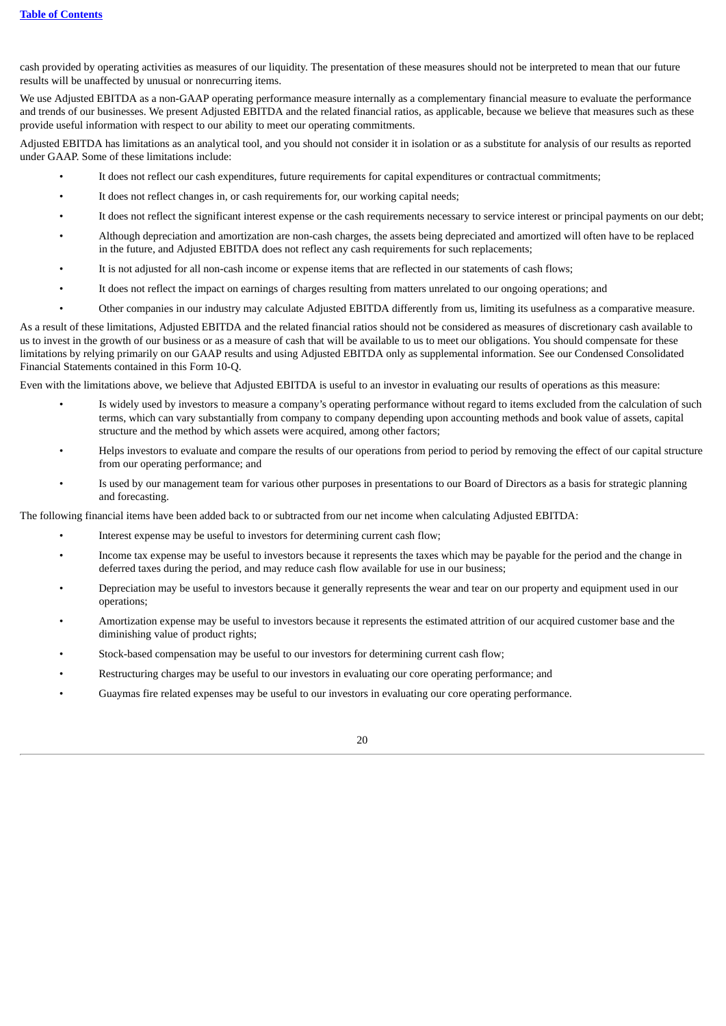cash provided by operating activities as measures of our liquidity. The presentation of these measures should not be interpreted to mean that our future results will be unaffected by unusual or nonrecurring items.

We use Adjusted EBITDA as a non-GAAP operating performance measure internally as a complementary financial measure to evaluate the performance and trends of our businesses. We present Adjusted EBITDA and the related financial ratios, as applicable, because we believe that measures such as these provide useful information with respect to our ability to meet our operating commitments.

Adjusted EBITDA has limitations as an analytical tool, and you should not consider it in isolation or as a substitute for analysis of our results as reported under GAAP. Some of these limitations include:

- It does not reflect our cash expenditures, future requirements for capital expenditures or contractual commitments;
- It does not reflect changes in, or cash requirements for, our working capital needs;
- It does not reflect the significant interest expense or the cash requirements necessary to service interest or principal payments on our debt;
- Although depreciation and amortization are non-cash charges, the assets being depreciated and amortized will often have to be replaced in the future, and Adjusted EBITDA does not reflect any cash requirements for such replacements;
- It is not adjusted for all non-cash income or expense items that are reflected in our statements of cash flows;
- It does not reflect the impact on earnings of charges resulting from matters unrelated to our ongoing operations; and
- Other companies in our industry may calculate Adjusted EBITDA differently from us, limiting its usefulness as a comparative measure.

As a result of these limitations, Adjusted EBITDA and the related financial ratios should not be considered as measures of discretionary cash available to us to invest in the growth of our business or as a measure of cash that will be available to us to meet our obligations. You should compensate for these limitations by relying primarily on our GAAP results and using Adjusted EBITDA only as supplemental information. See our Condensed Consolidated Financial Statements contained in this Form 10-Q.

Even with the limitations above, we believe that Adjusted EBITDA is useful to an investor in evaluating our results of operations as this measure:

- Is widely used by investors to measure a company's operating performance without regard to items excluded from the calculation of such terms, which can vary substantially from company to company depending upon accounting methods and book value of assets, capital structure and the method by which assets were acquired, among other factors;
- Helps investors to evaluate and compare the results of our operations from period to period by removing the effect of our capital structure from our operating performance; and
- Is used by our management team for various other purposes in presentations to our Board of Directors as a basis for strategic planning and forecasting.

The following financial items have been added back to or subtracted from our net income when calculating Adjusted EBITDA:

- Interest expense may be useful to investors for determining current cash flow;
- Income tax expense may be useful to investors because it represents the taxes which may be payable for the period and the change in deferred taxes during the period, and may reduce cash flow available for use in our business;
- Depreciation may be useful to investors because it generally represents the wear and tear on our property and equipment used in our operations;
- Amortization expense may be useful to investors because it represents the estimated attrition of our acquired customer base and the diminishing value of product rights;
- Stock-based compensation may be useful to our investors for determining current cash flow;
- Restructuring charges may be useful to our investors in evaluating our core operating performance; and
- Guaymas fire related expenses may be useful to our investors in evaluating our core operating performance.

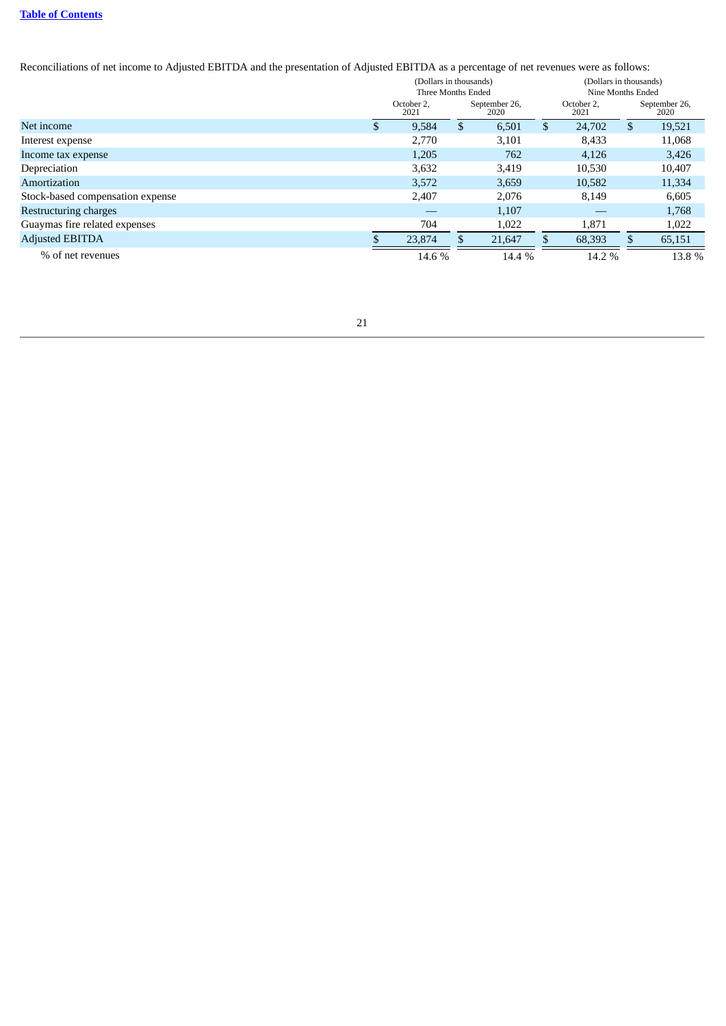## **Table of [Contents](#page-0-0)**

| Reconciliations of net income to Adjusted EBITDA and the presentation of Adjusted EBITDA as a percentage of net revenues were as follows: |    |                        |    |                       |    |                        |    |                       |  |  |  |
|-------------------------------------------------------------------------------------------------------------------------------------------|----|------------------------|----|-----------------------|----|------------------------|----|-----------------------|--|--|--|
|                                                                                                                                           |    | (Dollars in thousands) |    |                       |    | (Dollars in thousands) |    |                       |  |  |  |
|                                                                                                                                           |    | Three Months Ended     |    |                       |    | Nine Months Ended      |    |                       |  |  |  |
|                                                                                                                                           |    | October 2.<br>2021     |    | September 26,<br>2020 |    | October 2.<br>2021     |    | September 26,<br>2020 |  |  |  |
| Net income                                                                                                                                | \$ | 9,584                  | \$ | 6,501                 | \$ | 24,702                 | \$ | 19,521                |  |  |  |
| Interest expense                                                                                                                          |    | 2.770                  |    | 3,101                 |    | 8.433                  |    | 11,068                |  |  |  |
| Income tax expense                                                                                                                        |    | 1,205                  |    | 762                   |    | 4,126                  |    | 3,426                 |  |  |  |
| Depreciation                                                                                                                              |    | 3,632                  |    | 3,419                 |    | 10.530                 |    | 10,407                |  |  |  |
| Amortization                                                                                                                              |    | 3.572                  |    | 3,659                 |    | 10,582                 |    | 11,334                |  |  |  |
| Stock-based compensation expense                                                                                                          |    | 2.407                  |    | 2,076                 |    | 8.149                  |    | 6,605                 |  |  |  |
| Restructuring charges                                                                                                                     |    |                        |    | 1,107                 |    |                        |    | 1,768                 |  |  |  |
| Guaymas fire related expenses                                                                                                             |    | 704                    |    | 1,022                 |    | 1,871                  |    | 1,022                 |  |  |  |
| <b>Adjusted EBITDA</b>                                                                                                                    |    | 23,874                 |    | 21,647                |    | 68,393                 |    | 65,151                |  |  |  |
| % of net revenues                                                                                                                         |    | 14.6 %                 |    | 14.4 %                |    | $14.2\%$               |    | 13.8 %                |  |  |  |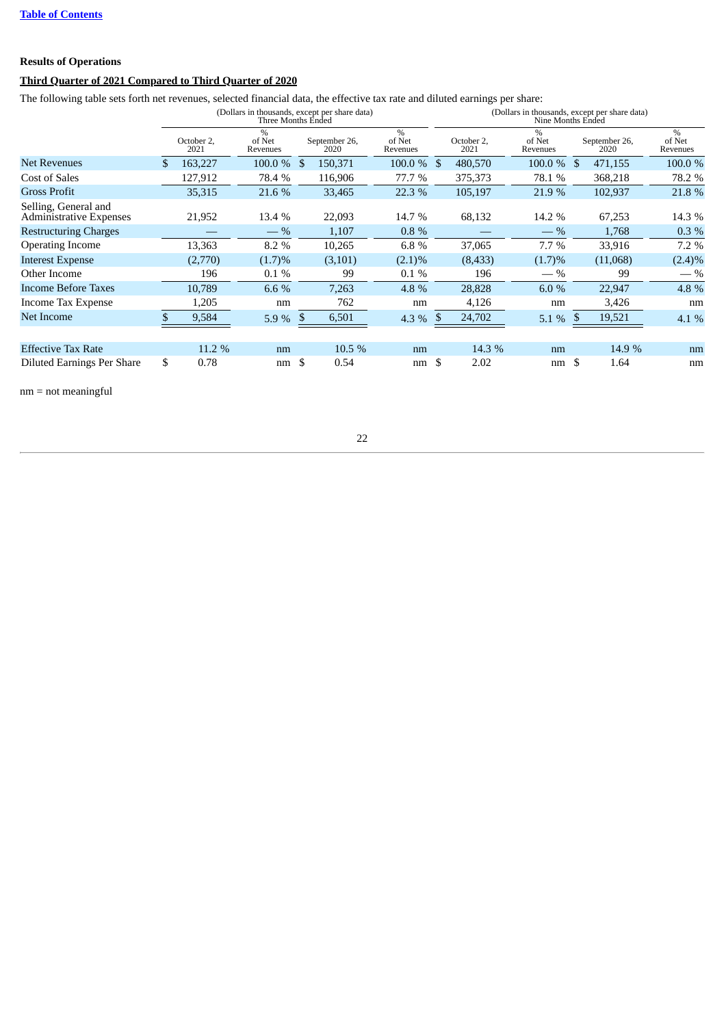## **Results of Operations**

## **Third Quarter of 2021 Compared to Third Quarter of 2020**

The following table sets forth net revenues, selected financial data, the effective tax rate and diluted earnings per share:

|                                                        | (Dollars in thousands, except per share data)<br>Three Months Ended |                    |                                     |      |                       |  |                                     |     | (Dollars in thousands, except per share data)<br>Nine Months Ended |  |                                     |    |                       |                                     |  |  |  |
|--------------------------------------------------------|---------------------------------------------------------------------|--------------------|-------------------------------------|------|-----------------------|--|-------------------------------------|-----|--------------------------------------------------------------------|--|-------------------------------------|----|-----------------------|-------------------------------------|--|--|--|
|                                                        |                                                                     | October 2,<br>2021 | $\frac{0}{0}$<br>of Net<br>Revenues |      | September 26,<br>2020 |  | $\frac{0}{0}$<br>of Net<br>Revenues |     | October 2,<br>2021                                                 |  | $\frac{0}{0}$<br>of Net<br>Revenues |    | September 26,<br>2020 | $\frac{0}{0}$<br>of Net<br>Revenues |  |  |  |
| <b>Net Revenues</b>                                    |                                                                     | 163,227            | $100.0 \%$ \$                       |      | 150,371               |  | $100.0 \%$ \$                       |     | 480,570                                                            |  | $100.0 \%$ \$                       |    | 471,155               | 100.0 %                             |  |  |  |
| <b>Cost of Sales</b>                                   |                                                                     | 127,912            | 78.4 %                              |      | 116,906               |  | 77.7 %                              |     | 375,373                                                            |  | 78.1 %                              |    | 368,218               | 78.2 %                              |  |  |  |
| <b>Gross Profit</b>                                    |                                                                     | 35,315             | 21.6 %                              |      | 33,465                |  | 22.3 %                              |     | 105,197                                                            |  | 21.9 %                              |    | 102,937               | 21.8 %                              |  |  |  |
| Selling, General and<br><b>Administrative Expenses</b> |                                                                     | 21,952             | 13.4 %                              |      | 22,093                |  | 14.7 %                              |     | 68,132                                                             |  | 14.2 %                              |    | 67,253                | 14.3 %                              |  |  |  |
| <b>Restructuring Charges</b>                           |                                                                     |                    | $-$ %                               |      | 1,107                 |  | 0.8%                                |     |                                                                    |  | $-$ %                               |    | 1,768                 | $0.3\%$                             |  |  |  |
| <b>Operating Income</b>                                |                                                                     | 13,363             | 8.2 %                               |      | 10,265                |  | 6.8%                                |     | 37,065                                                             |  | 7.7 %                               |    | 33,916                | 7.2 %                               |  |  |  |
| <b>Interest Expense</b>                                |                                                                     | (2,770)            | $(1.7)\%$                           |      | (3, 101)              |  | $(2.1)\%$                           |     | (8, 433)                                                           |  | (1.7)%                              |    | (11,068)              | $(2.4)\%$                           |  |  |  |
| Other Income                                           |                                                                     | 196                | $0.1\%$                             |      | 99                    |  | 0.1%                                |     | 196                                                                |  | $-$ %                               |    | 99                    | $-$ %                               |  |  |  |
| <b>Income Before Taxes</b>                             |                                                                     | 10,789             | 6.6 %                               |      | 7,263                 |  | 4.8 %                               |     | 28,828                                                             |  | 6.0 $%$                             |    | 22,947                | 4.8 %                               |  |  |  |
| Income Tax Expense                                     |                                                                     | 1,205              | nm                                  |      | 762                   |  | nm                                  |     | 4,126                                                              |  | nm                                  |    | 3,426                 | nm                                  |  |  |  |
| Net Income                                             |                                                                     | 9,584              | 5.9 %                               | S    | 6,501                 |  | 4.3 %                               |     | 24,702                                                             |  | 5.1 %                               | \$ | 19,521                | 4.1 %                               |  |  |  |
|                                                        |                                                                     |                    |                                     |      |                       |  |                                     |     |                                                                    |  |                                     |    |                       |                                     |  |  |  |
| <b>Effective Tax Rate</b>                              |                                                                     | 11.2 %             | nm                                  |      | 10.5 %                |  | nm                                  |     | 14.3 %                                                             |  | nm                                  |    | 14.9 %                | nm                                  |  |  |  |
| Diluted Earnings Per Share                             | \$                                                                  | 0.78               | nm                                  | - \$ | 0.54                  |  | nm                                  | -\$ | 2.02                                                               |  | nm                                  | -S | 1.64                  | nm                                  |  |  |  |

 $\,$ nm  $=$ not meaningful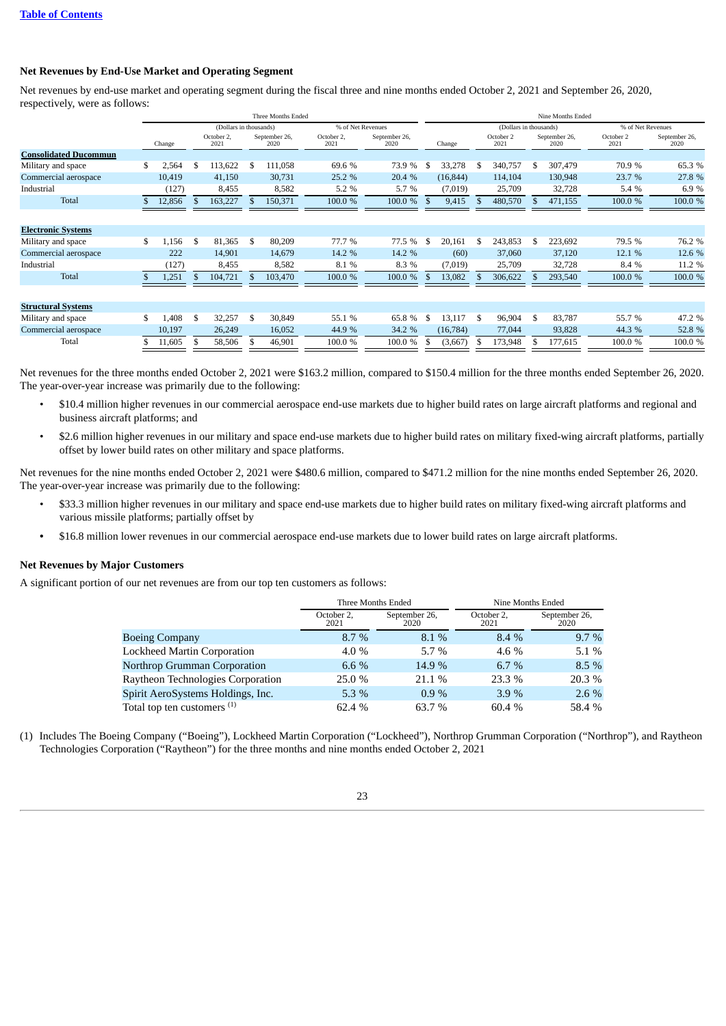## **Net Revenues by End-Use Market and Operating Segment**

Net revenues by end-use market and operating segment during the fiscal three and nine months ended October 2, 2021 and September 26, 2020, respectively, were as follows:

|                              |     |        |     |                        |               | Three Months Ended    |                    |                       |              |     |                        | Nine Months Ended |                       |                   |                       |
|------------------------------|-----|--------|-----|------------------------|---------------|-----------------------|--------------------|-----------------------|--------------|-----|------------------------|-------------------|-----------------------|-------------------|-----------------------|
|                              |     |        |     | (Dollars in thousands) |               |                       | % of Net Revenues  |                       |              |     | (Dollars in thousands) |                   |                       | % of Net Revenues |                       |
|                              |     | Change |     | October 2,<br>2021     |               | September 26,<br>2020 | October 2,<br>2021 | September 26,<br>2020 | Change       |     | October 2<br>2021      |                   | September 26,<br>2020 | October 2<br>2021 | September 26,<br>2020 |
| <b>Consolidated Ducommun</b> |     |        |     |                        |               |                       |                    |                       |              |     |                        |                   |                       |                   |                       |
| Military and space           | \$. | 2,564  | £.  | 113,622                | \$            | 111,058               | 69.6 %             | 73.9 %                | \$<br>33,278 | \$. | 340,757                | \$.               | 307,479               | 70.9%             | 65.3 %                |
| Commercial aerospace         |     | 10,419 |     | 41,150                 |               | 30,731                | 25.2 %             | 20.4 %                | (16, 844)    |     | 114,104                |                   | 130,948               | 23.7 %            | 27.8 %                |
| Industrial                   |     | (127)  |     | 8,455                  |               | 8,582                 | 5.2%               | 5.7 %                 | (7,019)      |     | 25,709                 |                   | 32,728                | 5.4 %             | 6.9%                  |
| Total                        |     | 12,856 | \$. | 163,227                | <sup>\$</sup> | 150,371               | 100.0 %            | 100.0 %               | \$<br>9,415  |     | 480,570                |                   | 471,155               | 100.0 %           | 100.0 %               |
|                              |     |        |     |                        |               |                       |                    |                       |              |     |                        |                   |                       |                   |                       |
| <b>Electronic Systems</b>    |     |        |     |                        |               |                       |                    |                       |              |     |                        |                   |                       |                   |                       |
| Military and space           | \$  | 1,156  | S   | 81,365                 | \$            | 80,209                | 77.7 %             | 77.5 %                | \$<br>20,161 | \$  | 243,853                | \$                | 223,692               | 79.5 %            | 76.2 %                |
| Commercial aerospace         |     | 222    |     | 14,901                 |               | 14,679                | 14.2 %             | 14.2 %                | (60)         |     | 37,060                 |                   | 37,120                | 12.1 %            | 12.6 %                |
| Industrial                   |     | (127)  |     | 8,455                  |               | 8,582                 | 8.1 %              | 8.3%                  | (7,019)      |     | 25,709                 |                   | 32,728                | 8.4 %             | 11.2 %                |
| Total                        |     | 1,251  | S   | 104,721                | \$.           | 103,470               | 100.0 %            | 100.0 %               | \$<br>13,082 |     | 306,622                |                   | 293,540               | 100.0 %           | 100.0 %               |
|                              |     |        |     |                        |               |                       |                    |                       |              |     |                        |                   |                       |                   |                       |
| <b>Structural Systems</b>    |     |        |     |                        |               |                       |                    |                       |              |     |                        |                   |                       |                   |                       |
| Military and space           | \$  | 1,408  | \$  | 32,257                 | \$            | 30,849                | 55.1 %             | 65.8 %                | \$<br>13,117 | S   | 96,904                 | \$                | 83,787                | 55.7%             | 47.2 %                |
| Commercial aerospace         |     | 10,197 |     | 26,249                 |               | 16,052                | 44.9 %             | 34.2 %                | (16,784)     |     | 77,044                 |                   | 93,828                | 44.3 %            | 52.8 %                |
| Total                        |     | 11,605 |     | 58,506                 | \$.           | 46,901                | 100.0 %            | 100.0 %               | (3,667)      |     | 173,948                |                   | 177,615               | 100.0%            | 100.0 %               |
|                              |     |        |     |                        |               |                       |                    |                       |              |     |                        |                   |                       |                   |                       |

Net revenues for the three months ended October 2, 2021 were \$163.2 million, compared to \$150.4 million for the three months ended September 26, 2020. The year-over-year increase was primarily due to the following:

- \$10.4 million higher revenues in our commercial aerospace end-use markets due to higher build rates on large aircraft platforms and regional and business aircraft platforms; and
- \$2.6 million higher revenues in our military and space end-use markets due to higher build rates on military fixed-wing aircraft platforms, partially offset by lower build rates on other military and space platforms.

Net revenues for the nine months ended October 2, 2021 were \$480.6 million, compared to \$471.2 million for the nine months ended September 26, 2020. The year-over-year increase was primarily due to the following:

- \$33.3 million higher revenues in our military and space end-use markets due to higher build rates on military fixed-wing aircraft platforms and various missile platforms; partially offset by
- **•** \$16.8 million lower revenues in our commercial aerospace end-use markets due to lower build rates on large aircraft platforms.

### **Net Revenues by Major Customers**

A significant portion of our net revenues are from our top ten customers as follows:

|                                        | Three Months Ended |                       | Nine Months Ended  |                       |
|----------------------------------------|--------------------|-----------------------|--------------------|-----------------------|
|                                        | October 2,<br>2021 | September 26,<br>2020 | October 2,<br>2021 | September 26,<br>2020 |
| <b>Boeing Company</b>                  | $8.7\%$            | 8.1 %                 | 8.4 %              | $9.7\%$               |
| <b>Lockheed Martin Corporation</b>     | $4.0\%$            | $5.7\%$               | $4.6\%$            | 5.1%                  |
| <b>Northrop Grumman Corporation</b>    | 6.6 $%$            | 14.9 %                | 6.7 $%$            | 8.5 %                 |
| Raytheon Technologies Corporation      | 25.0 %             | 21.1 %                | 23.3 %             | 20.3 %                |
| Spirit AeroSystems Holdings, Inc.      | 5.3%               | $0.9\%$               | 3.9%               | $2.6\%$               |
| Total top ten customers <sup>(1)</sup> | 62.4 %             | 63.7 %                | 60.4 %             | 58.4 %                |

(1) Includes The Boeing Company ("Boeing"), Lockheed Martin Corporation ("Lockheed"), Northrop Grumman Corporation ("Northrop"), and Raytheon Technologies Corporation ("Raytheon") for the three months and nine months ended October 2, 2021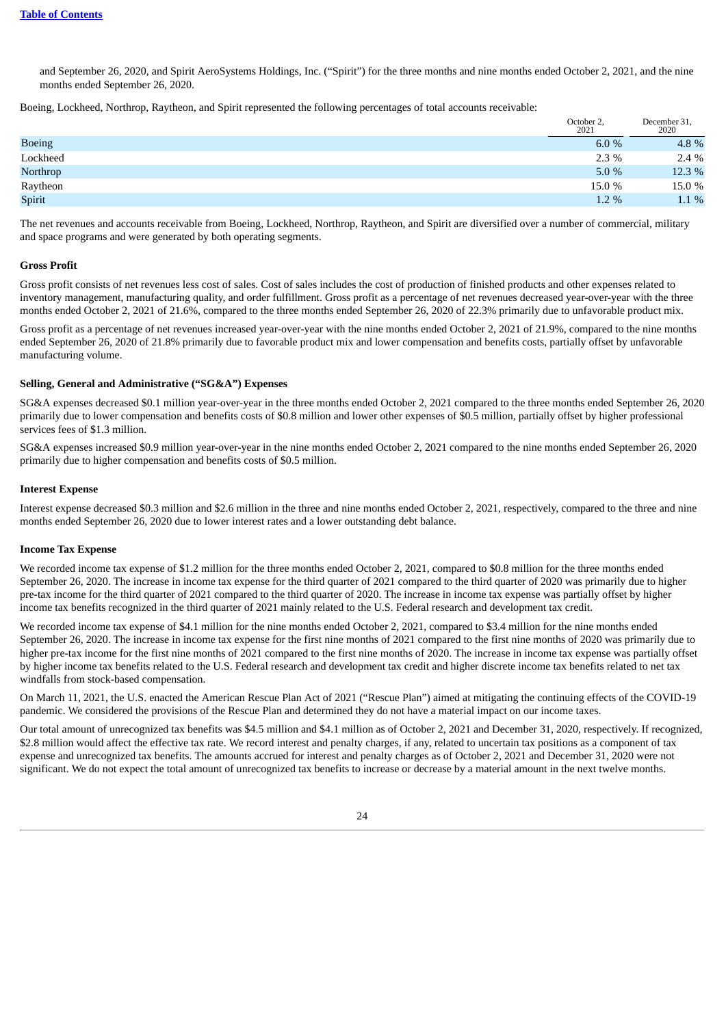and September 26, 2020, and Spirit AeroSystems Holdings, Inc. ("Spirit") for the three months and nine months ended October 2, 2021, and the nine months ended September 26, 2020.

Boeing, Lockheed, Northrop, Raytheon, and Spirit represented the following percentages of total accounts receivable:

|               | October 2,<br>2021 | December 31,<br>2020 |
|---------------|--------------------|----------------------|
| <b>Boeing</b> | 6.0%               | 4.8 %                |
| Lockheed      | 2.3 %              | 2.4 %                |
| Northrop      | 5.0%               | 12.3 %               |
| Raytheon      | 15.0 %             | 15.0 %               |
| Spirit        | 1.2 %              | 1.1 %                |

The net revenues and accounts receivable from Boeing, Lockheed, Northrop, Raytheon, and Spirit are diversified over a number of commercial, military and space programs and were generated by both operating segments.

#### **Gross Profit**

Gross profit consists of net revenues less cost of sales. Cost of sales includes the cost of production of finished products and other expenses related to inventory management, manufacturing quality, and order fulfillment. Gross profit as a percentage of net revenues decreased year-over-year with the three months ended October 2, 2021 of 21.6%, compared to the three months ended September 26, 2020 of 22.3% primarily due to unfavorable product mix.

Gross profit as a percentage of net revenues increased year-over-year with the nine months ended October 2, 2021 of 21.9%, compared to the nine months ended September 26, 2020 of 21.8% primarily due to favorable product mix and lower compensation and benefits costs, partially offset by unfavorable manufacturing volume.

#### **Selling, General and Administrative ("SG&A") Expenses**

SG&A expenses decreased \$0.1 million year-over-year in the three months ended October 2, 2021 compared to the three months ended September 26, 2020 primarily due to lower compensation and benefits costs of \$0.8 million and lower other expenses of \$0.5 million, partially offset by higher professional services fees of \$1.3 million.

SG&A expenses increased \$0.9 million year-over-year in the nine months ended October 2, 2021 compared to the nine months ended September 26, 2020 primarily due to higher compensation and benefits costs of \$0.5 million.

#### **Interest Expense**

Interest expense decreased \$0.3 million and \$2.6 million in the three and nine months ended October 2, 2021, respectively, compared to the three and nine months ended September 26, 2020 due to lower interest rates and a lower outstanding debt balance.

#### **Income Tax Expense**

We recorded income tax expense of \$1.2 million for the three months ended October 2, 2021, compared to \$0.8 million for the three months ended September 26, 2020. The increase in income tax expense for the third quarter of 2021 compared to the third quarter of 2020 was primarily due to higher pre-tax income for the third quarter of 2021 compared to the third quarter of 2020. The increase in income tax expense was partially offset by higher income tax benefits recognized in the third quarter of 2021 mainly related to the U.S. Federal research and development tax credit.

We recorded income tax expense of \$4.1 million for the nine months ended October 2, 2021, compared to \$3.4 million for the nine months ended September 26, 2020. The increase in income tax expense for the first nine months of 2021 compared to the first nine months of 2020 was primarily due to higher pre-tax income for the first nine months of 2021 compared to the first nine months of 2020. The increase in income tax expense was partially offset by higher income tax benefits related to the U.S. Federal research and development tax credit and higher discrete income tax benefits related to net tax windfalls from stock-based compensation.

On March 11, 2021, the U.S. enacted the American Rescue Plan Act of 2021 ("Rescue Plan") aimed at mitigating the continuing effects of the COVID-19 pandemic. We considered the provisions of the Rescue Plan and determined they do not have a material impact on our income taxes.

Our total amount of unrecognized tax benefits was \$4.5 million and \$4.1 million as of October 2, 2021 and December 31, 2020, respectively. If recognized, \$2.8 million would affect the effective tax rate. We record interest and penalty charges, if any, related to uncertain tax positions as a component of tax expense and unrecognized tax benefits. The amounts accrued for interest and penalty charges as of October 2, 2021 and December 31, 2020 were not significant. We do not expect the total amount of unrecognized tax benefits to increase or decrease by a material amount in the next twelve months.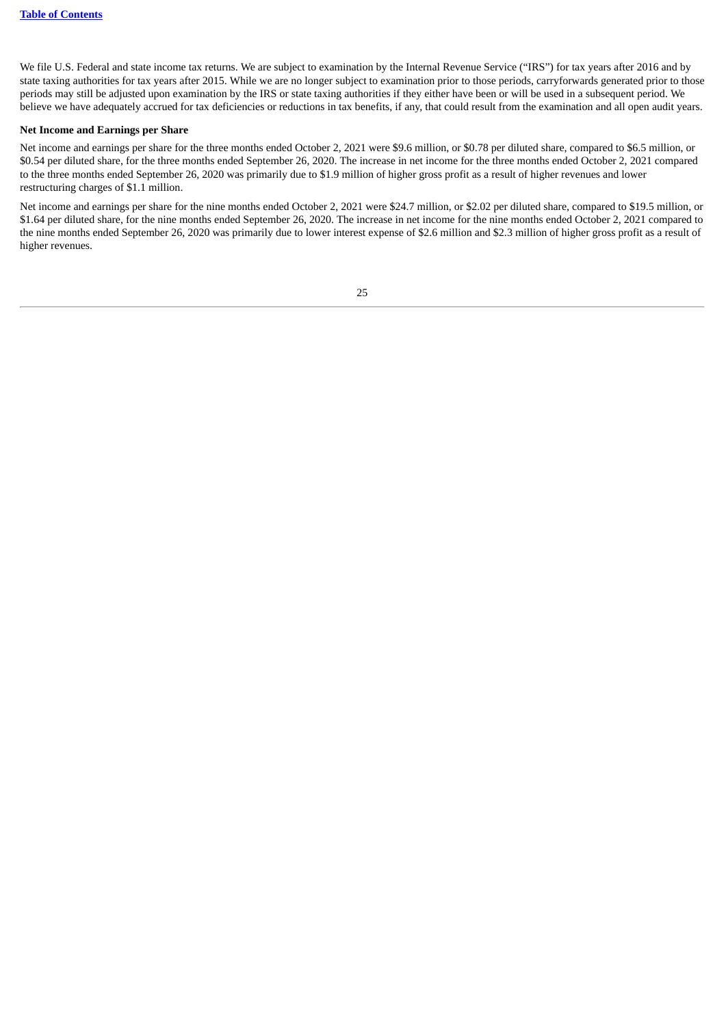We file U.S. Federal and state income tax returns. We are subject to examination by the Internal Revenue Service ("IRS") for tax years after 2016 and by state taxing authorities for tax years after 2015. While we are no longer subject to examination prior to those periods, carryforwards generated prior to those periods may still be adjusted upon examination by the IRS or state taxing authorities if they either have been or will be used in a subsequent period. We believe we have adequately accrued for tax deficiencies or reductions in tax benefits, if any, that could result from the examination and all open audit years.

### **Net Income and Earnings per Share**

Net income and earnings per share for the three months ended October 2, 2021 were \$9.6 million, or \$0.78 per diluted share, compared to \$6.5 million, or \$0.54 per diluted share, for the three months ended September 26, 2020. The increase in net income for the three months ended October 2, 2021 compared to the three months ended September 26, 2020 was primarily due to \$1.9 million of higher gross profit as a result of higher revenues and lower restructuring charges of \$1.1 million.

Net income and earnings per share for the nine months ended October 2, 2021 were \$24.7 million, or \$2.02 per diluted share, compared to \$19.5 million, or \$1.64 per diluted share, for the nine months ended September 26, 2020. The increase in net income for the nine months ended October 2, 2021 compared to the nine months ended September 26, 2020 was primarily due to lower interest expense of \$2.6 million and \$2.3 million of higher gross profit as a result of higher revenues.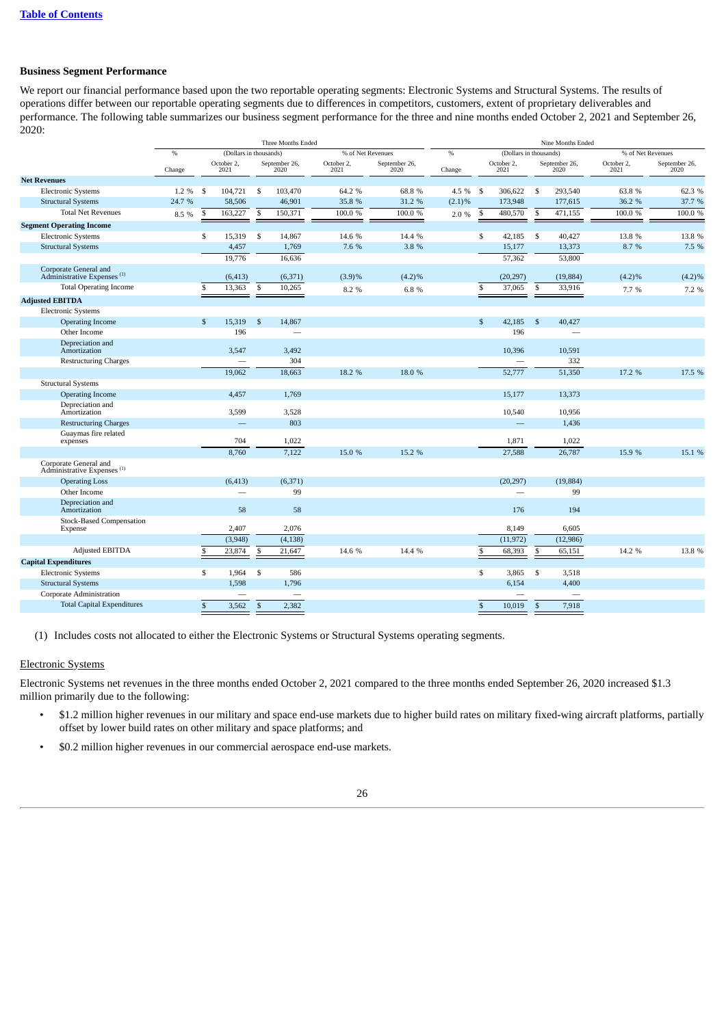## **Business Segment Performance**

We report our financial performance based upon the two reportable operating segments: Electronic Systems and Structural Systems. The results of operations differ between our reportable operating segments due to differences in competitors, customers, extent of proprietary deliverables and performance. The following table summarizes our business segment performance for the three and nine months ended October 2, 2021 and September 26, 2020:

|                                                                 | Three Months Ended |                                                                               |              |                       |                    | Nine Months Ended     |           |      |                    |              |                          |                    |                       |
|-----------------------------------------------------------------|--------------------|-------------------------------------------------------------------------------|--------------|-----------------------|--------------------|-----------------------|-----------|------|--------------------|--------------|--------------------------|--------------------|-----------------------|
|                                                                 | %                  | $\%$<br>(Dollars in thousands)<br>% of Net Revenues<br>(Dollars in thousands) |              |                       | % of Net Revenues  |                       |           |      |                    |              |                          |                    |                       |
|                                                                 | Change             | October 2,<br>2021                                                            |              | September 26,<br>2020 | October 2,<br>2021 | September 26,<br>2020 | Change    |      | October 2,<br>2021 |              | September 26,<br>2020    | October 2,<br>2021 | September 26,<br>2020 |
| <b>Net Revenues</b>                                             |                    |                                                                               |              |                       |                    |                       |           |      |                    |              |                          |                    |                       |
| <b>Electronic Systems</b>                                       | 1.2 %              | -S<br>104,721                                                                 | \$           | 103,470               | 64.2 %             | 68.8 %                | 4.5 %     | - \$ | 306,622            | \$           | 293,540                  | 63.8 %             | 62.3 %                |
| <b>Structural Systems</b>                                       | 24.7 %             | 58,506                                                                        |              | 46,901                | 35.8 %             | 31.2 %                | $(2.1)\%$ |      | 173,948            |              | 177,615                  | 36.2 %             | 37.7 %                |
| <b>Total Net Revenues</b>                                       | 8.5 %              | 163,227<br>\$                                                                 | \$           | 150,371               | 100.0 %            | 100.0 %               | 2.0 %     | \$   | 480,570            | \$           | 471,155                  | 100.0 %            | 100.0 %               |
| <b>Segment Operating Income</b>                                 |                    |                                                                               |              |                       |                    |                       |           |      |                    |              |                          |                    |                       |
| <b>Electronic Systems</b>                                       |                    | \$<br>15,319                                                                  | $\mathbf{s}$ | 14,867                | 14.6 %             | 14.4 %                |           | \$   | 42,185             | $\mathbf{s}$ | 40,427                   | 13.8 %             | 13.8 %                |
| <b>Structural Systems</b>                                       |                    | 4,457                                                                         |              | 1,769                 | 7.6 %              | 3.8 %                 |           |      | 15,177             |              | 13,373                   | 8.7 %              | 7.5 %                 |
|                                                                 |                    | 19,776                                                                        |              | 16,636                |                    |                       |           |      | 57,362             |              | 53,800                   |                    |                       |
| Corporate General and<br>Administrative Expenses <sup>(1)</sup> |                    | (6, 413)                                                                      |              | (6, 371)              | (3.9)%             | $(4.2)\%$             |           |      | (20, 297)          |              | (19, 884)                | $(4.2)\%$          | (4.2)%                |
| <b>Total Operating Income</b>                                   |                    | \$<br>13,363                                                                  | $\mathbb{S}$ | 10,265                | 8.2 %              | 6.8 %                 |           | \$   | 37,065             | \$           | 33,916                   | 7.7 %              | 7.2 %                 |
| <b>Adjusted EBITDA</b>                                          |                    |                                                                               |              |                       |                    |                       |           |      |                    |              |                          |                    |                       |
| <b>Electronic Systems</b>                                       |                    |                                                                               |              |                       |                    |                       |           |      |                    |              |                          |                    |                       |
| <b>Operating Income</b>                                         |                    | $\mathbb{S}$<br>15,319                                                        | \$           | 14,867                |                    |                       |           | \$   | 42,185             | $\sqrt{5}$   | 40,427                   |                    |                       |
| Other Income                                                    |                    | 196                                                                           |              |                       |                    |                       |           |      | 196                |              | $\overline{\phantom{0}}$ |                    |                       |
| Depreciation and<br>Amortization                                |                    | 3,547                                                                         |              | 3,492                 |                    |                       |           |      | 10,396             |              | 10,591                   |                    |                       |
| <b>Restructuring Charges</b>                                    |                    |                                                                               |              | 304                   |                    |                       |           |      | -                  |              | 332                      |                    |                       |
|                                                                 |                    | 19,062                                                                        |              | 18,663                | 18.2 %             | 18.0 %                |           |      | 52,777             |              | 51,350                   | 17.2 %             | 17.5 %                |
| <b>Structural Systems</b>                                       |                    |                                                                               |              |                       |                    |                       |           |      |                    |              |                          |                    |                       |
| <b>Operating Income</b>                                         |                    | 4,457                                                                         |              | 1,769                 |                    |                       |           |      | 15,177             |              | 13,373                   |                    |                       |
| Depreciation and<br>Amortization                                |                    | 3,599                                                                         |              | 3,528                 |                    |                       |           |      | 10,540             |              | 10,956                   |                    |                       |
| <b>Restructuring Charges</b>                                    |                    |                                                                               |              | 803                   |                    |                       |           |      |                    |              | 1,436                    |                    |                       |
| Guaymas fire related<br>expenses                                |                    | 704                                                                           |              | 1,022                 |                    |                       |           |      | 1,871              |              | 1,022                    |                    |                       |
|                                                                 |                    | 8,760                                                                         |              | 7,122                 | 15.0 %             | 15.2 %                |           |      | 27,588             |              | 26,787                   | 15.9 %             | 15.1 %                |
| Corporate General and<br>Administrative Expenses <sup>(1)</sup> |                    |                                                                               |              |                       |                    |                       |           |      |                    |              |                          |                    |                       |
| <b>Operating Loss</b>                                           |                    | (6, 413)                                                                      |              | (6, 371)              |                    |                       |           |      | (20, 297)          |              | (19, 884)                |                    |                       |
| Other Income                                                    |                    | $\overline{\phantom{a}}$                                                      |              | 99                    |                    |                       |           |      |                    |              | 99                       |                    |                       |
| Depreciation and<br>Amortization                                |                    | 58                                                                            |              | 58                    |                    |                       |           |      | 176                |              | 194                      |                    |                       |
| <b>Stock-Based Compensation</b><br>Expense                      |                    | 2,407                                                                         |              | 2,076                 |                    |                       |           |      | 8,149              |              | 6,605                    |                    |                       |
|                                                                 |                    | (3,948)                                                                       |              | (4, 138)              |                    |                       |           |      | (11, 972)          |              | (12,986)                 |                    |                       |
| <b>Adjusted EBITDA</b>                                          |                    | 23,874<br>\$.                                                                 | \$           | 21,647                | 14.6 %             | 14.4 %                |           | \$   | 68,393             | \$           | 65,151                   | 14.2 %             | 13.8 %                |
| <b>Capital Expenditures</b>                                     |                    |                                                                               |              |                       |                    |                       |           |      |                    |              |                          |                    |                       |
| <b>Electronic Systems</b>                                       |                    | \$<br>1,964                                                                   | \$           | 586                   |                    |                       |           | \$   | 3,865              | \$           | 3,518                    |                    |                       |
| <b>Structural Systems</b>                                       |                    | 1,598                                                                         |              | 1,796                 |                    |                       |           |      | 6,154              |              | 4,400                    |                    |                       |
| Corporate Administration                                        |                    |                                                                               |              |                       |                    |                       |           |      |                    |              |                          |                    |                       |
| <b>Total Capital Expenditures</b>                               |                    | 3,562<br>\$                                                                   | \$           | 2,382                 |                    |                       |           | \$   | 10,019             | \$           | 7,918                    |                    |                       |

(1) Includes costs not allocated to either the Electronic Systems or Structural Systems operating segments.

#### Electronic Systems

Electronic Systems net revenues in the three months ended October 2, 2021 compared to the three months ended September 26, 2020 increased \$1.3 million primarily due to the following:

- \$1.2 million higher revenues in our military and space end-use markets due to higher build rates on military fixed-wing aircraft platforms, partially offset by lower build rates on other military and space platforms; and
- \$0.2 million higher revenues in our commercial aerospace end-use markets.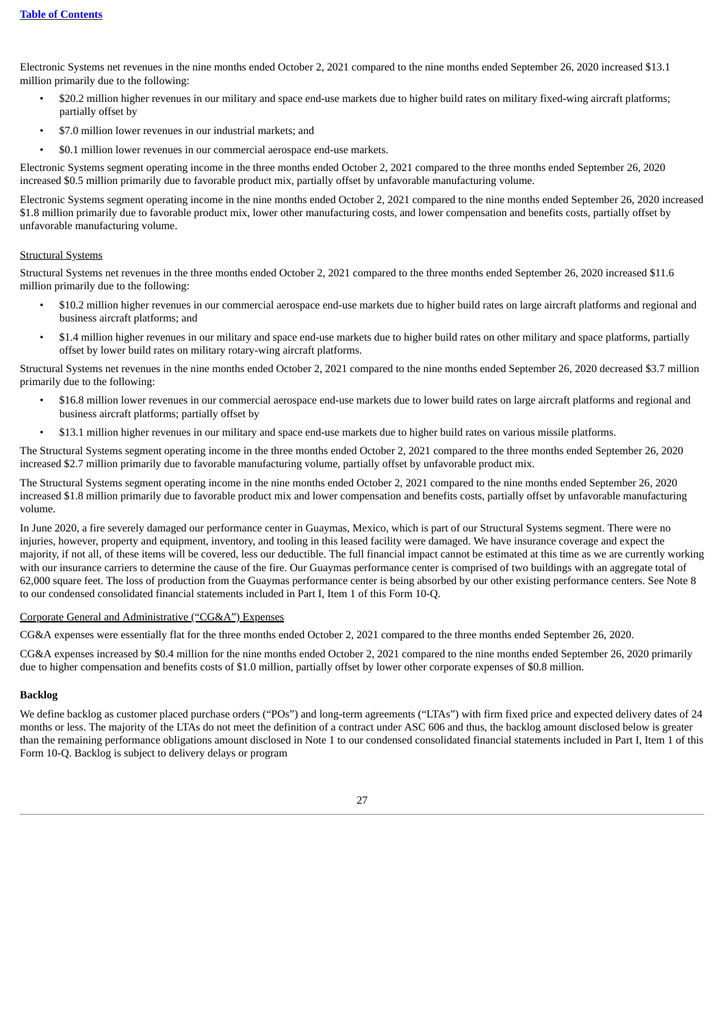Electronic Systems net revenues in the nine months ended October 2, 2021 compared to the nine months ended September 26, 2020 increased \$13.1 million primarily due to the following:

- \$20.2 million higher revenues in our military and space end-use markets due to higher build rates on military fixed-wing aircraft platforms; partially offset by
- \$7.0 million lower revenues in our industrial markets; and
- \$0.1 million lower revenues in our commercial aerospace end-use markets.

Electronic Systems segment operating income in the three months ended October 2, 2021 compared to the three months ended September 26, 2020 increased \$0.5 million primarily due to favorable product mix, partially offset by unfavorable manufacturing volume.

Electronic Systems segment operating income in the nine months ended October 2, 2021 compared to the nine months ended September 26, 2020 increased \$1.8 million primarily due to favorable product mix, lower other manufacturing costs, and lower compensation and benefits costs, partially offset by unfavorable manufacturing volume.

## Structural Systems

Structural Systems net revenues in the three months ended October 2, 2021 compared to the three months ended September 26, 2020 increased \$11.6 million primarily due to the following:

- \$10.2 million higher revenues in our commercial aerospace end-use markets due to higher build rates on large aircraft platforms and regional and business aircraft platforms; and
- \$1.4 million higher revenues in our military and space end-use markets due to higher build rates on other military and space platforms, partially offset by lower build rates on military rotary-wing aircraft platforms.

Structural Systems net revenues in the nine months ended October 2, 2021 compared to the nine months ended September 26, 2020 decreased \$3.7 million primarily due to the following:

- \$16.8 million lower revenues in our commercial aerospace end-use markets due to lower build rates on large aircraft platforms and regional and business aircraft platforms; partially offset by
- \$13.1 million higher revenues in our military and space end-use markets due to higher build rates on various missile platforms.

The Structural Systems segment operating income in the three months ended October 2, 2021 compared to the three months ended September 26, 2020 increased \$2.7 million primarily due to favorable manufacturing volume, partially offset by unfavorable product mix.

The Structural Systems segment operating income in the nine months ended October 2, 2021 compared to the nine months ended September 26, 2020 increased \$1.8 million primarily due to favorable product mix and lower compensation and benefits costs, partially offset by unfavorable manufacturing volume.

In June 2020, a fire severely damaged our performance center in Guaymas, Mexico, which is part of our Structural Systems segment. There were no injuries, however, property and equipment, inventory, and tooling in this leased facility were damaged. We have insurance coverage and expect the majority, if not all, of these items will be covered, less our deductible. The full financial impact cannot be estimated at this time as we are currently working with our insurance carriers to determine the cause of the fire. Our Guaymas performance center is comprised of two buildings with an aggregate total of 62,000 square feet. The loss of production from the Guaymas performance center is being absorbed by our other existing performance centers. See Note 8 to our condensed consolidated financial statements included in Part I, Item 1 of this Form 10-Q.

#### Corporate General and Administrative ("CG&A") Expenses

CG&A expenses were essentially flat for the three months ended October 2, 2021 compared to the three months ended September 26, 2020.

CG&A expenses increased by \$0.4 million for the nine months ended October 2, 2021 compared to the nine months ended September 26, 2020 primarily due to higher compensation and benefits costs of \$1.0 million, partially offset by lower other corporate expenses of \$0.8 million.

## **Backlog**

We define backlog as customer placed purchase orders ("POs") and long-term agreements ("LTAs") with firm fixed price and expected delivery dates of 24 months or less. The majority of the LTAs do not meet the definition of a contract under ASC 606 and thus, the backlog amount disclosed below is greater than the remaining performance obligations amount disclosed in Note 1 to our condensed consolidated financial statements included in Part I, Item 1 of this Form 10-Q. Backlog is subject to delivery delays or program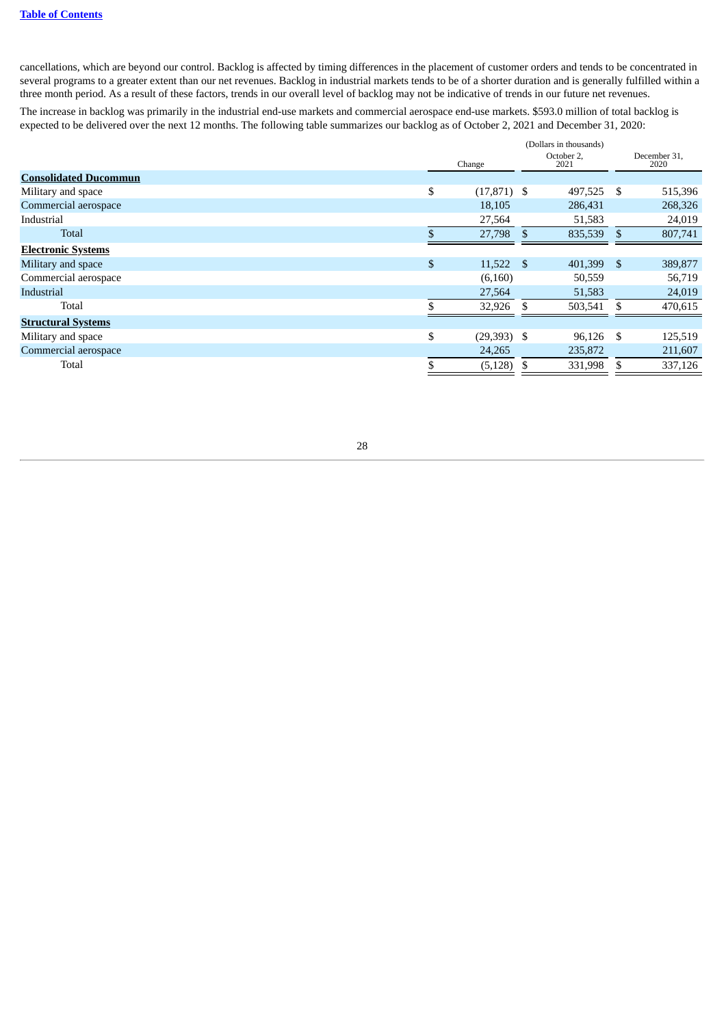## **Table of [Contents](#page-0-0)**

cancellations, which are beyond our control. Backlog is affected by timing differences in the placement of customer orders and tends to be concentrated in several programs to a greater extent than our net revenues. Backlog in industrial markets tends to be of a shorter duration and is generally fulfilled within a three month period. As a result of these factors, trends in our overall level of backlog may not be indicative of trends in our future net revenues.

The increase in backlog was primarily in the industrial end-use markets and commercial aerospace end-use markets. \$593.0 million of total backlog is expected to be delivered over the next 12 months. The following table summarizes our backlog as of October 2, 2021 and December 31, 2020:

|                              |              |               |      | (Dollars in thousands) |              |                      |
|------------------------------|--------------|---------------|------|------------------------|--------------|----------------------|
|                              |              | Change        |      | October 2,<br>2021     |              | December 31,<br>2020 |
| <b>Consolidated Ducommun</b> |              |               |      |                        |              |                      |
| Military and space           | \$           | $(17,871)$ \$ |      | 497,525 \$             |              | 515,396              |
| Commercial aerospace         |              | 18,105        |      | 286,431                |              | 268,326              |
| Industrial                   |              | 27,564        |      | 51,583                 |              | 24,019               |
| Total                        |              | 27,798        | -\$  | 835,539                | $\mathbf{s}$ | 807,741              |
| <b>Electronic Systems</b>    |              |               |      |                        |              |                      |
| Military and space           | $\mathbb{S}$ | 11,522        | - \$ | 401,399 \$             |              | 389,877              |
| Commercial aerospace         |              | (6,160)       |      | 50,559                 |              | 56,719               |
| Industrial                   |              | 27,564        |      | 51,583                 |              | 24,019               |
| Total                        |              | 32,926        | -\$  | 503,541 \$             |              | 470,615              |
| <b>Structural Systems</b>    |              |               |      |                        |              |                      |
| Military and space           | \$           | $(29,393)$ \$ |      | 96,126 \$              |              | 125,519              |
| Commercial aerospace         |              | 24,265        |      | 235,872                |              | 211,607              |
| Total                        |              | (5, 128)      |      | 331,998                |              | 337,126              |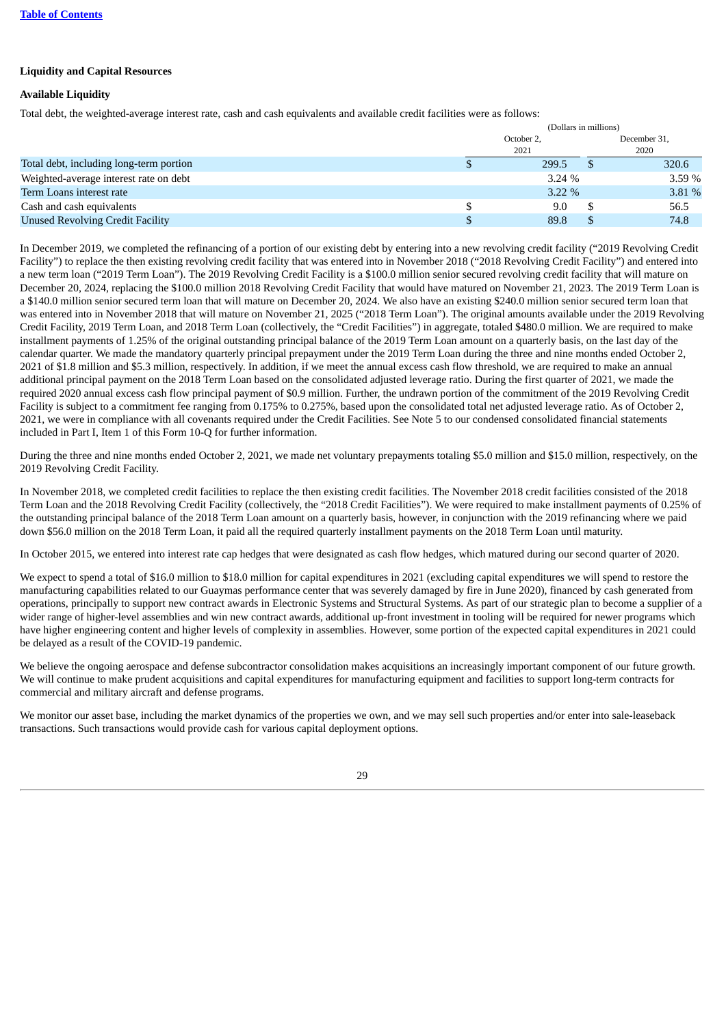## **Liquidity and Capital Resources**

## **Available Liquidity**

Total debt, the weighted-average interest rate, cash and cash equivalents and available credit facilities were as follows:

|                                         | (Dollars in millions) |  |              |  |  |
|-----------------------------------------|-----------------------|--|--------------|--|--|
|                                         | October 2,            |  | December 31, |  |  |
|                                         | 2021                  |  | 2020         |  |  |
| Total debt, including long-term portion | 299.5                 |  | 320.6        |  |  |
| Weighted-average interest rate on debt  | 3.24%                 |  | 3.59%        |  |  |
| Term Loans interest rate                | $3.22\%$              |  | 3.81 %       |  |  |
| Cash and cash equivalents               | 9.0                   |  | 56.5         |  |  |
| <b>Unused Revolving Credit Facility</b> | 89.8                  |  | 74.8         |  |  |

In December 2019, we completed the refinancing of a portion of our existing debt by entering into a new revolving credit facility ("2019 Revolving Credit Facility") to replace the then existing revolving credit facility that was entered into in November 2018 ("2018 Revolving Credit Facility") and entered into a new term loan ("2019 Term Loan"). The 2019 Revolving Credit Facility is a \$100.0 million senior secured revolving credit facility that will mature on December 20, 2024, replacing the \$100.0 million 2018 Revolving Credit Facility that would have matured on November 21, 2023. The 2019 Term Loan is a \$140.0 million senior secured term loan that will mature on December 20, 2024. We also have an existing \$240.0 million senior secured term loan that was entered into in November 2018 that will mature on November 21, 2025 ("2018 Term Loan"). The original amounts available under the 2019 Revolving Credit Facility, 2019 Term Loan, and 2018 Term Loan (collectively, the "Credit Facilities") in aggregate, totaled \$480.0 million. We are required to make installment payments of 1.25% of the original outstanding principal balance of the 2019 Term Loan amount on a quarterly basis, on the last day of the calendar quarter. We made the mandatory quarterly principal prepayment under the 2019 Term Loan during the three and nine months ended October 2, 2021 of \$1.8 million and \$5.3 million, respectively. In addition, if we meet the annual excess cash flow threshold, we are required to make an annual additional principal payment on the 2018 Term Loan based on the consolidated adjusted leverage ratio. During the first quarter of 2021, we made the required 2020 annual excess cash flow principal payment of \$0.9 million. Further, the undrawn portion of the commitment of the 2019 Revolving Credit Facility is subject to a commitment fee ranging from 0.175% to 0.275%, based upon the consolidated total net adjusted leverage ratio. As of October 2, 2021, we were in compliance with all covenants required under the Credit Facilities. See Note 5 to our condensed consolidated financial statements included in Part I, Item 1 of this Form 10-Q for further information.

During the three and nine months ended October 2, 2021, we made net voluntary prepayments totaling \$5.0 million and \$15.0 million, respectively, on the 2019 Revolving Credit Facility.

In November 2018, we completed credit facilities to replace the then existing credit facilities. The November 2018 credit facilities consisted of the 2018 Term Loan and the 2018 Revolving Credit Facility (collectively, the "2018 Credit Facilities"). We were required to make installment payments of 0.25% of the outstanding principal balance of the 2018 Term Loan amount on a quarterly basis, however, in conjunction with the 2019 refinancing where we paid down \$56.0 million on the 2018 Term Loan, it paid all the required quarterly installment payments on the 2018 Term Loan until maturity.

In October 2015, we entered into interest rate cap hedges that were designated as cash flow hedges, which matured during our second quarter of 2020.

We expect to spend a total of \$16.0 million to \$18.0 million for capital expenditures in 2021 (excluding capital expenditures we will spend to restore the manufacturing capabilities related to our Guaymas performance center that was severely damaged by fire in June 2020), financed by cash generated from operations, principally to support new contract awards in Electronic Systems and Structural Systems. As part of our strategic plan to become a supplier of a wider range of higher-level assemblies and win new contract awards, additional up-front investment in tooling will be required for newer programs which have higher engineering content and higher levels of complexity in assemblies. However, some portion of the expected capital expenditures in 2021 could be delayed as a result of the COVID-19 pandemic.

We believe the ongoing aerospace and defense subcontractor consolidation makes acquisitions an increasingly important component of our future growth. We will continue to make prudent acquisitions and capital expenditures for manufacturing equipment and facilities to support long-term contracts for commercial and military aircraft and defense programs.

We monitor our asset base, including the market dynamics of the properties we own, and we may sell such properties and/or enter into sale-leaseback transactions. Such transactions would provide cash for various capital deployment options.

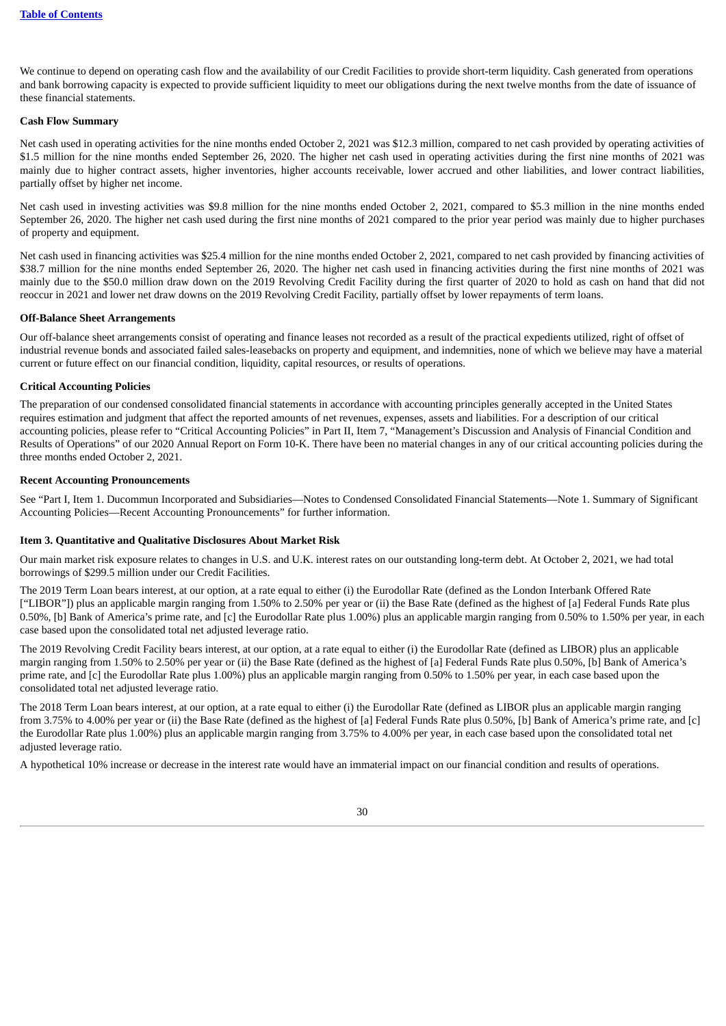We continue to depend on operating cash flow and the availability of our Credit Facilities to provide short-term liquidity. Cash generated from operations and bank borrowing capacity is expected to provide sufficient liquidity to meet our obligations during the next twelve months from the date of issuance of these financial statements.

#### **Cash Flow Summary**

Net cash used in operating activities for the nine months ended October 2, 2021 was \$12.3 million, compared to net cash provided by operating activities of \$1.5 million for the nine months ended September 26, 2020. The higher net cash used in operating activities during the first nine months of 2021 was mainly due to higher contract assets, higher inventories, higher accounts receivable, lower accrued and other liabilities, and lower contract liabilities, partially offset by higher net income.

Net cash used in investing activities was \$9.8 million for the nine months ended October 2, 2021, compared to \$5.3 million in the nine months ended September 26, 2020. The higher net cash used during the first nine months of 2021 compared to the prior year period was mainly due to higher purchases of property and equipment.

Net cash used in financing activities was \$25.4 million for the nine months ended October 2, 2021, compared to net cash provided by financing activities of \$38.7 million for the nine months ended September 26, 2020. The higher net cash used in financing activities during the first nine months of 2021 was mainly due to the \$50.0 million draw down on the 2019 Revolving Credit Facility during the first quarter of 2020 to hold as cash on hand that did not reoccur in 2021 and lower net draw downs on the 2019 Revolving Credit Facility, partially offset by lower repayments of term loans.

#### **Off-Balance Sheet Arrangements**

Our off-balance sheet arrangements consist of operating and finance leases not recorded as a result of the practical expedients utilized, right of offset of industrial revenue bonds and associated failed sales-leasebacks on property and equipment, and indemnities, none of which we believe may have a material current or future effect on our financial condition, liquidity, capital resources, or results of operations.

#### **Critical Accounting Policies**

The preparation of our condensed consolidated financial statements in accordance with accounting principles generally accepted in the United States requires estimation and judgment that affect the reported amounts of net revenues, expenses, assets and liabilities. For a description of our critical accounting policies, please refer to "Critical Accounting Policies" in Part II, Item 7, "Management's Discussion and Analysis of Financial Condition and Results of Operations" of our 2020 Annual Report on Form 10-K. There have been no material changes in any of our critical accounting policies during the three months ended October 2, 2021.

#### **Recent Accounting Pronouncements**

See "Part I, Item 1. Ducommun Incorporated and Subsidiaries—Notes to Condensed Consolidated Financial Statements—Note 1. Summary of Significant Accounting Policies—Recent Accounting Pronouncements" for further information.

#### <span id="page-29-0"></span>**Item 3. Quantitative and Qualitative Disclosures About Market Risk**

Our main market risk exposure relates to changes in U.S. and U.K. interest rates on our outstanding long-term debt. At October 2, 2021, we had total borrowings of \$299.5 million under our Credit Facilities.

The 2019 Term Loan bears interest, at our option, at a rate equal to either (i) the Eurodollar Rate (defined as the London Interbank Offered Rate ["LIBOR"]) plus an applicable margin ranging from 1.50% to 2.50% per year or (ii) the Base Rate (defined as the highest of [a] Federal Funds Rate plus 0.50%, [b] Bank of America's prime rate, and [c] the Eurodollar Rate plus 1.00%) plus an applicable margin ranging from 0.50% to 1.50% per year, in each case based upon the consolidated total net adjusted leverage ratio.

The 2019 Revolving Credit Facility bears interest, at our option, at a rate equal to either (i) the Eurodollar Rate (defined as LIBOR) plus an applicable margin ranging from 1.50% to 2.50% per year or (ii) the Base Rate (defined as the highest of [a] Federal Funds Rate plus 0.50%, [b] Bank of America's prime rate, and [c] the Eurodollar Rate plus 1.00%) plus an applicable margin ranging from 0.50% to 1.50% per year, in each case based upon the consolidated total net adjusted leverage ratio.

The 2018 Term Loan bears interest, at our option, at a rate equal to either (i) the Eurodollar Rate (defined as LIBOR plus an applicable margin ranging from 3.75% to 4.00% per year or (ii) the Base Rate (defined as the highest of [a] Federal Funds Rate plus 0.50%, [b] Bank of America's prime rate, and [c] the Eurodollar Rate plus 1.00%) plus an applicable margin ranging from 3.75% to 4.00% per year, in each case based upon the consolidated total net adjusted leverage ratio.

A hypothetical 10% increase or decrease in the interest rate would have an immaterial impact on our financial condition and results of operations.

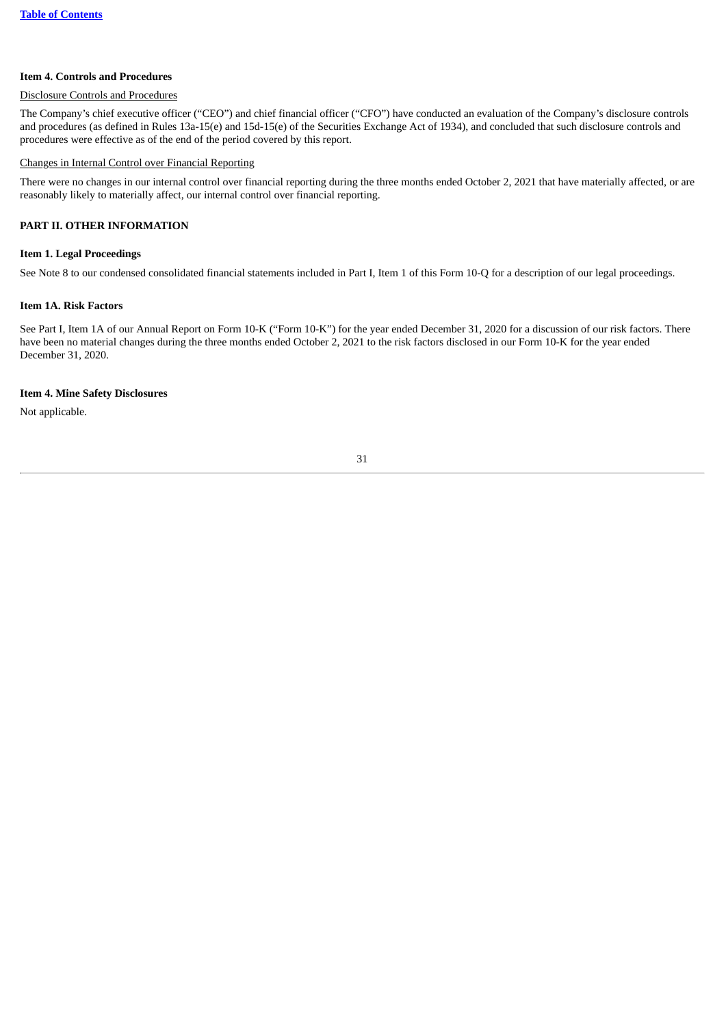## <span id="page-30-0"></span>**Item 4. Controls and Procedures**

## Disclosure Controls and Procedures

The Company's chief executive officer ("CEO") and chief financial officer ("CFO") have conducted an evaluation of the Company's disclosure controls and procedures (as defined in Rules 13a-15(e) and 15d-15(e) of the Securities Exchange Act of 1934), and concluded that such disclosure controls and procedures were effective as of the end of the period covered by this report.

#### Changes in Internal Control over Financial Reporting

There were no changes in our internal control over financial reporting during the three months ended October 2, 2021 that have materially affected, or are reasonably likely to materially affect, our internal control over financial reporting.

#### <span id="page-30-1"></span>**PART II. OTHER INFORMATION**

#### <span id="page-30-2"></span>**Item 1. Legal Proceedings**

See Note 8 to our condensed consolidated financial statements included in Part I, Item 1 of this Form 10-Q for a description of our legal proceedings.

#### <span id="page-30-3"></span>**Item 1A. Risk Factors**

See Part I, Item 1A of our Annual Report on Form 10-K ("Form 10-K") for the year ended December 31, 2020 for a discussion of our risk factors. There have been no material changes during the three months ended October 2, 2021 to the risk factors disclosed in our Form 10-K for the year ended December 31, 2020.

#### <span id="page-30-4"></span>**Item 4. Mine Safety Disclosures**

<span id="page-30-5"></span>Not applicable.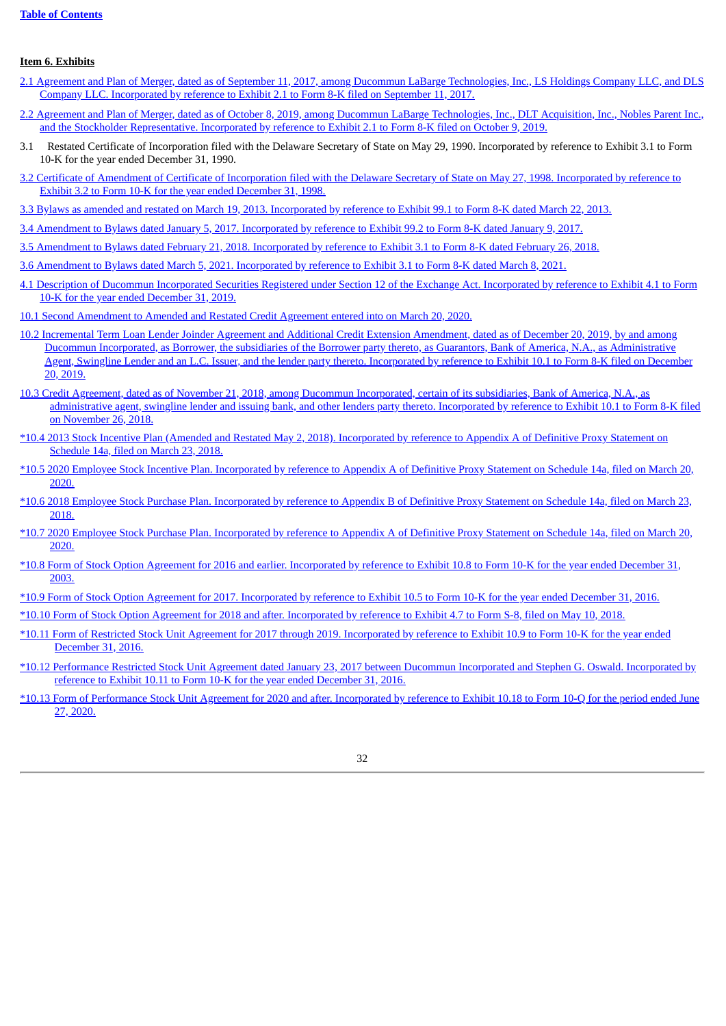## **Item 6. Exhibits**

- 2.1 Agreement and Plan of Merger, dated as of September 11, 2017, among Ducommun LaBarge [Technologies,](http://www.sec.gov/Archives/edgar/data/30305/000119312517281838/d414212dex21.htm) Inc., LS Holdings Company LLC, and DLS Company LLC. Incorporated by reference to Exhibit 2.1 to Form 8-K filed on September 11, 2017.
- 2.2 Agreement and Plan of Merger, dated as of October 8, 2019, among Ducommun LaBarge Technologies, Inc., DLT Acquisition, Inc., Nobles Parent Inc., and the Stockholder [Representative.](http://www.sec.gov/Archives/edgar/data/30305/000119312519264787/d817718dex21.htm) Incorporated by reference to Exhibit 2.1 to Form 8-K filed on October 9, 2019.
- 3.1 Restated Certificate of Incorporation filed with the Delaware Secretary of State on May 29, 1990. Incorporated by reference to Exhibit 3.1 to Form 10-K for the year ended December 31, 1990.
- 3.2 Certificate of Amendment of Certificate of [Incorporation](http://www.sec.gov/Archives/edgar/data/30305/0000892569-99-000620-index.html) filed with the Delaware Secretary of State on May 27, 1998. Incorporated by reference to Exhibit 3.2 to Form 10-K for the year ended December 31, 1998.
- 3.3 Bylaws as amended and restated on March 19, 2013. [Incorporated](http://www.sec.gov/Archives/edgar/data/30305/000119312513121993/d505045dex991.htm) by reference to Exhibit 99.1 to Form 8-K dated March 22, 2013.
- 3.4 Amendment to Bylaws dated January 5, 2017. [Incorporated](http://www.sec.gov/Archives/edgar/data/30305/000119312517005088/d321215dex992.htm) by reference to Exhibit 99.2 to Form 8-K dated January 9, 2017.
- 3.5 Amendment to Bylaws dated February 21, 2018. [Incorporated](http://www.sec.gov/Archives/edgar/data/30305/000119312518058275/0001193125-18-058275-index.htm) by reference to Exhibit 3.1 to Form 8-K dated February 26, 2018.
- 3.6 Amendment to Bylaws dated March 5, 2021. [Incorporated](http://www.sec.gov/Archives/edgar/data/30305/000119312521073228/0001193125-21-073228-index.htm) by reference to Exhibit 3.1 to Form 8-K dated March 8, 2021.
- 4.1 Description of Ducommun [Incorporated](http://www.sec.gov/Archives/edgar/data/30305/000162828020001898/dco10-k2019exhibit4_1.htm) Securities Registered under Section 12 of the Exchange Act. Incorporated by reference to Exhibit 4.1 to Form 10-K for the year ended December 31, 2019.
- 10.1 Second [Amendment](#page-35-0) to Amended and Restated Credit Agreement entered into on March 20, 2020.
- 10.2 Incremental Term Loan Lender Joinder Agreement and Additional Credit Extension Amendment, dated as of December 20, 2019, by and among Ducommun Incorporated, as Borrower, the subsidiaries of the Borrower party thereto, as Guarantors, Bank of America, N.A., as [Administrative](http://www.sec.gov/Archives/edgar/data/30305/000119312519321137/d834392dex101.htm) Agent, Swingline Lender and an L.C. Issuer, and the lender party thereto. Incorporated by reference to Exhibit 10.1 to Form 8-K filed on December 20, 2019.
- 10.3 Credit Agreement, dated as of November 21, 2018, among Ducommun Incorporated, certain of its subsidiaries, Bank of America, N.A., as [administrative](http://www.sec.gov/Archives/edgar/data/30305/000119312518333904/0001193125-18-333904-index.htm) agent, swingline lender and issuing bank, and other lenders party thereto. Incorporated by reference to Exhibit 10.1 to Form 8-K filed on November 26, 2018.
- \*10.4 2013 Stock Incentive Plan (Amended and Restated May 2, 2018). [Incorporated](http://www.sec.gov/Archives/edgar/data/30305/000119312518093774/d536991ddef14a.htm) by reference to Appendix A of Definitive Proxy Statement on Schedule 14a, filed on March 23, 2018.
- \*10.5 2020 Employee Stock Incentive Plan. [Incorporated](http://www.sec.gov/Archives/edgar/data/30305/000119312520080692/d859194ddef14a.htm) by reference to Appendix A of Definitive Proxy Statement on Schedule 14a, filed on March 20, 2020.
- \*10.6 2018 Employee Stock Purchase Plan. [Incorporated](http://www.sec.gov/Archives/edgar/data/30305/000119312518093774/d536991ddef14a.htm) by reference to Appendix B of Definitive Proxy Statement on Schedule 14a, filed on March 23, 2018.
- \*10.7 2020 Employee Stock Purchase Plan. [Incorporated](http://www.sec.gov/Archives/edgar/data/30305/000119312520080692/d859194ddef14a.htm) by reference to Appendix A of Definitive Proxy Statement on Schedule 14a, filed on March 20, 2020.
- \*10.8 Form of Stock Option Agreement for 2016 and earlier. [Incorporated](http://www.sec.gov/Archives/edgar/data/30305/000119312504034525/dex108.htm) by reference to Exhibit 10.8 to Form 10-K for the year ended December 31, 2003.
- \*10.9 Form of Stock Option Agreement for 2017. [Incorporated](http://www.sec.gov/Archives/edgar/data/30305/000162828017002221/dco10-k2016_ex105.htm) by reference to Exhibit 10.5 to Form 10-K for the year ended December 31, 2016.
- [\\*10.10](http://www.sec.gov/Archives/edgar/data/30305/000119312518159343/d596690dex47.htm) Form of Stock Option Agreement for 2018 and after. [Incorporated](http://www.sec.gov/Archives/edgar/data/30305/000119312518159343/d596690dex47.htm) by reference to Exhibit 4.7 to Form S-8, filed on May 10, 2018.
- \*10.11 Form of Restricted Stock Unit Agreement for 2017 through 2019. [Incorporated](http://www.sec.gov/Archives/edgar/data/30305/000162828017002221/dco10-k2016_ex109.htm) by reference to Exhibit 10.9 to Form 10-K for the year ended December 31, 2016.
- \*10.12 Performance Restricted Stock Unit Agreement dated January 23, 2017 between Ducommun Incorporated and Stephen G. Oswald. [Incorporated](http://www.sec.gov/Archives/edgar/data/30305/000162828017002221/dco10-k2016_ex1011.htm) by reference to Exhibit 10.11 to Form 10-K for the year ended December 31, 2016.
- \*10.13 Form of Performance Stock Unit Agreement for 2020 and after. [Incorporated](http://www.sec.gov/Archives/edgar/data/30305/000162828020011005/dco-q2202010xqex1018.htm) by reference to Exhibit 10.18 to Form 10-Q for the period ended June 27, 2020.

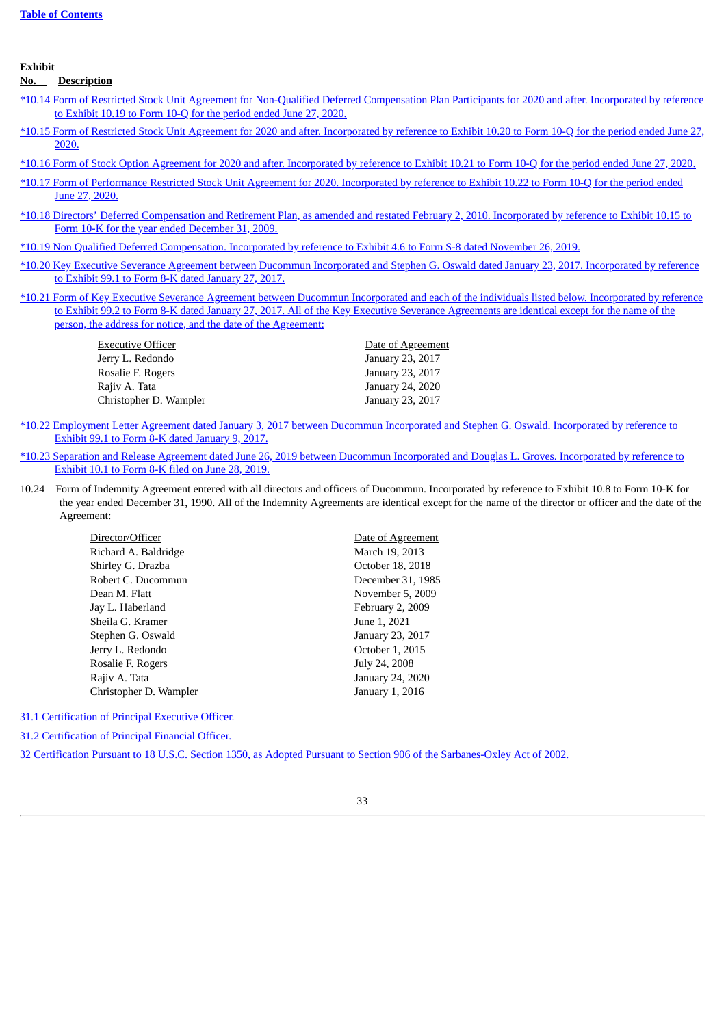## **Exhibit**

**No. Description**

- \*10.14 Form of Restricted Stock Unit Agreement for [Non-Qualified](http://www.sec.gov/Archives/edgar/data/30305/000162828020011005/dco-q2202010xqex1019.htm) Deferred Compensation Plan Participants for 2020 and after. Incorporated by reference to Exhibit 10.19 to Form 10-Q for the period ended June 27, 2020.
- \*10.15 Form of Restricted Stock Unit Agreement for 2020 and after. [Incorporated](http://www.sec.gov/Archives/edgar/data/30305/000162828020011005/dco-q2202010xqex1020.htm) by reference to Exhibit 10.20 to Form 10-Q for the period ended June 27, 2020.
- \*10.16 Form of Stock Option Agreement for 2020 and after. [Incorporated](http://www.sec.gov/Archives/edgar/data/30305/000162828020011005/dco-q2202010xqex1021.htm) by reference to Exhibit 10.21 to Form 10-Q for the period ended June 27, 2020.
- \*10.17 Form of Performance Restricted Stock Unit Agreement for 2020. [Incorporated](http://www.sec.gov/Archives/edgar/data/30305/000162828020011005/dco-q2202010xqex1022.htm) by reference to Exhibit 10.22 to Form 10-Q for the period ended June 27, 2020.
- \*10.18 Directors' Deferred [Compensation](http://www.sec.gov/Archives/edgar/data/30305/000119312510036507/dex1015.htm) and Retirement Plan, as amended and restated February 2, 2010. Incorporated by reference to Exhibit 10.15 to Form 10-K for the year ended December 31, 2009.

\*10.19 Non Qualified Deferred [Compensation.](http://www.sec.gov/Archives/edgar/data/30305/000119312519301183/0001193125-19-301183-index.htm) Incorporated by reference to Exhibit 4.6 to Form S-8 dated November 26, 2019.

- \*10.20 Key Executive Severance Agreement between Ducommun Incorporated and Stephen G. Oswald dated January 23, 2017. [Incorporated](http://www.sec.gov/Archives/edgar/data/30305/000119312517020975/d284517dex991.htm) by reference to Exhibit 99.1 to Form 8-K dated January 27, 2017.
- \*10.21 Form of Key Executive Severance Agreement between Ducommun [Incorporated](http://www.sec.gov/Archives/edgar/data/30305/000119312517020975/d284517dex992.htm) and each of the individuals listed below. Incorporated by reference to Exhibit 99.2 to Form 8-K dated January 27, 2017. All of the Key Executive Severance Agreements are identical except for the name of the person, the address for notice, and the date of the Agreement:

| Executive Officer      | Date of Agreement |
|------------------------|-------------------|
| Jerry L. Redondo       | January 23, 2017  |
| Rosalie F. Rogers      | January 23, 2017  |
| Rajiv A. Tata          | January 24, 2020  |
| Christopher D. Wampler | January 23, 2017  |

- \*10.22 [Employment](http://www.sec.gov/Archives/edgar/data/30305/000119312517005088/d321215dex991.htm) Letter Agreement dated January 3, 2017 between Ducommun Incorporated and Stephen G. Oswald. Incorporated by reference to Exhibit 99.1 to Form 8-K dated January 9, 2017.
- \*10.23 Separation and Release Agreement dated June 26, 2019 between Ducommun [Incorporated](http://www.sec.gov/Archives/edgar/data/30305/000119312519184565/d637016dex101.htm) and Douglas L. Groves. Incorporated by reference to Exhibit 10.1 to Form 8-K filed on June 28, 2019.
- 10.24 Form of Indemnity Agreement entered with all directors and officers of Ducommun. Incorporated by reference to Exhibit 10.8 to Form 10-K for the year ended December 31, 1990. All of the Indemnity Agreements are identical except for the name of the director or officer and the date of the Agreement:

| Director/Officer       | Date of Agreement |  |  |  |  |
|------------------------|-------------------|--|--|--|--|
| Richard A. Baldridge   | March 19, 2013    |  |  |  |  |
| Shirley G. Drazba      | October 18, 2018  |  |  |  |  |
| Robert C. Ducommun     | December 31, 1985 |  |  |  |  |
| Dean M. Flatt          | November 5, 2009  |  |  |  |  |
| Jay L. Haberland       | February 2, 2009  |  |  |  |  |
| Sheila G. Kramer       | June 1, 2021      |  |  |  |  |
| Stephen G. Oswald      | January 23, 2017  |  |  |  |  |
| Jerry L. Redondo       | October 1, 2015   |  |  |  |  |
| Rosalie F. Rogers      | July 24, 2008     |  |  |  |  |
| Rajiv A. Tata          | January 24, 2020  |  |  |  |  |
| Christopher D. Wampler | January 1, 2016   |  |  |  |  |

31.1 [Certification](#page-54-0) of Principal Executive Officer.

31.2 [Certification](#page-55-0) of Principal Financial Officer.

32 Certification Pursuant to 18 U.S.C. Section 1350, as Adopted Pursuant to Section 906 of the [Sarbanes-Oxley](#page-56-0) Act of 2002.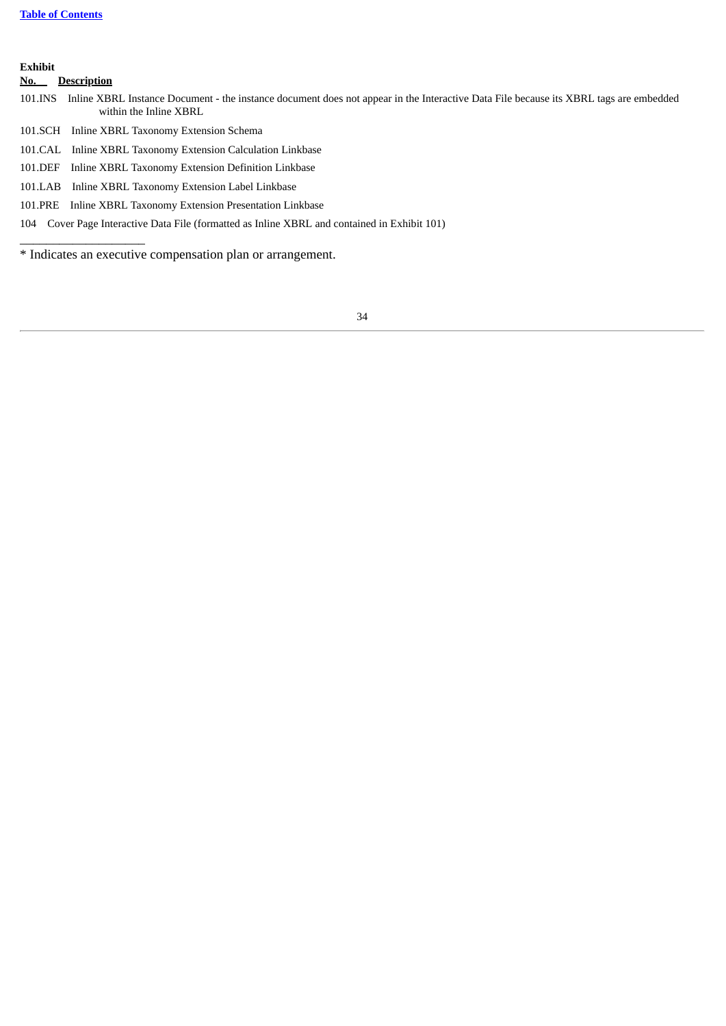## **Table of [Contents](#page-0-0)**

## **Exhibit**

### **No. Description**

\_\_\_\_\_\_\_\_\_\_\_\_\_\_\_\_\_\_\_

- 101.INS Inline XBRL Instance Document the instance document does not appear in the Interactive Data File because its XBRL tags are embedded within the Inline XBRL
- 101.SCH Inline XBRL Taxonomy Extension Schema
- 101.CAL Inline XBRL Taxonomy Extension Calculation Linkbase
- 101.DEF Inline XBRL Taxonomy Extension Definition Linkbase
- 101.LAB Inline XBRL Taxonomy Extension Label Linkbase
- 101.PRE Inline XBRL Taxonomy Extension Presentation Linkbase
- 104 Cover Page Interactive Data File (formatted as Inline XBRL and contained in Exhibit 101)

<span id="page-33-0"></span>\* Indicates an executive compensation plan or arrangement.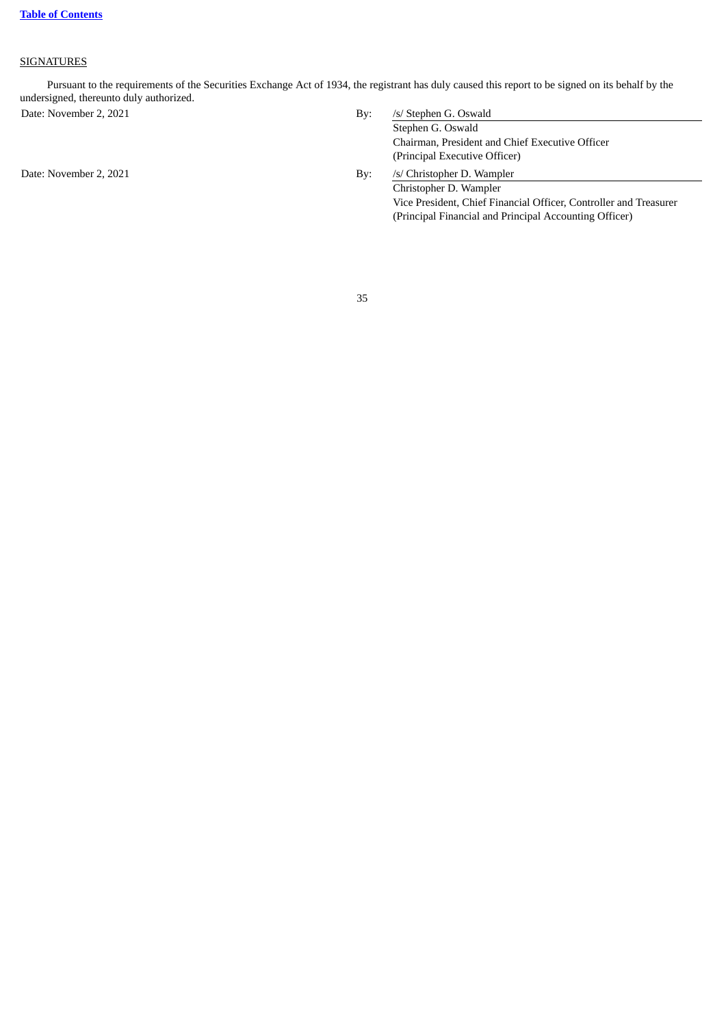## **SIGNATURES**

Pursuant to the requirements of the Securities Exchange Act of 1934, the registrant has duly caused this report to be signed on its behalf by the undersigned, thereunto duly authorized.

| Date: November 2, 2021 | By: | /s/ Stephen G. Oswald                           |
|------------------------|-----|-------------------------------------------------|
|                        |     | Stephen G. Oswald                               |
|                        |     | Chairman, President and Chief Executive Officer |
|                        |     | (Principal Executive Officer)                   |
| Date: November 2, 2021 | Bv: | /s/ Christopher D. Wampler                      |
|                        |     | Christopher D. Wampler                          |

Vice President, Chief Financial Officer, Controller and Treasurer

(Principal Financial and Principal Accounting Officer)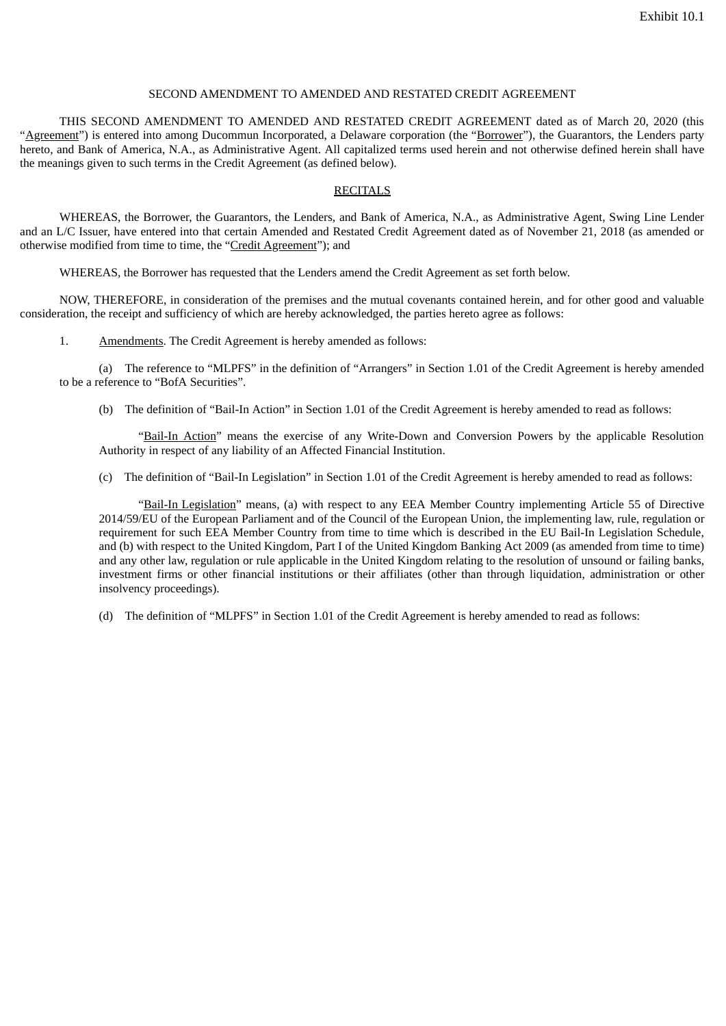## SECOND AMENDMENT TO AMENDED AND RESTATED CREDIT AGREEMENT

<span id="page-35-0"></span>THIS SECOND AMENDMENT TO AMENDED AND RESTATED CREDIT AGREEMENT dated as of March 20, 2020 (this "Agreement") is entered into among Ducommun Incorporated, a Delaware corporation (the "Borrower"), the Guarantors, the Lenders party hereto, and Bank of America, N.A., as Administrative Agent. All capitalized terms used herein and not otherwise defined herein shall have the meanings given to such terms in the Credit Agreement (as defined below).

#### RECITALS

WHEREAS, the Borrower, the Guarantors, the Lenders, and Bank of America, N.A., as Administrative Agent, Swing Line Lender and an L/C Issuer, have entered into that certain Amended and Restated Credit Agreement dated as of November 21, 2018 (as amended or otherwise modified from time to time, the "Credit Agreement"); and

WHEREAS, the Borrower has requested that the Lenders amend the Credit Agreement as set forth below.

NOW, THEREFORE, in consideration of the premises and the mutual covenants contained herein, and for other good and valuable consideration, the receipt and sufficiency of which are hereby acknowledged, the parties hereto agree as follows:

1. Amendments. The Credit Agreement is hereby amended as follows:

(a) The reference to "MLPFS" in the definition of "Arrangers" in Section 1.01 of the Credit Agreement is hereby amended to be a reference to "BofA Securities".

(b) The definition of "Bail-In Action" in Section 1.01 of the Credit Agreement is hereby amended to read as follows:

"Bail-In Action" means the exercise of any Write-Down and Conversion Powers by the applicable Resolution Authority in respect of any liability of an Affected Financial Institution.

(c) The definition of "Bail-In Legislation" in Section 1.01 of the Credit Agreement is hereby amended to read as follows:

"Bail-In Legislation" means, (a) with respect to any EEA Member Country implementing Article 55 of Directive 2014/59/EU of the European Parliament and of the Council of the European Union, the implementing law, rule, regulation or requirement for such EEA Member Country from time to time which is described in the EU Bail-In Legislation Schedule, and (b) with respect to the United Kingdom, Part I of the United Kingdom Banking Act 2009 (as amended from time to time) and any other law, regulation or rule applicable in the United Kingdom relating to the resolution of unsound or failing banks, investment firms or other financial institutions or their affiliates (other than through liquidation, administration or other insolvency proceedings).

(d) The definition of "MLPFS" in Section 1.01 of the Credit Agreement is hereby amended to read as follows: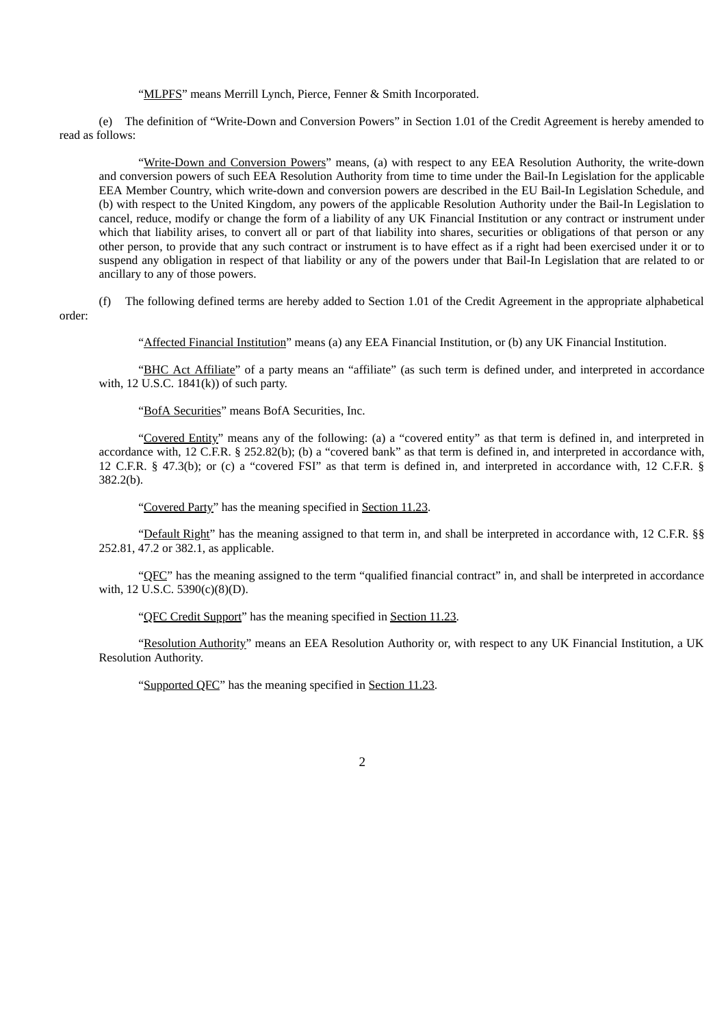"MLPFS" means Merrill Lynch, Pierce, Fenner & Smith Incorporated.

(e) The definition of "Write-Down and Conversion Powers" in Section 1.01 of the Credit Agreement is hereby amended to read as follows:

"Write-Down and Conversion Powers" means, (a) with respect to any EEA Resolution Authority, the write-down and conversion powers of such EEA Resolution Authority from time to time under the Bail-In Legislation for the applicable EEA Member Country, which write-down and conversion powers are described in the EU Bail-In Legislation Schedule, and (b) with respect to the United Kingdom, any powers of the applicable Resolution Authority under the Bail-In Legislation to cancel, reduce, modify or change the form of a liability of any UK Financial Institution or any contract or instrument under which that liability arises, to convert all or part of that liability into shares, securities or obligations of that person or any other person, to provide that any such contract or instrument is to have effect as if a right had been exercised under it or to suspend any obligation in respect of that liability or any of the powers under that Bail-In Legislation that are related to or ancillary to any of those powers.

(f) The following defined terms are hereby added to Section 1.01 of the Credit Agreement in the appropriate alphabetical order:

"Affected Financial Institution" means (a) any EEA Financial Institution, or (b) any UK Financial Institution.

"BHC Act Affiliate" of a party means an "affiliate" (as such term is defined under, and interpreted in accordance with, 12 U.S.C. 1841(k)) of such party.

"BofA Securities" means BofA Securities, Inc.

"Covered Entity" means any of the following: (a) a "covered entity" as that term is defined in, and interpreted in accordance with, 12 C.F.R. § 252.82(b); (b) a "covered bank" as that term is defined in, and interpreted in accordance with, 12 C.F.R. § 47.3(b); or (c) a "covered FSI" as that term is defined in, and interpreted in accordance with, 12 C.F.R. § 382.2(b).

"Covered Party" has the meaning specified in Section 11.23.

"Default Right" has the meaning assigned to that term in, and shall be interpreted in accordance with, 12 C.F.R. §§ 252.81, 47.2 or 382.1, as applicable.

"QFC" has the meaning assigned to the term "qualified financial contract" in, and shall be interpreted in accordance with, 12 U.S.C. 5390(c)(8)(D).

"QFC Credit Support" has the meaning specified in Section 11.23.

"Resolution Authority" means an EEA Resolution Authority or, with respect to any UK Financial Institution, a UK Resolution Authority.

"Supported QFC" has the meaning specified in Section 11.23.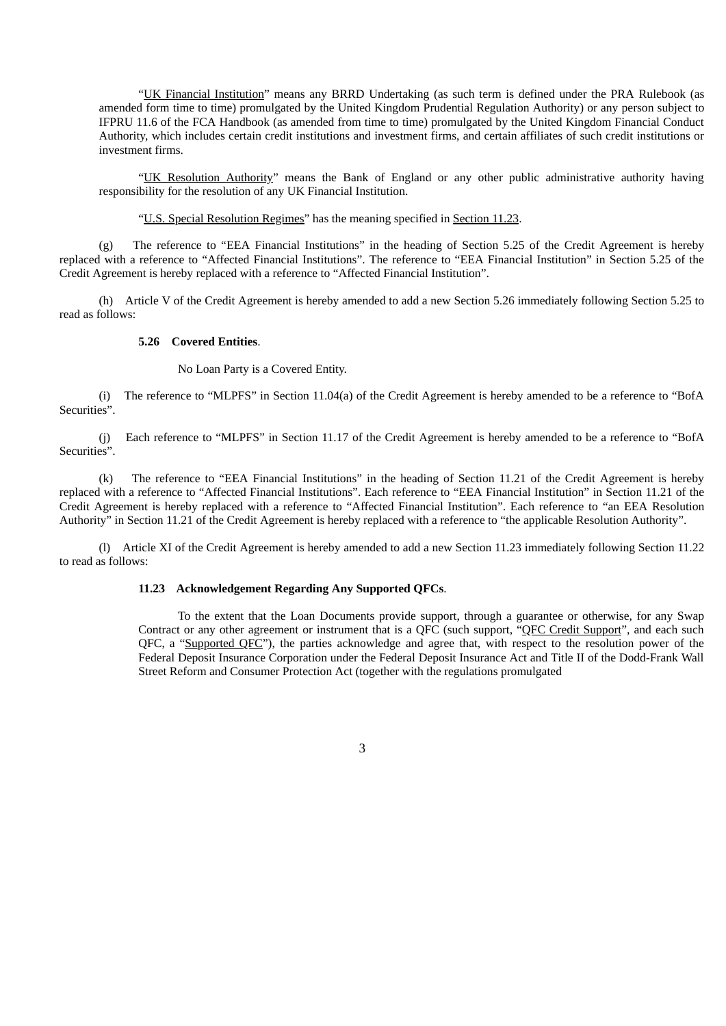"UK Financial Institution" means any BRRD Undertaking (as such term is defined under the PRA Rulebook (as amended form time to time) promulgated by the United Kingdom Prudential Regulation Authority) or any person subject to IFPRU 11.6 of the FCA Handbook (as amended from time to time) promulgated by the United Kingdom Financial Conduct Authority, which includes certain credit institutions and investment firms, and certain affiliates of such credit institutions or investment firms.

"UK Resolution Authority" means the Bank of England or any other public administrative authority having responsibility for the resolution of any UK Financial Institution.

"U.S. Special Resolution Regimes" has the meaning specified in Section 11.23.

(g) The reference to "EEA Financial Institutions" in the heading of Section 5.25 of the Credit Agreement is hereby replaced with a reference to "Affected Financial Institutions". The reference to "EEA Financial Institution" in Section 5.25 of the Credit Agreement is hereby replaced with a reference to "Affected Financial Institution".

(h) Article V of the Credit Agreement is hereby amended to add a new Section 5.26 immediately following Section 5.25 to read as follows:

## **5.26 Covered Entities**.

#### No Loan Party is a Covered Entity.

(i) The reference to "MLPFS" in Section 11.04(a) of the Credit Agreement is hereby amended to be a reference to "BofA Securities".

(j) Each reference to "MLPFS" in Section 11.17 of the Credit Agreement is hereby amended to be a reference to "BofA Securities".

(k) The reference to "EEA Financial Institutions" in the heading of Section 11.21 of the Credit Agreement is hereby replaced with a reference to "Affected Financial Institutions". Each reference to "EEA Financial Institution" in Section 11.21 of the Credit Agreement is hereby replaced with a reference to "Affected Financial Institution". Each reference to "an EEA Resolution Authority" in Section 11.21 of the Credit Agreement is hereby replaced with a reference to "the applicable Resolution Authority".

(l) Article XI of the Credit Agreement is hereby amended to add a new Section 11.23 immediately following Section 11.22 to read as follows:

#### **11.23 Acknowledgement Regarding Any Supported QFCs**.

To the extent that the Loan Documents provide support, through a guarantee or otherwise, for any Swap Contract or any other agreement or instrument that is a QFC (such support, "QFC Credit Support", and each such QFC, a "Supported QFC"), the parties acknowledge and agree that, with respect to the resolution power of the Federal Deposit Insurance Corporation under the Federal Deposit Insurance Act and Title II of the Dodd-Frank Wall Street Reform and Consumer Protection Act (together with the regulations promulgated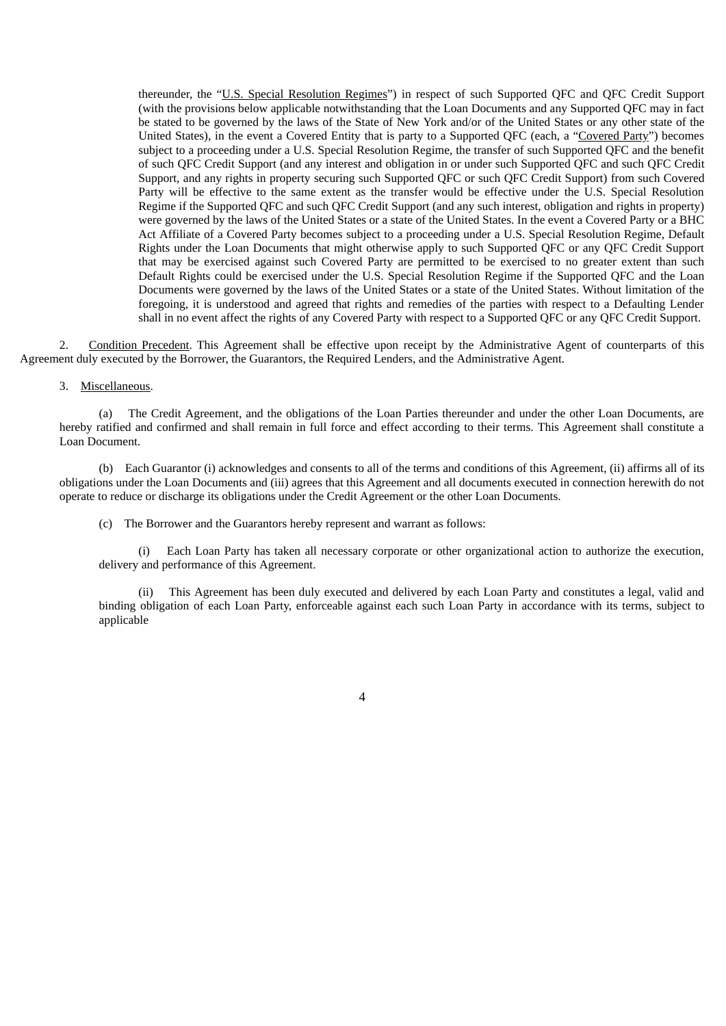thereunder, the "U.S. Special Resolution Regimes") in respect of such Supported QFC and QFC Credit Support (with the provisions below applicable notwithstanding that the Loan Documents and any Supported QFC may in fact be stated to be governed by the laws of the State of New York and/or of the United States or any other state of the United States), in the event a Covered Entity that is party to a Supported QFC (each, a "Covered Party") becomes subject to a proceeding under a U.S. Special Resolution Regime, the transfer of such Supported QFC and the benefit of such QFC Credit Support (and any interest and obligation in or under such Supported QFC and such QFC Credit Support, and any rights in property securing such Supported QFC or such QFC Credit Support) from such Covered Party will be effective to the same extent as the transfer would be effective under the U.S. Special Resolution Regime if the Supported QFC and such QFC Credit Support (and any such interest, obligation and rights in property) were governed by the laws of the United States or a state of the United States. In the event a Covered Party or a BHC Act Affiliate of a Covered Party becomes subject to a proceeding under a U.S. Special Resolution Regime, Default Rights under the Loan Documents that might otherwise apply to such Supported QFC or any QFC Credit Support that may be exercised against such Covered Party are permitted to be exercised to no greater extent than such Default Rights could be exercised under the U.S. Special Resolution Regime if the Supported QFC and the Loan Documents were governed by the laws of the United States or a state of the United States. Without limitation of the foregoing, it is understood and agreed that rights and remedies of the parties with respect to a Defaulting Lender shall in no event affect the rights of any Covered Party with respect to a Supported QFC or any QFC Credit Support.

2. Condition Precedent. This Agreement shall be effective upon receipt by the Administrative Agent of counterparts of this Agreement duly executed by the Borrower, the Guarantors, the Required Lenders, and the Administrative Agent.

#### 3. Miscellaneous.

(a) The Credit Agreement, and the obligations of the Loan Parties thereunder and under the other Loan Documents, are hereby ratified and confirmed and shall remain in full force and effect according to their terms. This Agreement shall constitute a Loan Document.

(b) Each Guarantor (i) acknowledges and consents to all of the terms and conditions of this Agreement, (ii) affirms all of its obligations under the Loan Documents and (iii) agrees that this Agreement and all documents executed in connection herewith do not operate to reduce or discharge its obligations under the Credit Agreement or the other Loan Documents.

(c) The Borrower and the Guarantors hereby represent and warrant as follows:

(i) Each Loan Party has taken all necessary corporate or other organizational action to authorize the execution, delivery and performance of this Agreement.

(ii) This Agreement has been duly executed and delivered by each Loan Party and constitutes a legal, valid and binding obligation of each Loan Party, enforceable against each such Loan Party in accordance with its terms, subject to applicable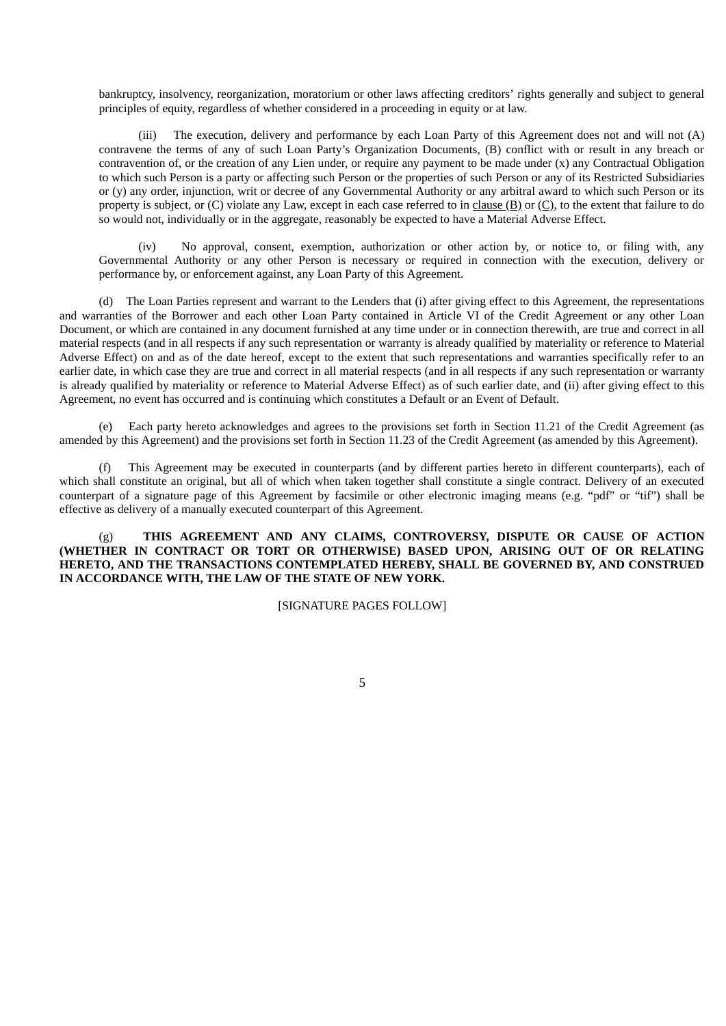bankruptcy, insolvency, reorganization, moratorium or other laws affecting creditors' rights generally and subject to general principles of equity, regardless of whether considered in a proceeding in equity or at law.

(iii) The execution, delivery and performance by each Loan Party of this Agreement does not and will not (A) contravene the terms of any of such Loan Party's Organization Documents, (B) conflict with or result in any breach or contravention of, or the creation of any Lien under, or require any payment to be made under (x) any Contractual Obligation to which such Person is a party or affecting such Person or the properties of such Person or any of its Restricted Subsidiaries or (y) any order, injunction, writ or decree of any Governmental Authority or any arbitral award to which such Person or its property is subject, or (C) violate any Law, except in each case referred to in clause (B) or (C), to the extent that failure to do so would not, individually or in the aggregate, reasonably be expected to have a Material Adverse Effect.

(iv) No approval, consent, exemption, authorization or other action by, or notice to, or filing with, any Governmental Authority or any other Person is necessary or required in connection with the execution, delivery or performance by, or enforcement against, any Loan Party of this Agreement.

(d) The Loan Parties represent and warrant to the Lenders that (i) after giving effect to this Agreement, the representations and warranties of the Borrower and each other Loan Party contained in Article VI of the Credit Agreement or any other Loan Document, or which are contained in any document furnished at any time under or in connection therewith, are true and correct in all material respects (and in all respects if any such representation or warranty is already qualified by materiality or reference to Material Adverse Effect) on and as of the date hereof, except to the extent that such representations and warranties specifically refer to an earlier date, in which case they are true and correct in all material respects (and in all respects if any such representation or warranty is already qualified by materiality or reference to Material Adverse Effect) as of such earlier date, and (ii) after giving effect to this Agreement, no event has occurred and is continuing which constitutes a Default or an Event of Default.

(e) Each party hereto acknowledges and agrees to the provisions set forth in Section 11.21 of the Credit Agreement (as amended by this Agreement) and the provisions set forth in Section 11.23 of the Credit Agreement (as amended by this Agreement).

(f) This Agreement may be executed in counterparts (and by different parties hereto in different counterparts), each of which shall constitute an original, but all of which when taken together shall constitute a single contract. Delivery of an executed counterpart of a signature page of this Agreement by facsimile or other electronic imaging means (e.g. "pdf" or "tif") shall be effective as delivery of a manually executed counterpart of this Agreement.

(g) **THIS AGREEMENT AND ANY CLAIMS, CONTROVERSY, DISPUTE OR CAUSE OF ACTION (WHETHER IN CONTRACT OR TORT OR OTHERWISE) BASED UPON, ARISING OUT OF OR RELATING HERETO, AND THE TRANSACTIONS CONTEMPLATED HEREBY, SHALL BE GOVERNED BY, AND CONSTRUED IN ACCORDANCE WITH, THE LAW OF THE STATE OF NEW YORK.**

[SIGNATURE PAGES FOLLOW]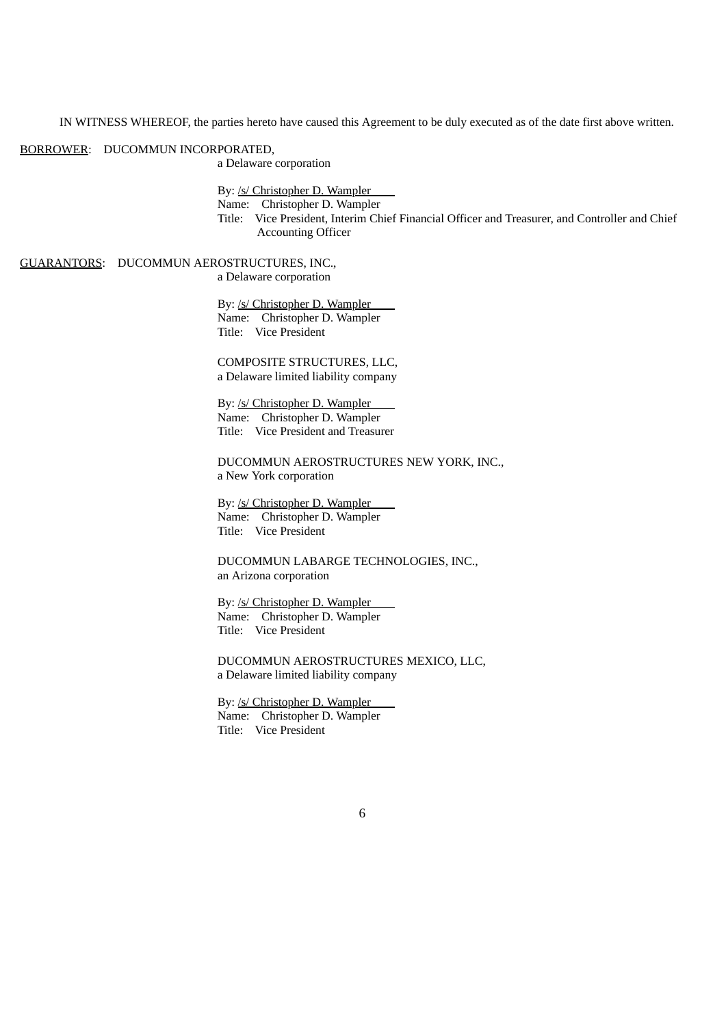IN WITNESS WHEREOF, the parties hereto have caused this Agreement to be duly executed as of the date first above written.

#### BORROWER: DUCOMMUN INCORPORATED,

a Delaware corporation

By: /s/ Christopher D. Wampler

Name: Christopher D. Wampler

Title: Vice President, Interim Chief Financial Officer and Treasurer, and Controller and Chief Accounting Officer

## GUARANTORS: DUCOMMUN AEROSTRUCTURES, INC.,

a Delaware corporation

By: /s/ Christopher D. Wampler Name: Christopher D. Wampler Title: Vice President

COMPOSITE STRUCTURES, LLC, a Delaware limited liability company

By: /s/ Christopher D. Wampler Name: Christopher D. Wampler Title: Vice President and Treasurer

DUCOMMUN AEROSTRUCTURES NEW YORK, INC., a New York corporation

By: /s/ Christopher D. Wampler Name: Christopher D. Wampler Title: Vice President

DUCOMMUN LABARGE TECHNOLOGIES, INC., an Arizona corporation

By: /s/ Christopher D. Wampler Name: Christopher D. Wampler Title: Vice President

DUCOMMUN AEROSTRUCTURES MEXICO, LLC, a Delaware limited liability company

By: /s/ Christopher D. Wampler Name: Christopher D. Wampler Title: Vice President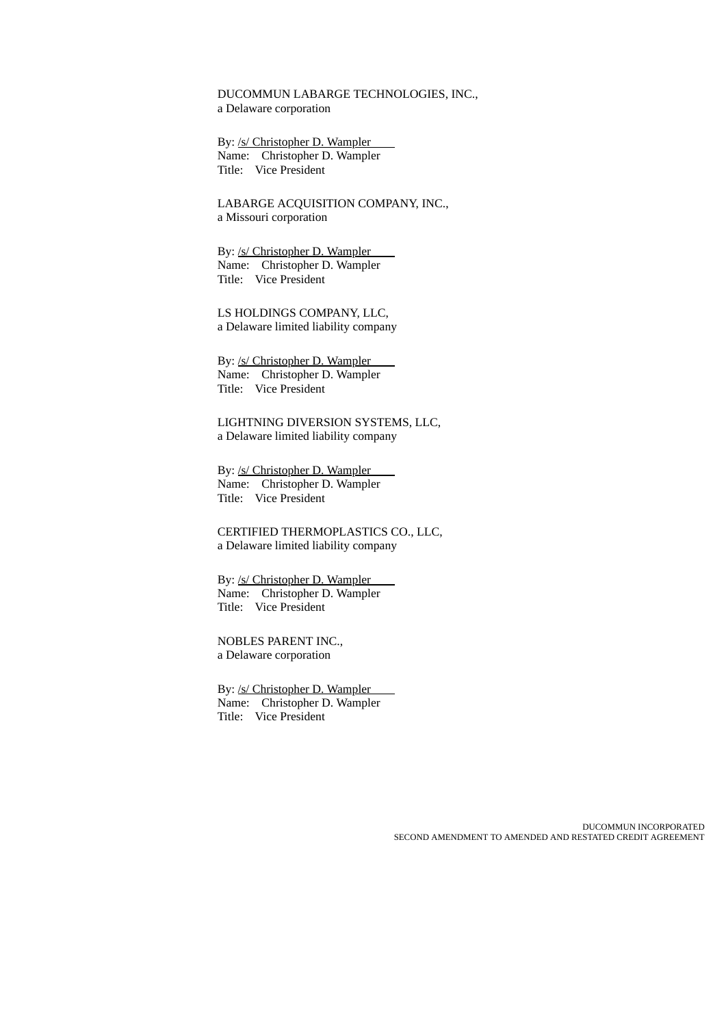## DUCOMMUN LABARGE TECHNOLOGIES, INC., a Delaware corporation

By: /s/ Christopher D. Wampler Name: Christopher D. Wampler Title: Vice President

LABARGE ACQUISITION COMPANY, INC., a Missouri corporation

By: /s/ Christopher D. Wampler Name: Christopher D. Wampler Title: Vice President

LS HOLDINGS COMPANY, LLC, a Delaware limited liability company

By: /s/ Christopher D. Wampler Name: Christopher D. Wampler Title: Vice President

LIGHTNING DIVERSION SYSTEMS, LLC, a Delaware limited liability company

By: /s/ Christopher D. Wampler Name: Christopher D. Wampler Title: Vice President

CERTIFIED THERMOPLASTICS CO., LLC, a Delaware limited liability company

By: /s/ Christopher D. Wampler Name: Christopher D. Wampler Title: Vice President

NOBLES PARENT INC., a Delaware corporation

By: /s/ Christopher D. Wampler Name: Christopher D. Wampler Title: Vice President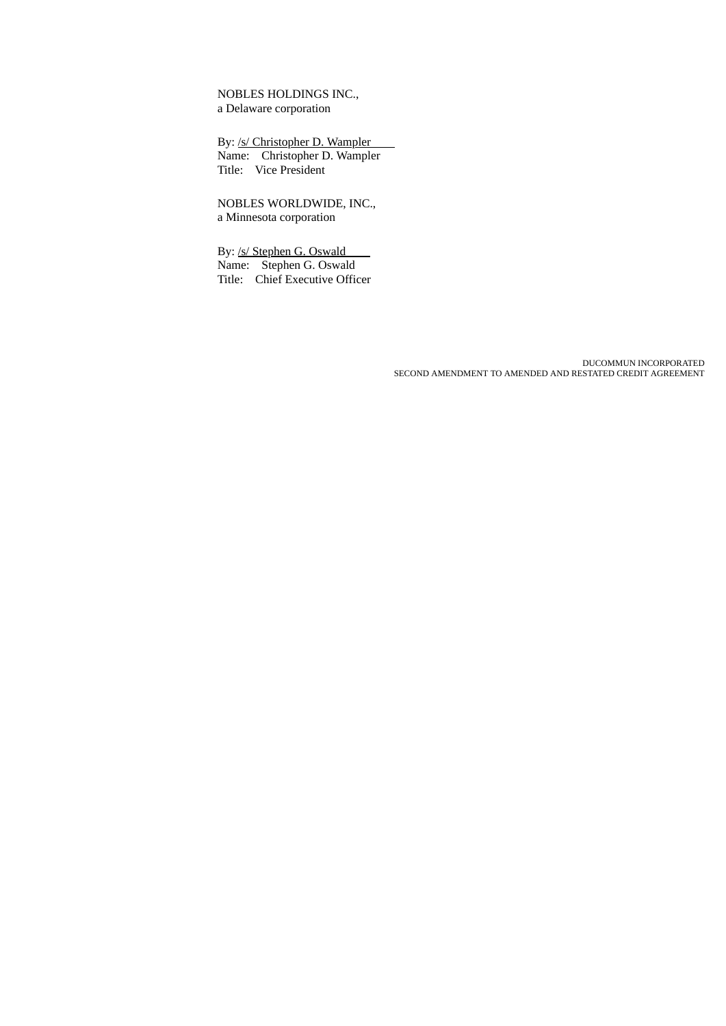NOBLES HOLDINGS INC., a Delaware corporation

By: /s/ Christopher D. Wampler Name: Christopher D. Wampler Title: Vice President

NOBLES WORLDWIDE, INC., a Minnesota corporation

By: /s/ Stephen G. Oswald Name: Stephen G. Oswald Title: Chief Executive Officer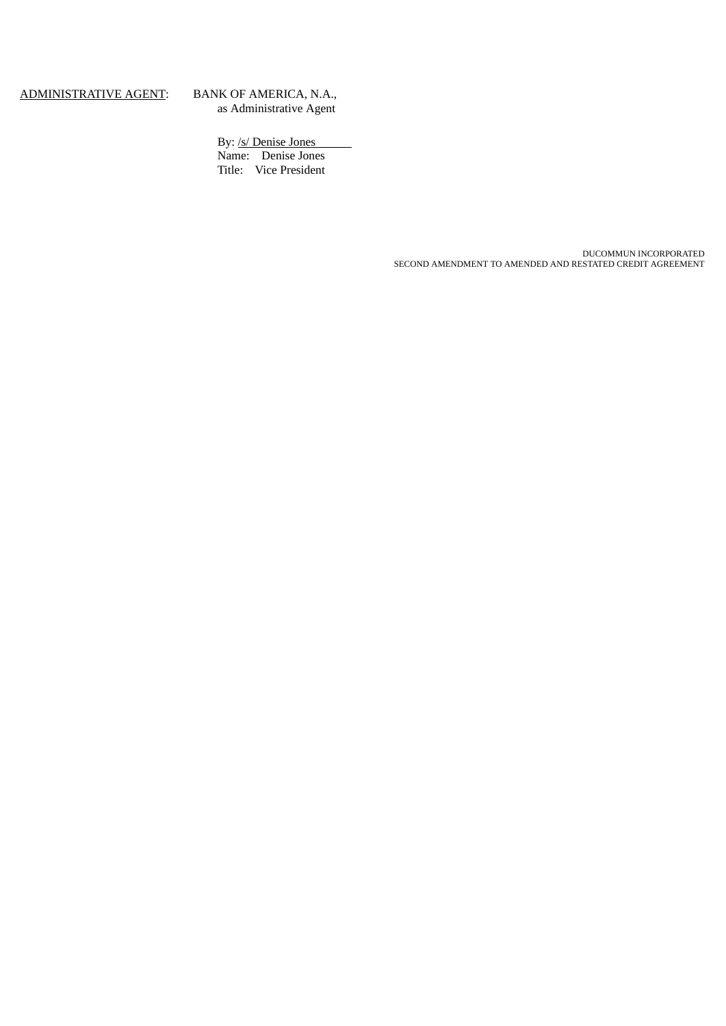## ADMINISTRATIVE AGENT: BANK OF AMERICA, N.A.,

# as Administrative Agent

By: /s/ Denise Jones Name: Denise Jones Title: Vice President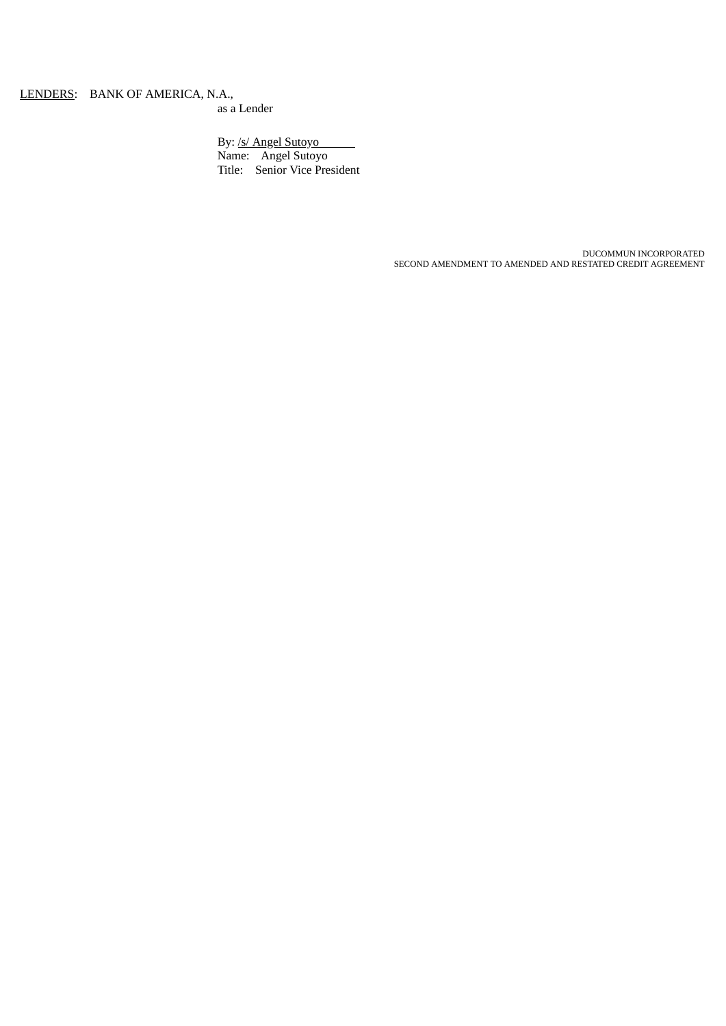LENDERS: BANK OF AMERICA, N.A.,

as a Lender

By: /s/ Angel Sutoyo Name: Angel Sutoyo Title: Senior Vice President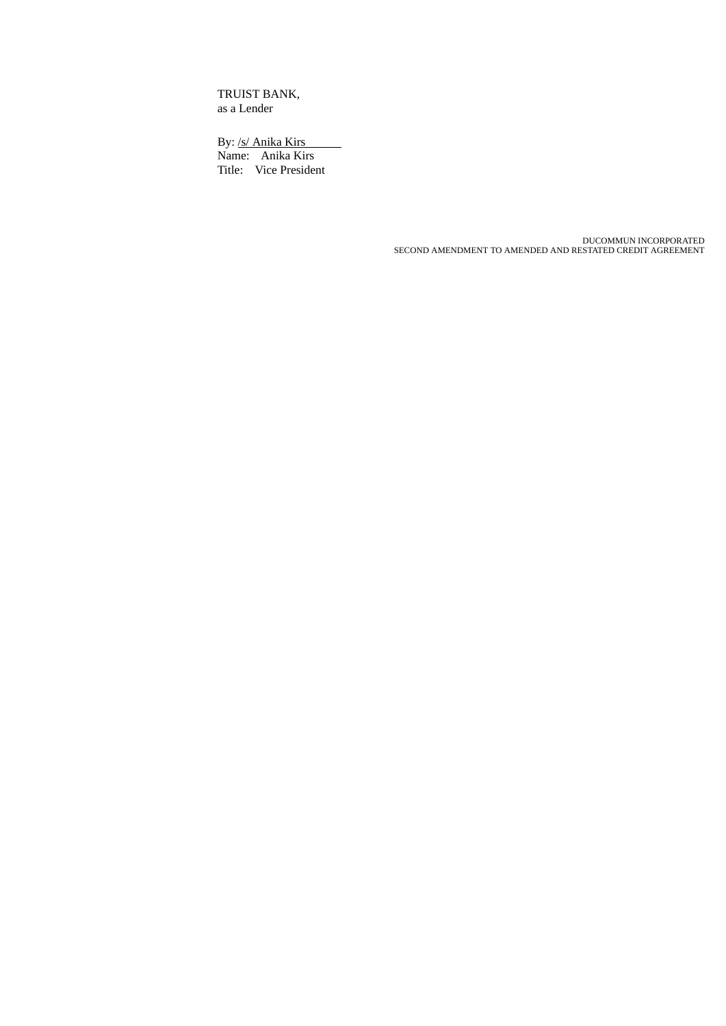TRUIST BANK, as a Lender

By: /s/ Anika Kirs Name: Anika Kirs Title: Vice President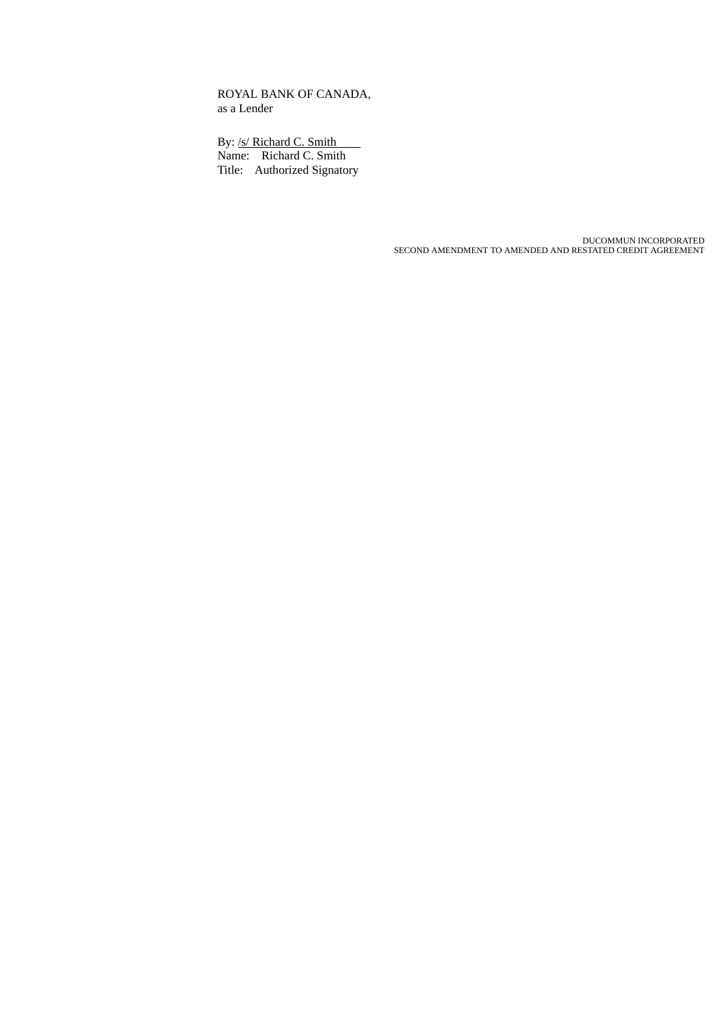ROYAL BANK OF CANADA, as a Lender

By: /s/ Richard C. Smith Name: Richard C. Smith Title: Authorized Signatory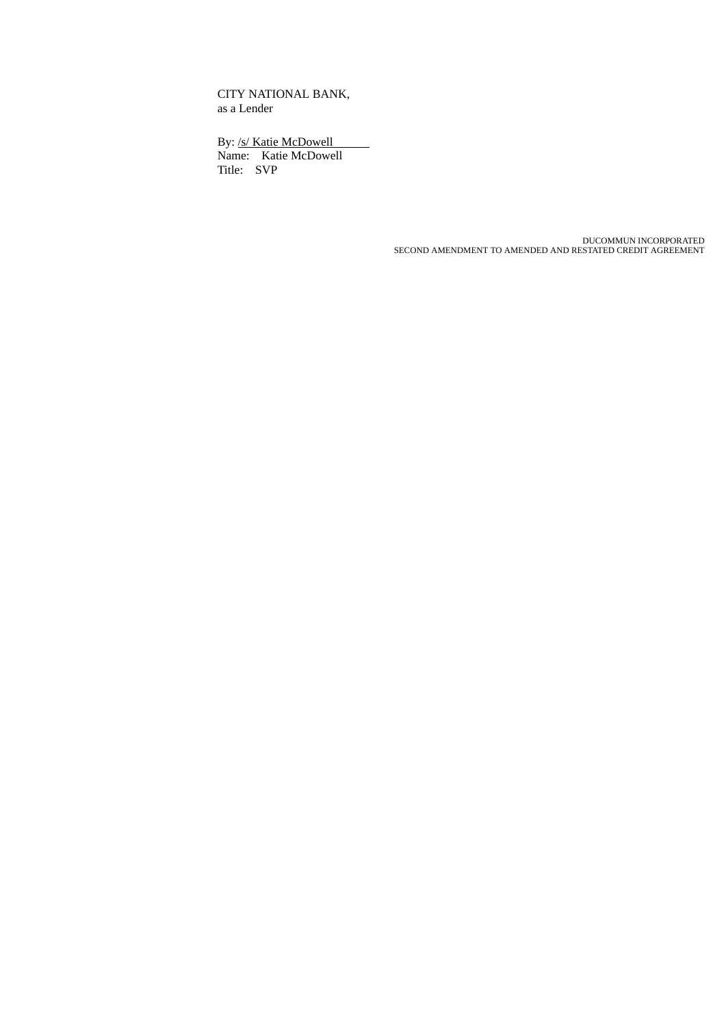CITY NATIONAL BANK, as a Lender

By: /s/ Katie McDowell Name: Katie McDowell Title: SVP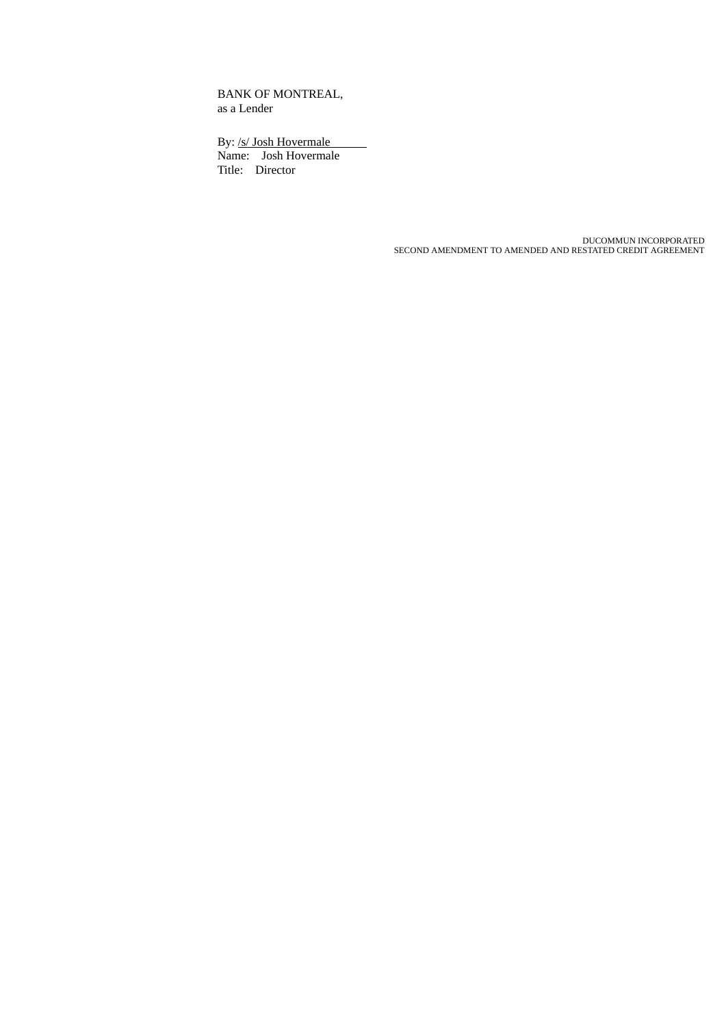BANK OF MONTREAL, as a Lender

By: /s/ Josh Hovermale Name: Josh Hovermale Title: Director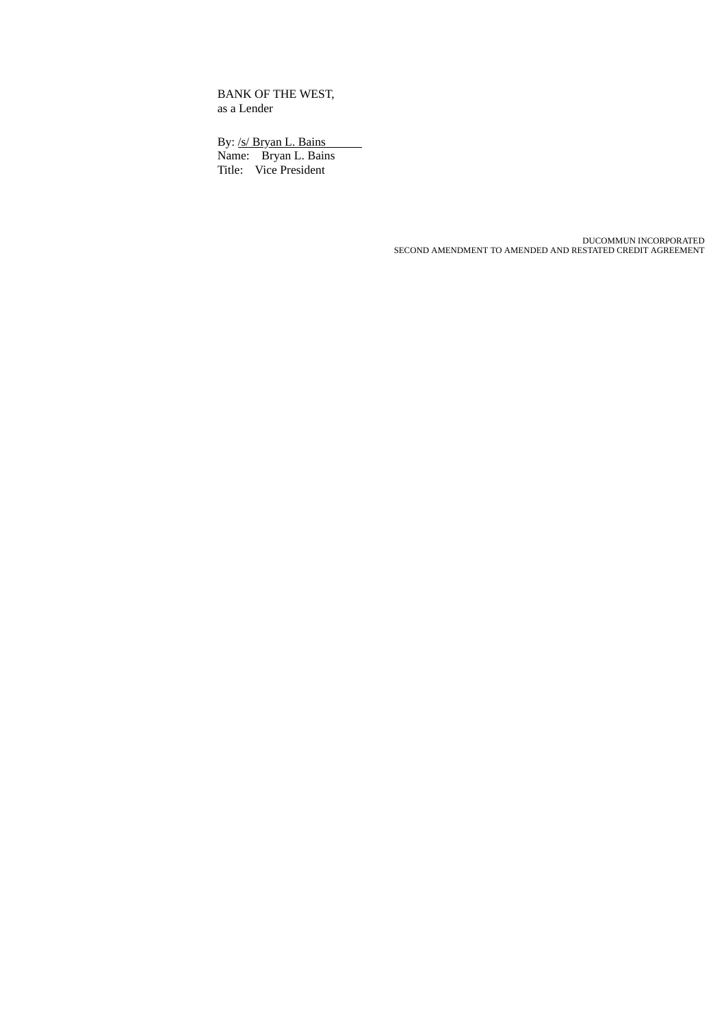BANK OF THE WEST, as a Lender

By: /s/ Bryan L. Bains Name: Bryan L. Bains Title: Vice President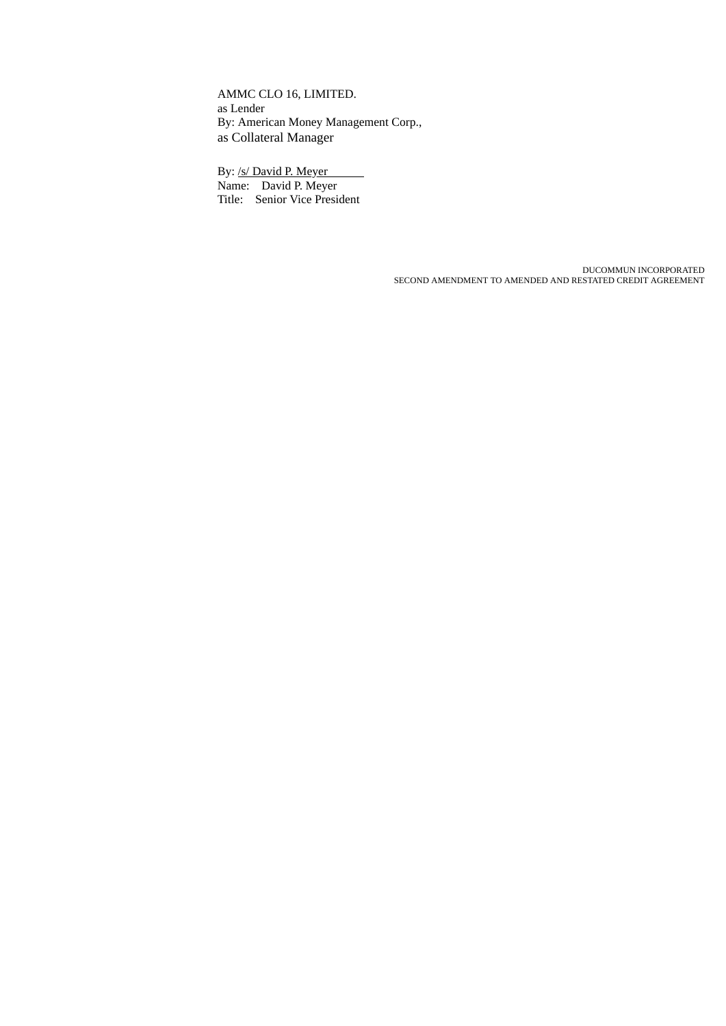AMMC CLO 16, LIMITED. as Lender By: American Money Management Corp., as Collateral Manager

By: /s/ David P. Meyer  $\overline{\phantom{0}}$ Name: David P. Meyer Title: Senior Vice President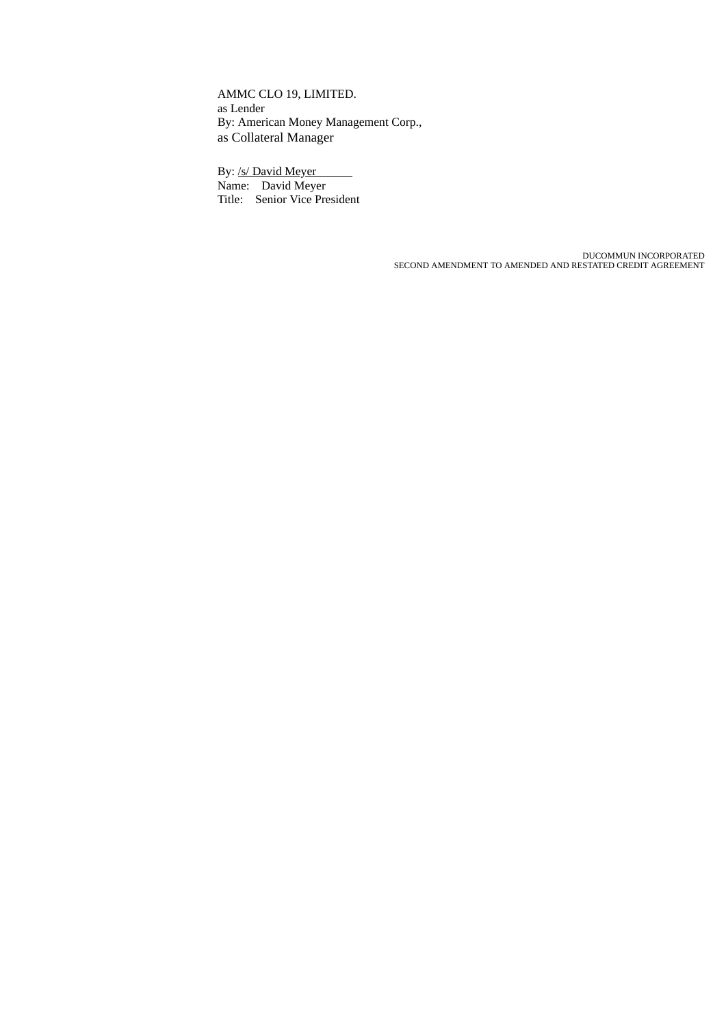AMMC CLO 19, LIMITED. as Lender By: American Money Management Corp., as Collateral Manager

By: /s/ David Meyer  $\overline{\phantom{a}}$ Name: David Meyer Title: Senior Vice President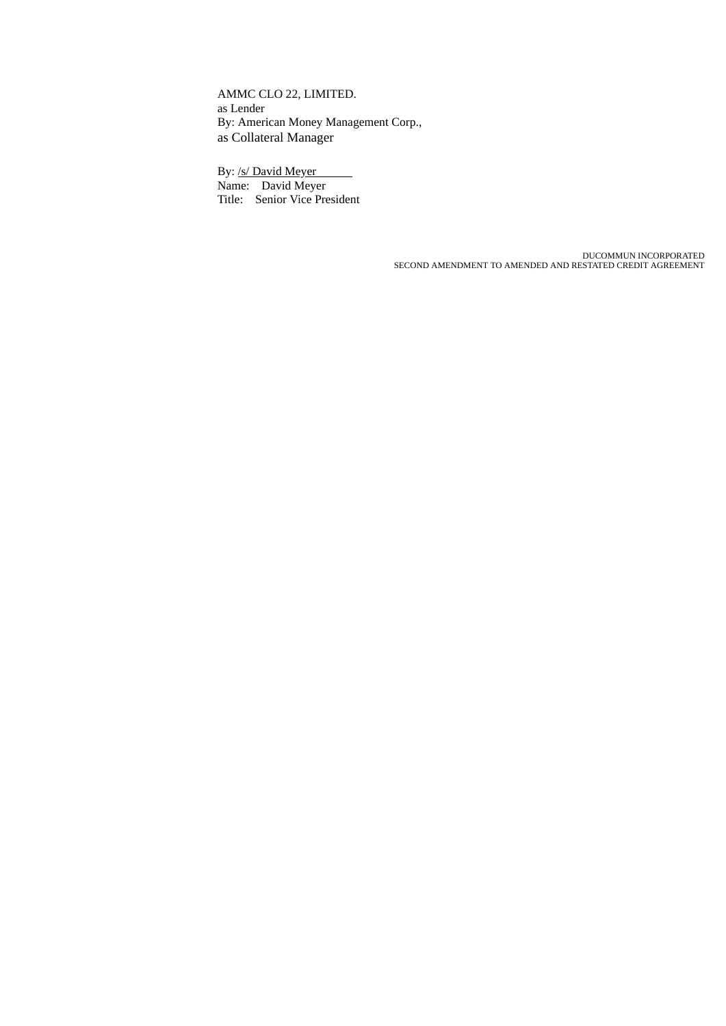AMMC CLO 22, LIMITED. as Lender By: American Money Management Corp., as Collateral Manager

By: /s/ David Meyer  $\overline{\phantom{a}}$ Name: David Meyer Title: Senior Vice President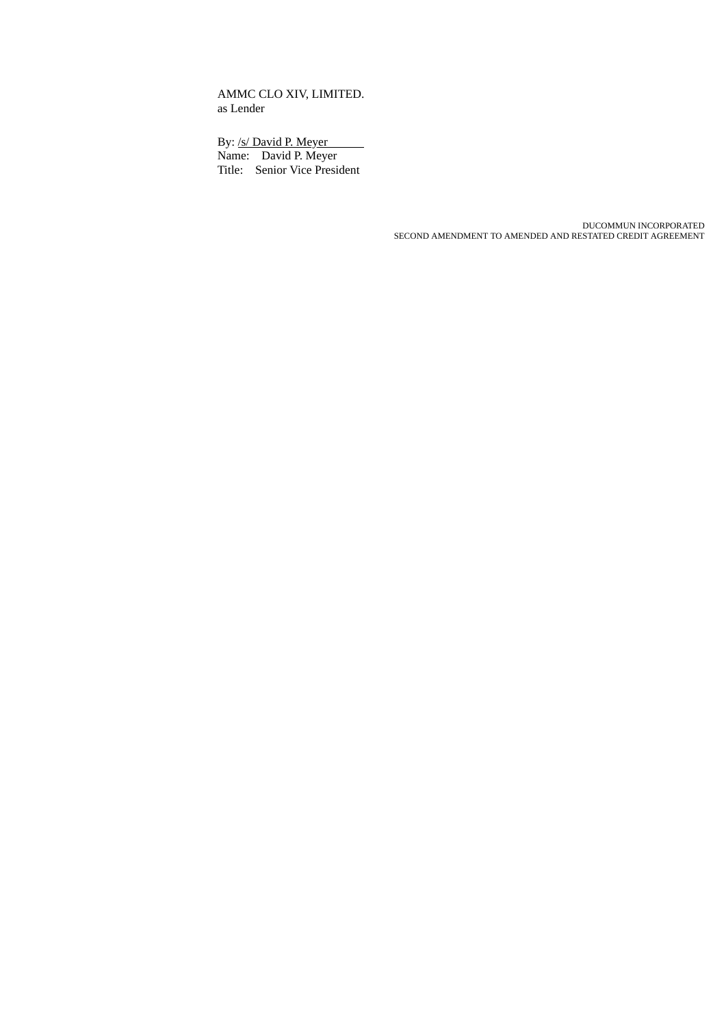AMMC CLO XIV, LIMITED. as Lender

By: /s/ David P. Meyer Name: David P. Meyer Title: Senior Vice President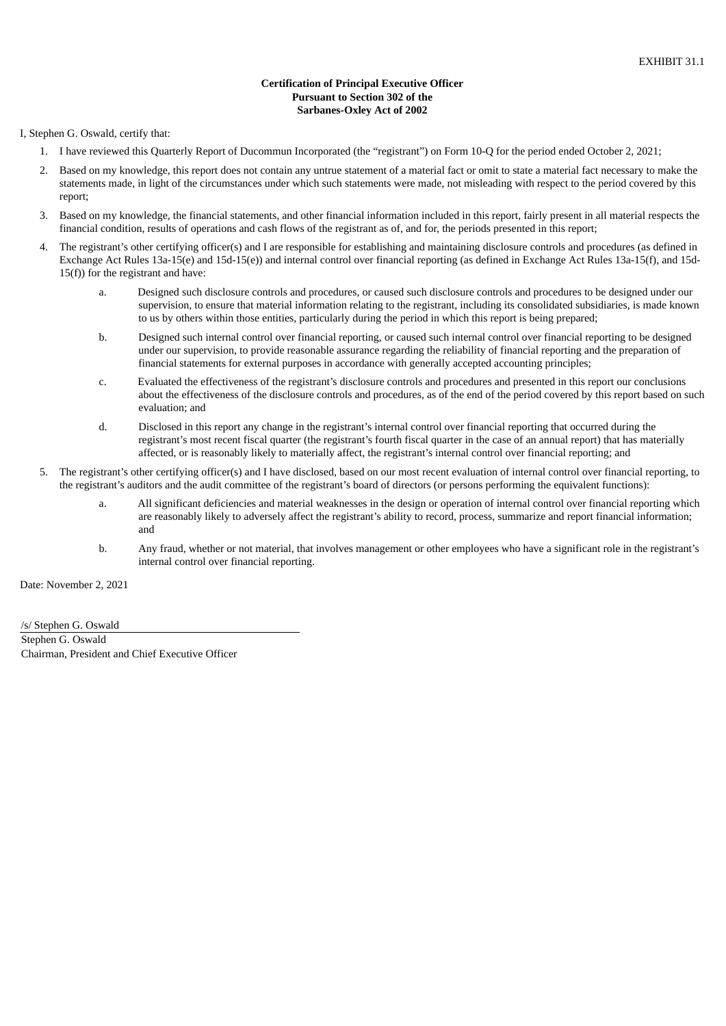## **Certification of Principal Executive Officer Pursuant to Section 302 of the Sarbanes-Oxley Act of 2002**

<span id="page-54-0"></span>I, Stephen G. Oswald, certify that:

- 1. I have reviewed this Quarterly Report of Ducommun Incorporated (the "registrant") on Form 10-Q for the period ended October 2, 2021;
- 2. Based on my knowledge, this report does not contain any untrue statement of a material fact or omit to state a material fact necessary to make the statements made, in light of the circumstances under which such statements were made, not misleading with respect to the period covered by this report;
- 3. Based on my knowledge, the financial statements, and other financial information included in this report, fairly present in all material respects the financial condition, results of operations and cash flows of the registrant as of, and for, the periods presented in this report;
- 4. The registrant's other certifying officer(s) and I are responsible for establishing and maintaining disclosure controls and procedures (as defined in Exchange Act Rules 13a-15(e) and 15d-15(e)) and internal control over financial reporting (as defined in Exchange Act Rules 13a-15(f), and 15d-15(f)) for the registrant and have:
	- a. Designed such disclosure controls and procedures, or caused such disclosure controls and procedures to be designed under our supervision, to ensure that material information relating to the registrant, including its consolidated subsidiaries, is made known to us by others within those entities, particularly during the period in which this report is being prepared;
	- b. Designed such internal control over financial reporting, or caused such internal control over financial reporting to be designed under our supervision, to provide reasonable assurance regarding the reliability of financial reporting and the preparation of financial statements for external purposes in accordance with generally accepted accounting principles;
	- c. Evaluated the effectiveness of the registrant's disclosure controls and procedures and presented in this report our conclusions about the effectiveness of the disclosure controls and procedures, as of the end of the period covered by this report based on such evaluation; and
	- d. Disclosed in this report any change in the registrant's internal control over financial reporting that occurred during the registrant's most recent fiscal quarter (the registrant's fourth fiscal quarter in the case of an annual report) that has materially affected, or is reasonably likely to materially affect, the registrant's internal control over financial reporting; and
- 5. The registrant's other certifying officer(s) and I have disclosed, based on our most recent evaluation of internal control over financial reporting, to the registrant's auditors and the audit committee of the registrant's board of directors (or persons performing the equivalent functions):
	- a. All significant deficiencies and material weaknesses in the design or operation of internal control over financial reporting which are reasonably likely to adversely affect the registrant's ability to record, process, summarize and report financial information; and
	- b. Any fraud, whether or not material, that involves management or other employees who have a significant role in the registrant's internal control over financial reporting.

Date: November 2, 2021

/s/ Stephen G. Oswald Stephen G. Oswald Chairman, President and Chief Executive Officer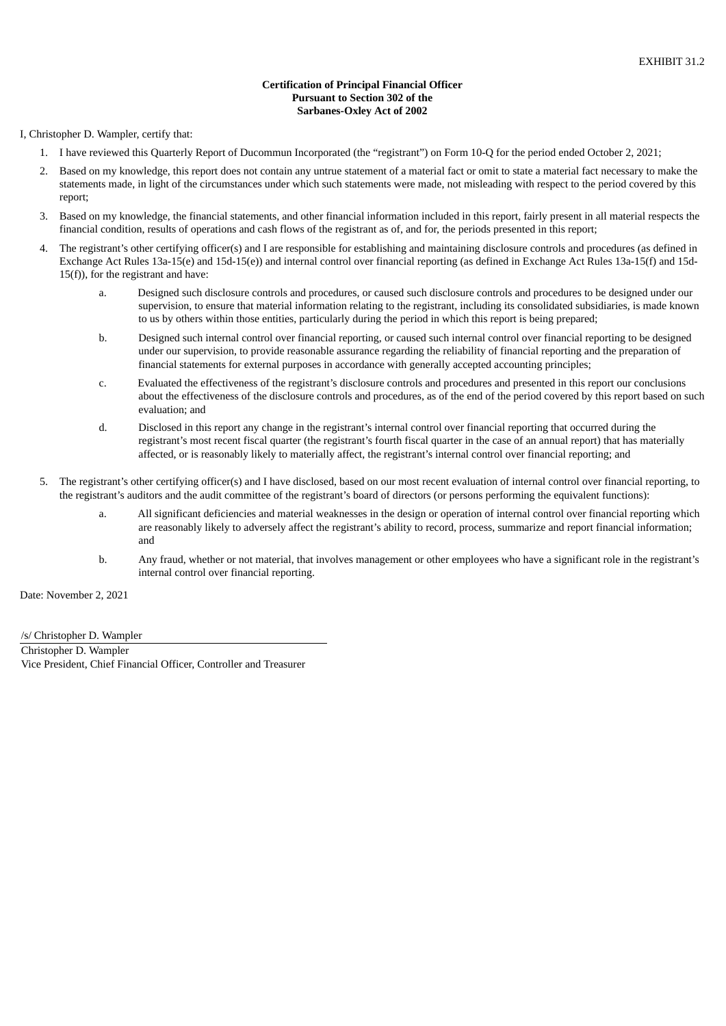### **Certification of Principal Financial Officer Pursuant to Section 302 of the Sarbanes-Oxley Act of 2002**

<span id="page-55-0"></span>I, Christopher D. Wampler, certify that:

- 1. I have reviewed this Quarterly Report of Ducommun Incorporated (the "registrant") on Form 10-Q for the period ended October 2, 2021;
- 2. Based on my knowledge, this report does not contain any untrue statement of a material fact or omit to state a material fact necessary to make the statements made, in light of the circumstances under which such statements were made, not misleading with respect to the period covered by this report;
- 3. Based on my knowledge, the financial statements, and other financial information included in this report, fairly present in all material respects the financial condition, results of operations and cash flows of the registrant as of, and for, the periods presented in this report;
- 4. The registrant's other certifying officer(s) and I are responsible for establishing and maintaining disclosure controls and procedures (as defined in Exchange Act Rules 13a-15(e) and 15d-15(e)) and internal control over financial reporting (as defined in Exchange Act Rules 13a-15(f) and 15d-15(f)), for the registrant and have:
	- a. Designed such disclosure controls and procedures, or caused such disclosure controls and procedures to be designed under our supervision, to ensure that material information relating to the registrant, including its consolidated subsidiaries, is made known to us by others within those entities, particularly during the period in which this report is being prepared;
	- b. Designed such internal control over financial reporting, or caused such internal control over financial reporting to be designed under our supervision, to provide reasonable assurance regarding the reliability of financial reporting and the preparation of financial statements for external purposes in accordance with generally accepted accounting principles;
	- c. Evaluated the effectiveness of the registrant's disclosure controls and procedures and presented in this report our conclusions about the effectiveness of the disclosure controls and procedures, as of the end of the period covered by this report based on such evaluation; and
	- d. Disclosed in this report any change in the registrant's internal control over financial reporting that occurred during the registrant's most recent fiscal quarter (the registrant's fourth fiscal quarter in the case of an annual report) that has materially affected, or is reasonably likely to materially affect, the registrant's internal control over financial reporting; and
- 5. The registrant's other certifying officer(s) and I have disclosed, based on our most recent evaluation of internal control over financial reporting, to the registrant's auditors and the audit committee of the registrant's board of directors (or persons performing the equivalent functions):
	- a. All significant deficiencies and material weaknesses in the design or operation of internal control over financial reporting which are reasonably likely to adversely affect the registrant's ability to record, process, summarize and report financial information; and
	- b. Any fraud, whether or not material, that involves management or other employees who have a significant role in the registrant's internal control over financial reporting.

Date: November 2, 2021

/s/ Christopher D. Wampler

Christopher D. Wampler Vice President, Chief Financial Officer, Controller and Treasurer